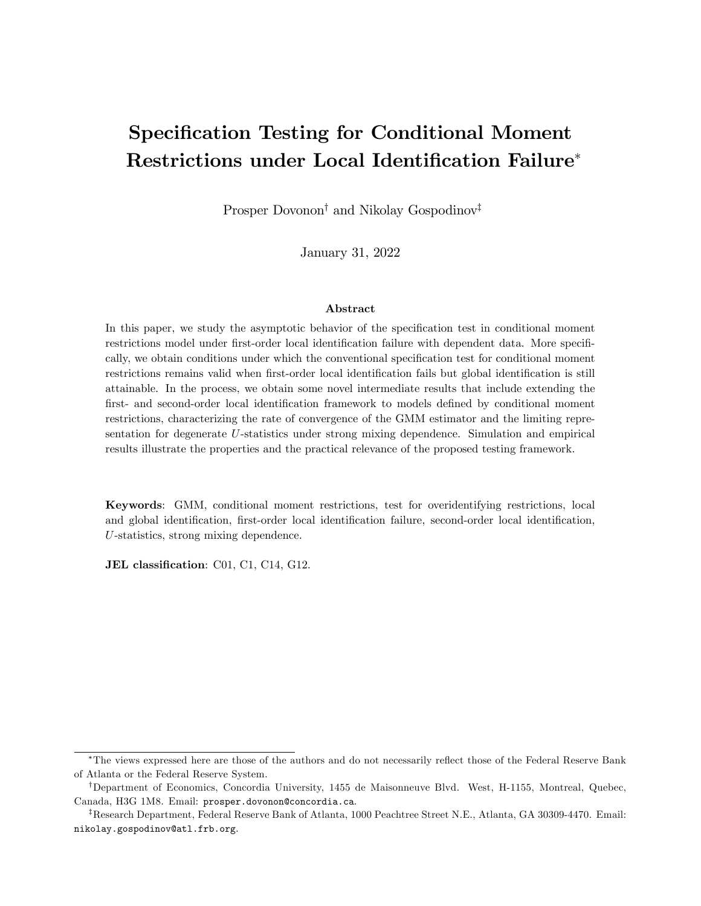# Specification Testing for Conditional Moment Restrictions under Local Identification Failure\*

Prosper Dovonon<sup>†</sup> and Nikolay Gospodinov<sup>†</sup>

January 31, 2022

#### Abstract

In this paper, we study the asymptotic behavior of the specification test in conditional moment restrictions model under first-order local identification failure with dependent data. More specifically, we obtain conditions under which the conventional specification test for conditional moment restrictions remains valid when first-order local identification fails but global identification is still attainable. In the process, we obtain some novel intermediate results that include extending the first- and second-order local identification framework to models defined by conditional moment restrictions, characterizing the rate of convergence of the GMM estimator and the limiting representation for degenerate U-statistics under strong mixing dependence. Simulation and empirical results illustrate the properties and the practical relevance of the proposed testing framework.

Keywords: GMM, conditional moment restrictions, test for overidentifying restrictions, local and global identification, first-order local identification failure, second-order local identification, U-statistics, strong mixing dependence.

JEL classification: C01, C1, C14, G12.

<sup>\*</sup>The views expressed here are those of the authors and do not necessarily reflect those of the Federal Reserve Bank of Atlanta or the Federal Reserve System.

<sup>&</sup>lt;sup>†</sup>Department of Economics, Concordia University, 1455 de Maisonneuve Blvd. West, H-1155, Montreal, Quebec, Canada, H3G 1M8. Email: prosper.dovonon@concordia.ca.

 ${}^{7}$ Research Department, Federal Reserve Bank of Atlanta, 1000 Peachtree Street N.E., Atlanta, GA 30309-4470. Email: nikolay.gospodinov@atl.frb.org.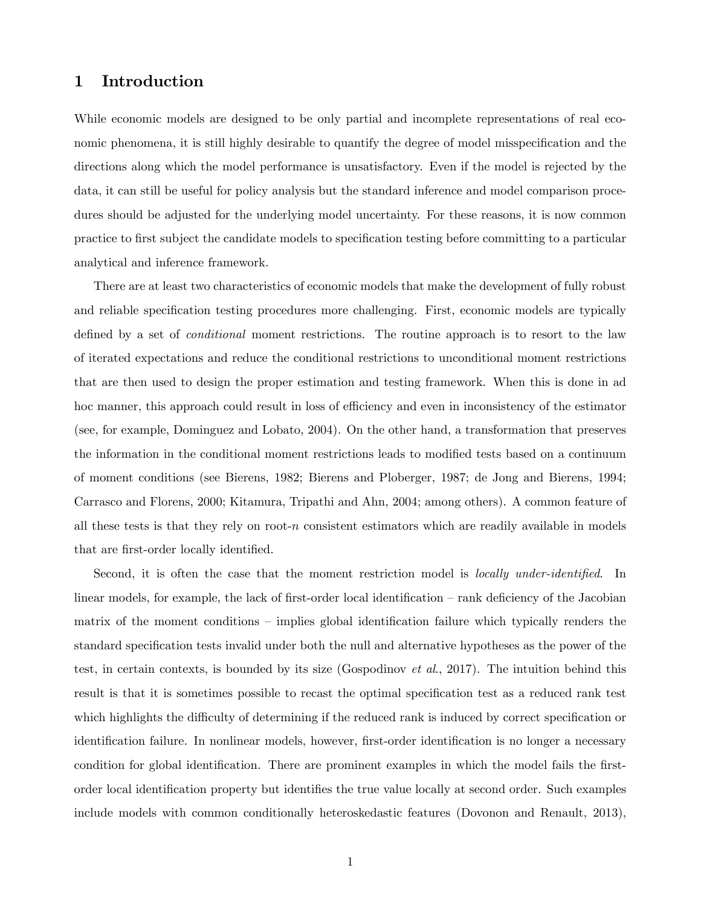# 1 Introduction

While economic models are designed to be only partial and incomplete representations of real economic phenomena, it is still highly desirable to quantify the degree of model misspecification and the directions along which the model performance is unsatisfactory. Even if the model is rejected by the data, it can still be useful for policy analysis but the standard inference and model comparison procedures should be adjusted for the underlying model uncertainty. For these reasons, it is now common practice to first subject the candidate models to specification testing before committing to a particular analytical and inference framework.

There are at least two characteristics of economic models that make the development of fully robust and reliable specification testing procedures more challenging. First, economic models are typically defined by a set of *conditional* moment restrictions. The routine approach is to resort to the law of iterated expectations and reduce the conditional restrictions to unconditional moment restrictions that are then used to design the proper estimation and testing framework. When this is done in ad hoc manner, this approach could result in loss of efficiency and even in inconsistency of the estimator (see, for example, Dominguez and Lobato, 2004). On the other hand, a transformation that preserves the information in the conditional moment restrictions leads to modified tests based on a continuum of moment conditions (see Bierens, 1982; Bierens and Ploberger, 1987; de Jong and Bierens, 1994; Carrasco and Florens, 2000; Kitamura, Tripathi and Ahn, 2004; among others). A common feature of all these tests is that they rely on root-n consistent estimators which are readily available in models that are first-order locally identified.

Second, it is often the case that the moment restriction model is *locally under-identified*. In linear models, for example, the lack of first-order local identification  $-$  rank deficiency of the Jacobian matrix of the moment conditions  $\overline{\phantom{a}}$  implies global identification failure which typically renders the standard specification tests invalid under both the null and alternative hypotheses as the power of the test, in certain contexts, is bounded by its size (Gospodinov *et al.*, 2017). The intuition behind this result is that it is sometimes possible to recast the optimal specification test as a reduced rank test which highlights the difficulty of determining if the reduced rank is induced by correct specification or identification failure. In nonlinear models, however, first-order identification is no longer a necessary condition for global identification. There are prominent examples in which the model fails the firstorder local identification property but identifies the true value locally at second order. Such examples include models with common conditionally heteroskedastic features (Dovonon and Renault, 2013),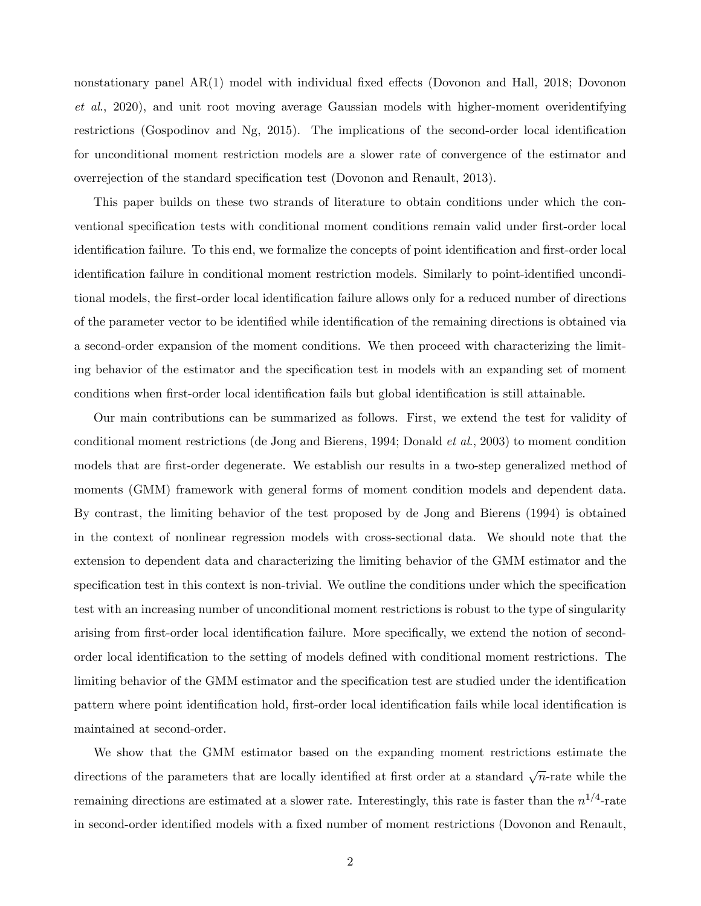nonstationary panel AR(1) model with individual fixed effects (Dovonon and Hall, 2018; Dovonon et al., 2020), and unit root moving average Gaussian models with higher-moment overidentifying restrictions (Gospodinov and Ng, 2015). The implications of the second-order local identification for unconditional moment restriction models are a slower rate of convergence of the estimator and overrejection of the standard specification test (Dovonon and Renault, 2013).

This paper builds on these two strands of literature to obtain conditions under which the conventional specification tests with conditional moment conditions remain valid under first-order local identification failure. To this end, we formalize the concepts of point identification and first-order local identification failure in conditional moment restriction models. Similarly to point-identified unconditional models, the first-order local identification failure allows only for a reduced number of directions of the parameter vector to be identified while identification of the remaining directions is obtained via a second-order expansion of the moment conditions. We then proceed with characterizing the limiting behavior of the estimator and the specification test in models with an expanding set of moment conditions when first-order local identification fails but global identification is still attainable.

Our main contributions can be summarized as follows. First, we extend the test for validity of conditional moment restrictions (de Jong and Bierens, 1994; Donald et al., 2003) to moment condition models that are first-order degenerate. We establish our results in a two-step generalized method of moments (GMM) framework with general forms of moment condition models and dependent data. By contrast, the limiting behavior of the test proposed by de Jong and Bierens (1994) is obtained in the context of nonlinear regression models with cross-sectional data. We should note that the extension to dependent data and characterizing the limiting behavior of the GMM estimator and the specification test in this context is non-trivial. We outline the conditions under which the specification test with an increasing number of unconditional moment restrictions is robust to the type of singularity arising from first-order local identification failure. More specifically, we extend the notion of secondorder local identification to the setting of models defined with conditional moment restrictions. The limiting behavior of the GMM estimator and the specification test are studied under the identification pattern where point identification hold, first-order local identification fails while local identification is maintained at second-order.

We show that the GMM estimator based on the expanding moment restrictions estimate the directions of the parameters that are locally identified at first order at a standard  $\sqrt{n}$ -rate while the remaining directions are estimated at a slower rate. Interestingly, this rate is faster than the  $n^{1/4}$ -rate in second-order identified models with a fixed number of moment restrictions (Dovonon and Renault,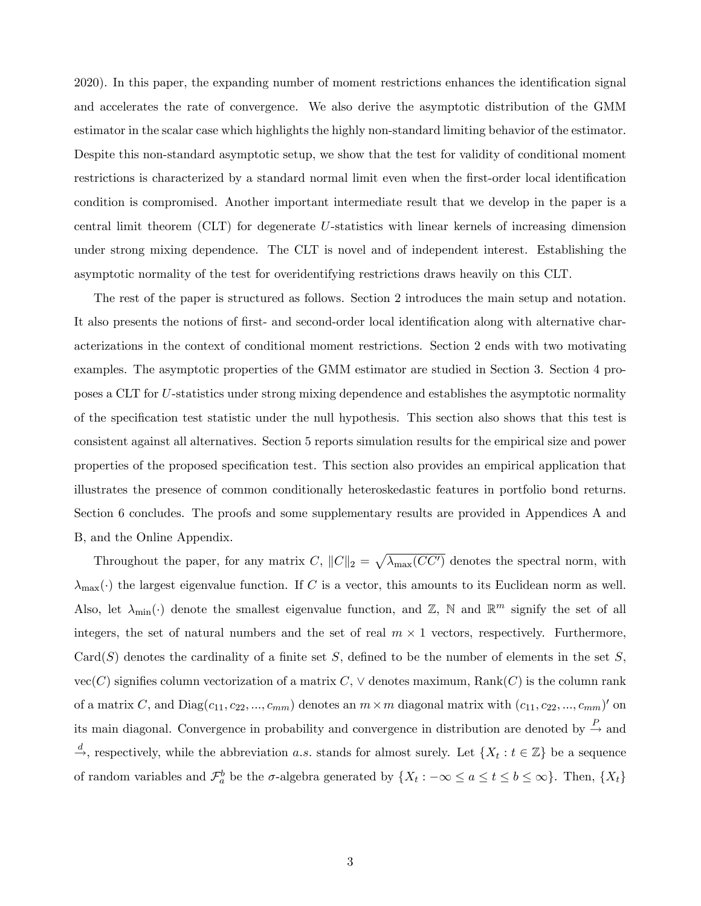2020). In this paper, the expanding number of moment restrictions enhances the identification signal and accelerates the rate of convergence. We also derive the asymptotic distribution of the GMM estimator in the scalar case which highlights the highly non-standard limiting behavior of the estimator. Despite this non-standard asymptotic setup, we show that the test for validity of conditional moment restrictions is characterized by a standard normal limit even when the first-order local identification condition is compromised. Another important intermediate result that we develop in the paper is a central limit theorem (CLT) for degenerate U-statistics with linear kernels of increasing dimension under strong mixing dependence. The CLT is novel and of independent interest. Establishing the asymptotic normality of the test for overidentifying restrictions draws heavily on this CLT.

The rest of the paper is structured as follows. Section 2 introduces the main setup and notation. It also presents the notions of first- and second-order local identification along with alternative characterizations in the context of conditional moment restrictions. Section 2 ends with two motivating examples. The asymptotic properties of the GMM estimator are studied in Section 3. Section 4 proposes a CLT for U-statistics under strong mixing dependence and establishes the asymptotic normality of the specification test statistic under the null hypothesis. This section also shows that this test is consistent against all alternatives. Section 5 reports simulation results for the empirical size and power properties of the proposed specification test. This section also provides an empirical application that illustrates the presence of common conditionally heteroskedastic features in portfolio bond returns. Section 6 concludes. The proofs and some supplementary results are provided in Appendices A and B, and the Online Appendix.

Throughout the paper, for any matrix C,  $||C||_2 = \sqrt{\lambda_{\max}(CC')}$  denotes the spectral norm, with  $\lambda_{\text{max}}(\cdot)$  the largest eigenvalue function. If C is a vector, this amounts to its Euclidean norm as well. Also, let  $\lambda_{\min}(\cdot)$  denote the smallest eigenvalue function, and  $\mathbb{Z}$ , N and  $\mathbb{R}^m$  signify the set of all integers, the set of natural numbers and the set of real  $m \times 1$  vectors, respectively. Furthermore,  $Card(S)$  denotes the cardinality of a finite set S, defined to be the number of elements in the set S,  $vec(C)$  signifies column vectorization of a matrix  $C, \vee$  denotes maximum, Rank $(C)$  is the column rank of a matrix C, and  $Diag(c_{11}, c_{22}, ..., c_{mm})$  denotes an  $m \times m$  diagonal matrix with  $(c_{11}, c_{22}, ..., c_{mm})'$  on its main diagonal. Convergence in probability and convergence in distribution are denoted by  $\stackrel{P}{\rightarrow}$  and  $\stackrel{d}{\rightarrow}$ , respectively, while the abbreviation a.s. stands for almost surely. Let  $\{X_t : t \in \mathbb{Z}\}\)$  be a sequence of random variables and  $\mathcal{F}_a^b$  be the  $\sigma$ -algebra generated by  $\{X_t: -\infty \le a \le t \le b \le \infty\}$ . Then,  $\{X_t\}$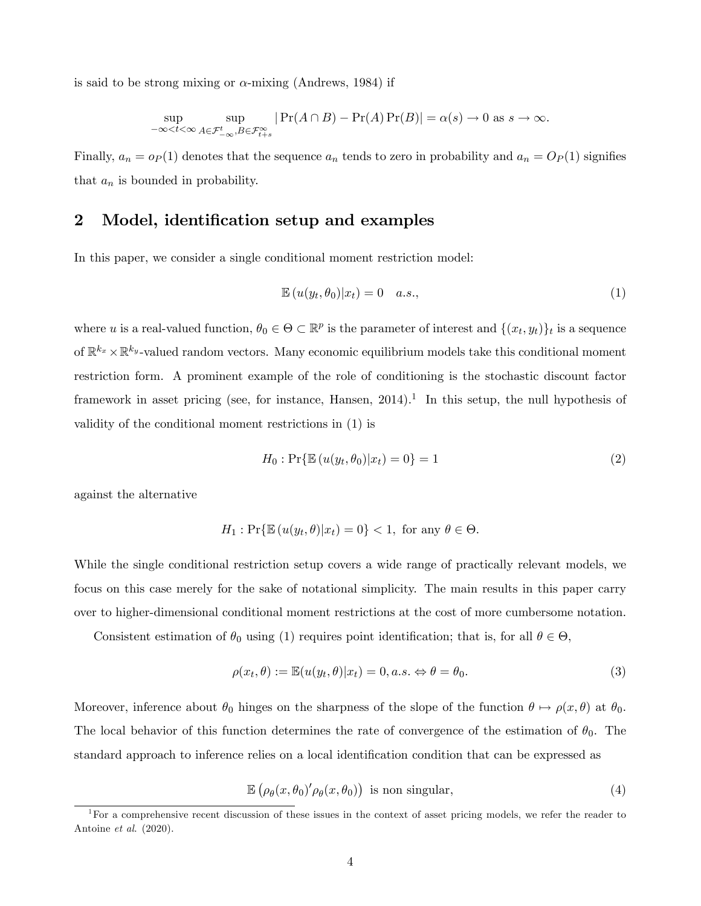is said to be strong mixing or  $\alpha$ -mixing (Andrews, 1984) if

$$
\sup_{-\infty < t < \infty} \sup_{A \in \mathcal{F}_{-\infty}^t, B \in \mathcal{F}_{t+s}^{\infty}} \left| \Pr(A \cap B) - \Pr(A) \Pr(B) \right| = \alpha(s) \to 0 \text{ as } s \to \infty.
$$

Finally,  $a_n = o_P(1)$  denotes that the sequence  $a_n$  tends to zero in probability and  $a_n = O_P(1)$  signifies that  $a_n$  is bounded in probability.

# 2 Model, identification setup and examples

In this paper, we consider a single conditional moment restriction model:

$$
\mathbb{E}\left(u(y_t,\theta_0)|x_t\right) = 0 \quad a.s.,\tag{1}
$$

where u is a real-valued function,  $\theta_0 \in \Theta \subset \mathbb{R}^p$  is the parameter of interest and  $\{(x_t, y_t)\}_t$  is a sequence of  $\mathbb{R}^{k_x} \times \mathbb{R}^{k_y}$ -valued random vectors. Many economic equilibrium models take this conditional moment restriction form. A prominent example of the role of conditioning is the stochastic discount factor framework in asset pricing (see, for instance, Hansen,  $2014$ ).<sup>1</sup> In this setup, the null hypothesis of validity of the conditional moment restrictions in (1) is

$$
H_0: \Pr\{\mathbb{E}\left(u(y_t, \theta_0)|x_t\right) = 0\} = 1\tag{2}
$$

against the alternative

$$
H_1: \Pr\{\mathbb{E}\left(u(y_t, \theta)|x_t\right) = 0\} < 1, \text{ for any } \theta \in \Theta.
$$

While the single conditional restriction setup covers a wide range of practically relevant models, we focus on this case merely for the sake of notational simplicity. The main results in this paper carry over to higher-dimensional conditional moment restrictions at the cost of more cumbersome notation.

Consistent estimation of  $\theta_0$  using (1) requires point identification; that is, for all  $\theta \in \Theta$ ,

$$
\rho(x_t, \theta) := \mathbb{E}(u(y_t, \theta)|x_t) = 0, a.s. \Leftrightarrow \theta = \theta_0.
$$
\n(3)

Moreover, inference about  $\theta_0$  hinges on the sharpness of the slope of the function  $\theta \mapsto \rho(x,\theta)$  at  $\theta_0$ . The local behavior of this function determines the rate of convergence of the estimation of  $\theta_0$ . The standard approach to inference relies on a local identification condition that can be expressed as

$$
\mathbb{E}\left(\rho_{\theta}(x,\theta_0)'\rho_{\theta}(x,\theta_0)\right) \text{ is non singular},\tag{4}
$$

<sup>&</sup>lt;sup>1</sup>For a comprehensive recent discussion of these issues in the context of asset pricing models, we refer the reader to Antoine et al. (2020).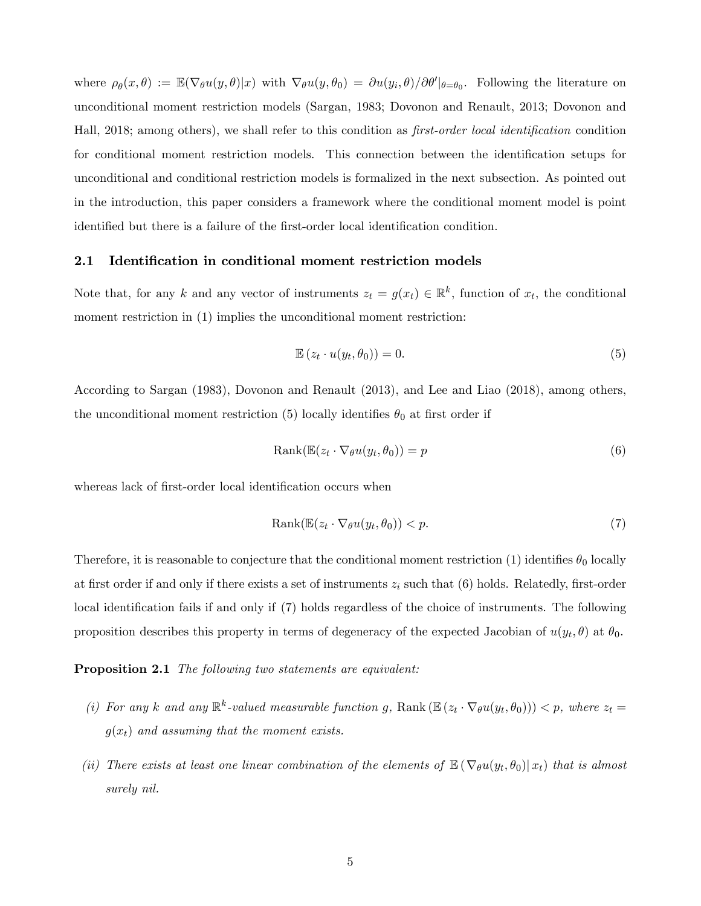where  $\rho_{\theta}(x,\theta) := \mathbb{E}(\nabla_{\theta}u(y,\theta)|x)$  with  $\nabla_{\theta}u(y,\theta_0) = \partial u(y_i,\theta)/\partial \theta' |_{\theta=\theta_0}$ . Following the literature on unconditional moment restriction models (Sargan, 1983; Dovonon and Renault, 2013; Dovonon and Hall, 2018; among others), we shall refer to this condition as first-order local identification condition for conditional moment restriction models. This connection between the identification setups for unconditional and conditional restriction models is formalized in the next subsection. As pointed out in the introduction, this paper considers a framework where the conditional moment model is point identified but there is a failure of the first-order local identification condition.

### 2.1 Identification in conditional moment restriction models

Note that, for any k and any vector of instruments  $z_t = g(x_t) \in \mathbb{R}^k$ , function of  $x_t$ , the conditional moment restriction in (1) implies the unconditional moment restriction:

$$
\mathbb{E}\left(z_t \cdot u(y_t, \theta_0)\right) = 0. \tag{5}
$$

According to Sargan (1983), Dovonon and Renault (2013), and Lee and Liao (2018), among others, the unconditional moment restriction (5) locally identifies  $\theta_0$  at first order if

$$
Rank(\mathbb{E}(z_t \cdot \nabla_{\theta} u(y_t, \theta_0)) = p \tag{6}
$$

whereas lack of first-order local identification occurs when

$$
Rank(\mathbb{E}(z_t \cdot \nabla_{\theta} u(y_t, \theta_0)) < p. \tag{7}
$$

Therefore, it is reasonable to conjecture that the conditional moment restriction (1) identifies  $\theta_0$  locally at first order if and only if there exists a set of instruments  $z_i$  such that (6) holds. Relatedly, first-order local identification fails if and only if (7) holds regardless of the choice of instruments. The following proposition describes this property in terms of degeneracy of the expected Jacobian of  $u(y_t, \theta)$  at  $\theta_0$ .

#### **Proposition 2.1** The following two statements are equivalent:

- (i) For any k and any  $\mathbb{R}^k$ -valued measurable function g, Rank  $(\mathbb{E}\left(z_t \cdot \nabla_{\theta} u(y_t, \theta_0)\right)) < p$ , where  $z_t =$  $g(x_t)$  and assuming that the moment exists.
- (ii) There exists at least one linear combination of the elements of  $\mathbb{E}(\nabla_{\theta}u(y_t, \theta_0)|x_t)$  that is almost surely nil.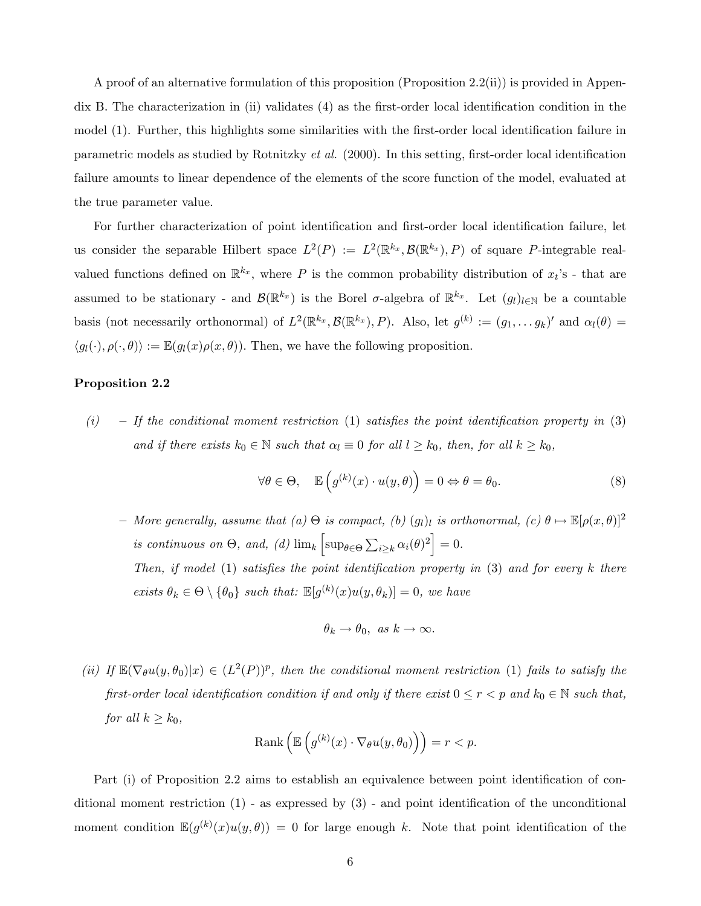A proof of an alternative formulation of this proposition (Proposition 2.2(ii)) is provided in Appendix B. The characterization in (ii) validates  $(4)$  as the first-order local identification condition in the model (1). Further, this highlights some similarities with the first-order local identification failure in parametric models as studied by Rotnitzky *et al.* (2000). In this setting, first-order local identification failure amounts to linear dependence of the elements of the score function of the model, evaluated at the true parameter value.

For further characterization of point identification and first-order local identification failure, let us consider the separable Hilbert space  $L^2(P) := L^2(\mathbb{R}^{k_x}, \mathcal{B}(\mathbb{R}^{k_x}), P)$  of square P-integrable realvalued functions defined on  $\mathbb{R}^{k_x}$ , where P is the common probability distribution of  $x_t$ 's - that are assumed to be stationary - and  $\mathcal{B}(\mathbb{R}^{k_x})$  is the Borel  $\sigma$ -algebra of  $\mathbb{R}^{k_x}$ . Let  $(g_l)_{l \in \mathbb{N}}$  be a countable basis (not necessarily orthonormal) of  $L^2(\mathbb{R}^{k_x}, \mathcal{B}(\mathbb{R}^{k_x}), P)$ . Also, let  $g^{(k)} := (g_1, \ldots g_k)'$  and  $\alpha_l(\theta) =$  $\langle g_l(\cdot), \rho(\cdot, \theta) \rangle := \mathbb{E}(g_l(x)\rho(x, \theta)).$  Then, we have the following proposition.

### Proposition 2.2

(i)  $\overline{ }$   $\overline{ }$  If the conditional moment restriction (1) satisfies the point identification property in (3) and if there exists  $k_0 \in \mathbb{N}$  such that  $\alpha_l \equiv 0$  for all  $l \geq k_0$ , then, for all  $k \geq k_0$ ,

$$
\forall \theta \in \Theta, \quad \mathbb{E}\left(g^{(k)}(x) \cdot u(y,\theta)\right) = 0 \Leftrightarrow \theta = \theta_0. \tag{8}
$$

 $-$  More generally, assume that  $(a) \Theta$  is compact,  $(b) (g_l)_l$  is orthonormal,  $(c) \theta \mapsto \mathbb{E}[\rho(x,\theta)]^2$ is continuous on  $\Theta$ , and, (d)  $\lim_k \left[ \sup_{\theta \in \Theta} \sum_{i \geq k} \alpha_i(\theta)^2 \right] = 0$ . Then, if model  $(1)$  satisfies the point identification property in  $(3)$  and for every k there exists  $\theta_k \in \Theta \setminus \{\theta_0\}$  such that:  $\mathbb{E}[g^{(k)}(x)u(y, \theta_k)] = 0$ , we have

$$
\theta_k \to \theta_0, \ \text{as } k \to \infty.
$$

(ii) If  $\mathbb{E}(\nabla_\theta u(y, \theta_0)|x) \in (L^2(P))^p$ , then the conditional moment restriction (1) fails to satisfy the first-order local identification condition if and only if there exist  $0 \le r < p$  and  $k_0 \in \mathbb{N}$  such that, for all  $k \geq k_0$ ,

$$
\text{Rank}\left(\mathbb{E}\left(g^{(k)}(x)\cdot\nabla_{\theta}u(y,\theta_0)\right)\right)=r
$$

Part (i) of Proposition 2.2 aims to establish an equivalence between point identification of conditional moment restriction  $(1)$  - as expressed by  $(3)$  - and point identification of the unconditional moment condition  $\mathbb{E}(g^{(k)}(x)u(y,\theta)) = 0$  for large enough k. Note that point identification of the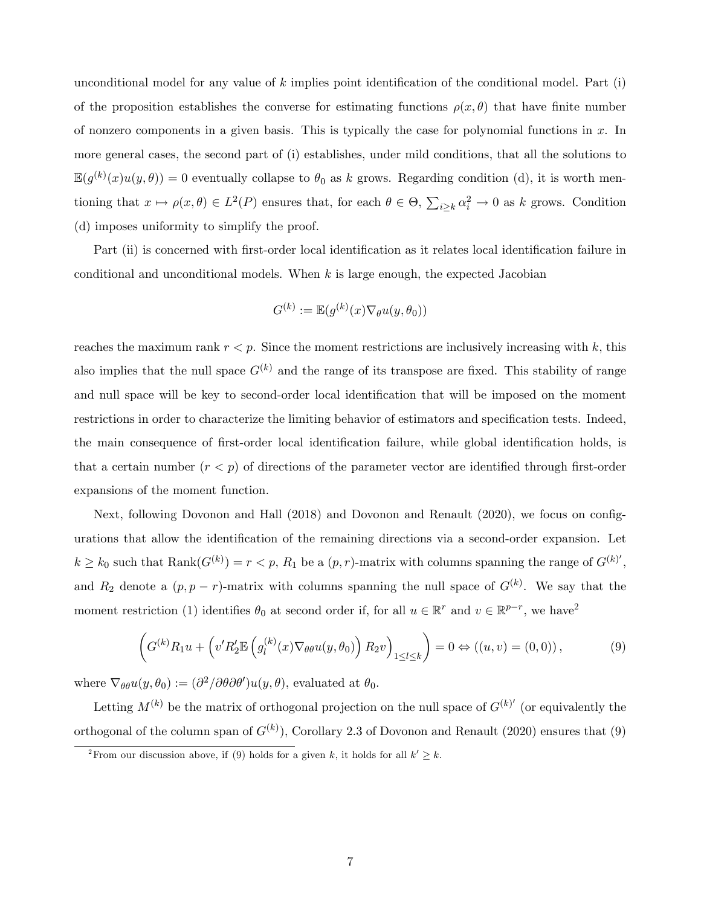unconditional model for any value of  $k$  implies point identification of the conditional model. Part (i) of the proposition establishes the converse for estimating functions  $\rho(x, \theta)$  that have finite number of nonzero components in a given basis. This is typically the case for polynomial functions in  $x$ . In more general cases, the second part of (i) establishes, under mild conditions, that all the solutions to  $\mathbb{E}(g^{(k)}(x)u(y,\theta))=0$  eventually collapse to  $\theta_0$  as k grows. Regarding condition (d), it is worth mentioning that  $x \mapsto \rho(x, \theta) \in L^2(P)$  ensures that, for each  $\theta \in \Theta$ ,  $\sum_{i \geq k} \alpha_i^2 \to 0$  as k grows. Condition (d) imposes uniformity to simplify the proof.

Part (ii) is concerned with first-order local identification as it relates local identification failure in conditional and unconditional models. When  $k$  is large enough, the expected Jacobian

$$
G^{(k)} := \mathbb{E}(g^{(k)}(x)\nabla_{\theta}u(y,\theta_0))
$$

reaches the maximum rank  $r < p$ . Since the moment restrictions are inclusively increasing with k, this also implies that the null space  $G^{(k)}$  and the range of its transpose are fixed. This stability of range and null space will be key to second-order local identification that will be imposed on the moment restrictions in order to characterize the limiting behavior of estimators and specification tests. Indeed, the main consequence of first-order local identification failure, while global identification holds, is that a certain number  $(r < p)$  of directions of the parameter vector are identified through first-order expansions of the moment function.

Next, following Dovonon and Hall (2018) and Dovonon and Renault (2020), we focus on configurations that allow the identification of the remaining directions via a second-order expansion. Let  $k \geq k_0$  such that  $\text{Rank}(G^{(k)}) = r < p$ ,  $R_1$  be a  $(p, r)$ -matrix with columns spanning the range of  $G^{(k)}$ ', and  $R_2$  denote a  $(p, p - r)$ -matrix with columns spanning the null space of  $G^{(k)}$ . We say that the moment restriction (1) identifies  $\theta_0$  at second order if, for all  $u \in \mathbb{R}^r$  and  $v \in \mathbb{R}^{p-r}$ , we have<sup>2</sup>

$$
\left(G^{(k)}R_1u + \left(v'R'_2\mathbb{E}\left(g_l^{(k)}(x)\nabla_{\theta\theta}u(y,\theta_0)\right)R_2v\right)_{1\leq l\leq k}\right) = 0 \Leftrightarrow \left((u,v) = (0,0)\right),\tag{9}
$$

where  $\nabla_{\theta\theta}u(y,\theta_0) := (\partial^2/\partial\theta\partial\theta')u(y,\theta)$ , evaluated at  $\theta_0$ .

Letting  $M^{(k)}$  be the matrix of orthogonal projection on the null space of  $G^{(k)'}$  (or equivalently the orthogonal of the column span of  $G^{(k)}$ ), Corollary 2.3 of Dovonon and Renault (2020) ensures that (9)

<sup>&</sup>lt;sup>2</sup> From our discussion above, if (9) holds for a given k, it holds for all  $k' \geq k$ .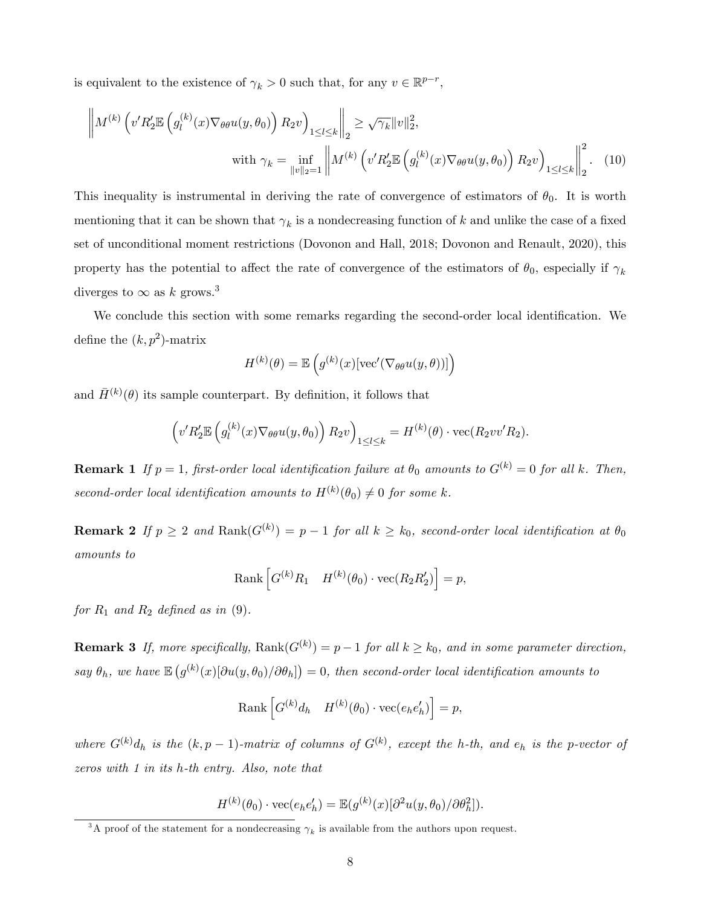is equivalent to the existence of  $\gamma_k > 0$  such that, for any  $v \in \mathbb{R}^{p-r}$ ,

$$
\left\| M^{(k)} \left( v'R_2' \mathbb{E} \left( g_l^{(k)}(x) \nabla_{\theta \theta} u(y, \theta_0) \right) R_2 v \right)_{1 \le l \le k} \right\|_2 \ge \sqrt{\gamma_k} \|v\|_2^2,
$$
  
with  $\gamma_k = \inf_{\|v\|_2 = 1} \left\| M^{(k)} \left( v'R_2' \mathbb{E} \left( g_l^{(k)}(x) \nabla_{\theta \theta} u(y, \theta_0) \right) R_2 v \right)_{1 \le l \le k} \right\|_2^2.$  (10)

This inequality is instrumental in deriving the rate of convergence of estimators of  $\theta_0$ . It is worth mentioning that it can be shown that  $\gamma_k$  is a nondecreasing function of k and unlike the case of a fixed set of unconditional moment restrictions (Dovonon and Hall, 2018; Dovonon and Renault, 2020), this property has the potential to affect the rate of convergence of the estimators of  $\theta_0$ , especially if  $\gamma_k$ diverges to  $\infty$  as k grows.<sup>3</sup>

We conclude this section with some remarks regarding the second-order local identification. We define the  $(k, p^2)$ -matrix

$$
H^{(k)}(\theta) = \mathbb{E}\left(g^{(k)}(x)\left[\operatorname{vec}'(\nabla_{\theta\theta}u(y,\theta))\right]\right)
$$

and  $\bar{H}^{(k)}(\theta)$  its sample counterpart. By definition, it follows that

$$
\left(v'R'_2\mathbb{E}\left(g_l^{(k)}(x)\nabla_{\theta\theta}u(y,\theta_0)\right)R_2v\right)_{1\leq l\leq k}=H^{(k)}(\theta)\cdot\mathrm{vec}(R_2vv'R_2).
$$

**Remark 1** If  $p = 1$ , first-order local identification failure at  $\theta_0$  amounts to  $G^{(k)} = 0$  for all k. Then, second-order local identification amounts to  $H^{(k)}(\theta_0) \neq 0$  for some k.

**Remark 2** If  $p \ge 2$  and  $\text{Rank}(G^{(k)}) = p - 1$  for all  $k \ge k_0$ , second-order local identification at  $\theta_0$ amounts to

Rank 
$$
\left[G^{(k)}R_1 \quad H^{(k)}(\theta_0) \cdot \text{vec}(R_2R'_2)\right] = p
$$
,

for  $R_1$  and  $R_2$  defined as in (9).

**Remark 3** If, more specifically,  $\text{Rank}(G^{(k)}) = p - 1$  for all  $k \geq k_0$ , and in some parameter direction, say  $\theta_h$ , we have  $\mathbb{E}\left(g^{(k)}(x)[\partial u(y,\theta_0)/\partial \theta_h]\right)=0$ , then second-order local identification amounts to

$$
Rank\left[G^{(k)}d_h \quad H^{(k)}(\theta_0) \cdot vec(e_h e'_h)\right] = p,
$$

where  $G^{(k)}d_h$  is the  $(k, p - 1)$ -matrix of columns of  $G^{(k)}$ , except the h-th, and  $e_h$  is the p-vector of zeros with 1 in its h-th entry. Also, note that

$$
H^{(k)}(\theta_0) \cdot \text{vec}(e_h e'_h) = \mathbb{E}(g^{(k)}(x)[\partial^2 u(y, \theta_0)/\partial \theta_h^2]).
$$

<sup>&</sup>lt;sup>3</sup>A proof of the statement for a nondecreasing  $\gamma_k$  is available from the authors upon request.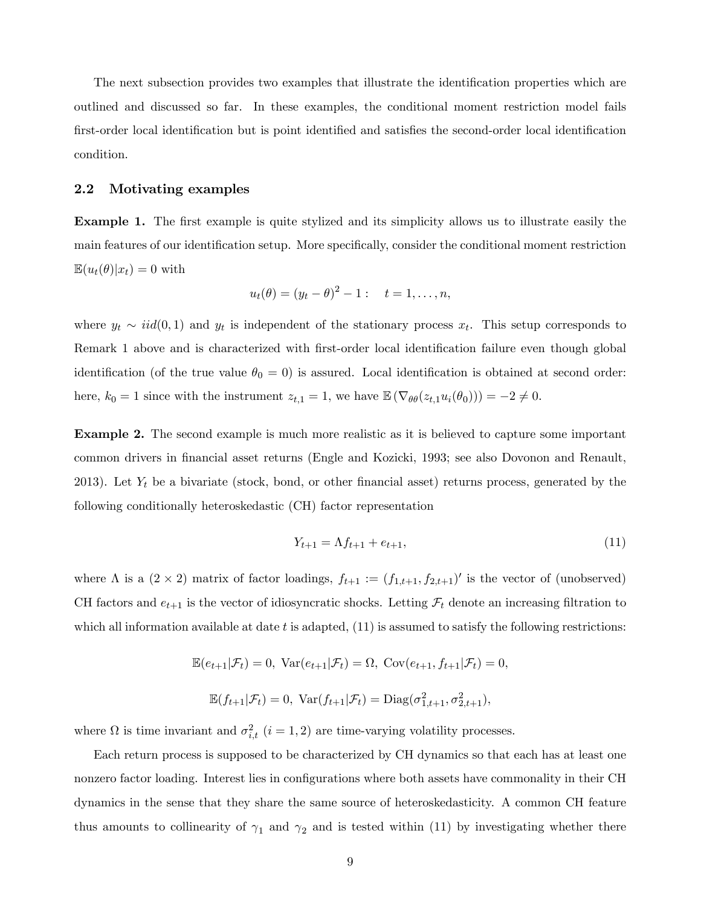The next subsection provides two examples that illustrate the identification properties which are outlined and discussed so far. In these examples, the conditional moment restriction model fails first-order local identification but is point identified and satisfies the second-order local identification condition.

### 2.2 Motivating examples

**Example 1.** The first example is quite stylized and its simplicity allows us to illustrate easily the main features of our identification setup. More specifically, consider the conditional moment restriction  $\mathbb{E}(u_t(\theta)|x_t) = 0$  with

$$
u_t(\theta) = (y_t - \theta)^2 - 1
$$
:  $t = 1,..., n$ ,

where  $y_t \sim \text{iid}(0, 1)$  and  $y_t$  is independent of the stationary process  $x_t$ . This setup corresponds to Remark 1 above and is characterized with first-order local identification failure even though global identification (of the true value  $\theta_0 = 0$ ) is assured. Local identification is obtained at second order: here,  $k_0 = 1$  since with the instrument  $z_{t,1} = 1$ , we have  $\mathbb{E}(\nabla_{\theta \theta}(z_{t,1}u_i(\theta_0))) = -2 \neq 0$ .

Example 2. The second example is much more realistic as it is believed to capture some important common drivers in Önancial asset returns (Engle and Kozicki, 1993; see also Dovonon and Renault, 2013). Let  $Y_t$  be a bivariate (stock, bond, or other financial asset) returns process, generated by the following conditionally heteroskedastic (CH) factor representation

$$
Y_{t+1} = \Lambda f_{t+1} + e_{t+1},\tag{11}
$$

where  $\Lambda$  is a  $(2 \times 2)$  matrix of factor loadings,  $f_{t+1} := (f_{1,t+1}, f_{2,t+1})'$  is the vector of (unobserved) CH factors and  $e_{t+1}$  is the vector of idiosyncratic shocks. Letting  $\mathcal{F}_t$  denote an increasing filtration to which all information available at date t is adapted,  $(11)$  is assumed to satisfy the following restrictions:

$$
\mathbb{E}(e_{t+1}|\mathcal{F}_t) = 0, \text{ Var}(e_{t+1}|\mathcal{F}_t) = \Omega, \text{ Cov}(e_{t+1}, f_{t+1}|\mathcal{F}_t) = 0,
$$
  

$$
\mathbb{E}(f_{t+1}|\mathcal{F}_t) = 0, \text{ Var}(f_{t+1}|\mathcal{F}_t) = \text{Diag}(\sigma_{1,t+1}^2, \sigma_{2,t+1}^2),
$$

where  $\Omega$  is time invariant and  $\sigma_{i,t}^2$   $(i = 1, 2)$  are time-varying volatility processes.

Each return process is supposed to be characterized by CH dynamics so that each has at least one nonzero factor loading. Interest lies in configurations where both assets have commonality in their CH dynamics in the sense that they share the same source of heteroskedasticity. A common CH feature thus amounts to collinearity of  $\gamma_1$  and  $\gamma_2$  and is tested within (11) by investigating whether there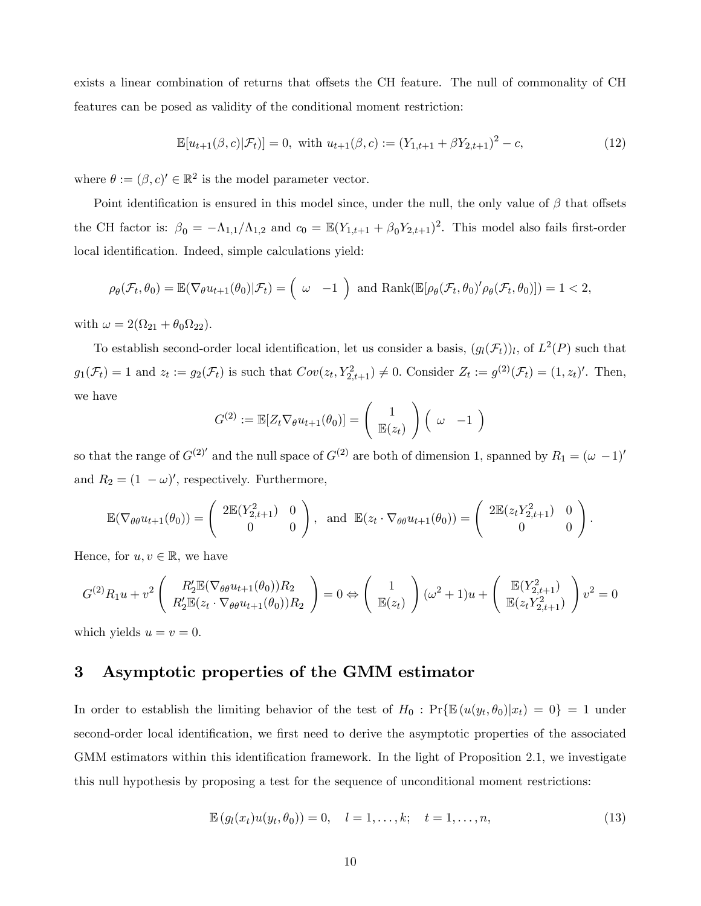exists a linear combination of returns that offsets the CH feature. The null of commonality of CH features can be posed as validity of the conditional moment restriction:

$$
\mathbb{E}[u_{t+1}(\beta,c)|\mathcal{F}_t] = 0, \text{ with } u_{t+1}(\beta,c) := (Y_{1,t+1} + \beta Y_{2,t+1})^2 - c,
$$
\n(12)

where  $\theta := (\beta, c)' \in \mathbb{R}^2$  is the model parameter vector.

Point identification is ensured in this model since, under the null, the only value of  $\beta$  that offsets the CH factor is:  $\beta_0 = -\Lambda_{1,1}/\Lambda_{1,2}$  and  $c_0 = \mathbb{E}(Y_{1,t+1} + \beta_0 Y_{2,t+1})^2$ . This model also fails first-order local identification. Indeed, simple calculations yield:

$$
\rho_{\theta}(\mathcal{F}_t, \theta_0) = \mathbb{E}(\nabla_{\theta} u_{t+1}(\theta_0) | \mathcal{F}_t) = \begin{pmatrix} \omega & -1 \end{pmatrix} \text{ and } \text{Rank}(\mathbb{E}[\rho_{\theta}(\mathcal{F}_t, \theta_0)' \rho_{\theta}(\mathcal{F}_t, \theta_0)]) = 1 < 2,
$$

with  $\omega = 2(\Omega_{21} + \theta_0 \Omega_{22}).$ 

To establish second-order local identification, let us consider a basis,  $(g_l(\mathcal{F}_t))_l$ , of  $L^2(P)$  such that  $g_1(\mathcal{F}_t) = 1$  and  $z_t := g_2(\mathcal{F}_t)$  is such that  $Cov(z_t, Y_{2,t+1}^2) \neq 0$ . Consider  $Z_t := g^{(2)}(\mathcal{F}_t) = (1, z_t)'$ . Then, we have

$$
G^{(2)} := \mathbb{E}[Z_t \nabla_\theta u_{t+1}(\theta_0)] = \left(\begin{array}{c} 1 \\ \mathbb{E}(z_t) \end{array}\right) \left(\begin{array}{cc} \omega & -1 \end{array}\right)
$$

so that the range of  $G^{(2)}$  and the null space of  $G^{(2)}$  are both of dimension 1, spanned by  $R_1 = (\omega - 1)$ <sup>t</sup> and  $R_2 = (1 - \omega)'$ , respectively. Furthermore,

$$
\mathbb{E}(\nabla_{\theta\theta}u_{t+1}(\theta_0)) = \begin{pmatrix} 2\mathbb{E}(Y_{2,t+1}^2) & 0\\ 0 & 0 \end{pmatrix}, \text{ and } \mathbb{E}(z_t \cdot \nabla_{\theta\theta}u_{t+1}(\theta_0)) = \begin{pmatrix} 2\mathbb{E}(z_t Y_{2,t+1}^2) & 0\\ 0 & 0 \end{pmatrix}.
$$

Hence, for  $u, v \in \mathbb{R}$ , we have

$$
G^{(2)}R_1u + v^2 \left( R_2' \mathbb{E}(\nabla_{\theta\theta} u_{t+1}(\theta_0))R_2 \over R_2' \mathbb{E}(z_t \cdot \nabla_{\theta\theta} u_{t+1}(\theta_0))R_2 \right) = 0 \Leftrightarrow \left( \frac{1}{\mathbb{E}(z_t)} \right) (\omega^2 + 1)u + \left( \frac{\mathbb{E}(Y_{2,t+1}^2)}{\mathbb{E}(z_t Y_{2,t+1}^2)} \right) v^2 = 0
$$

which yields  $u = v = 0$ .

# 3 Asymptotic properties of the GMM estimator

In order to establish the limiting behavior of the test of  $H_0$ :  $Pr\{\mathbb{E}(u(y_t, \theta_0)|x_t) = 0\} = 1$  under second-order local identification, we first need to derive the asymptotic properties of the associated GMM estimators within this identification framework. In the light of Proposition 2.1, we investigate this null hypothesis by proposing a test for the sequence of unconditional moment restrictions:

$$
\mathbb{E}\left(g_l(x_t)u(y_t,\theta_0)\right)=0, \quad l=1,\ldots,k; \quad t=1,\ldots,n,\tag{13}
$$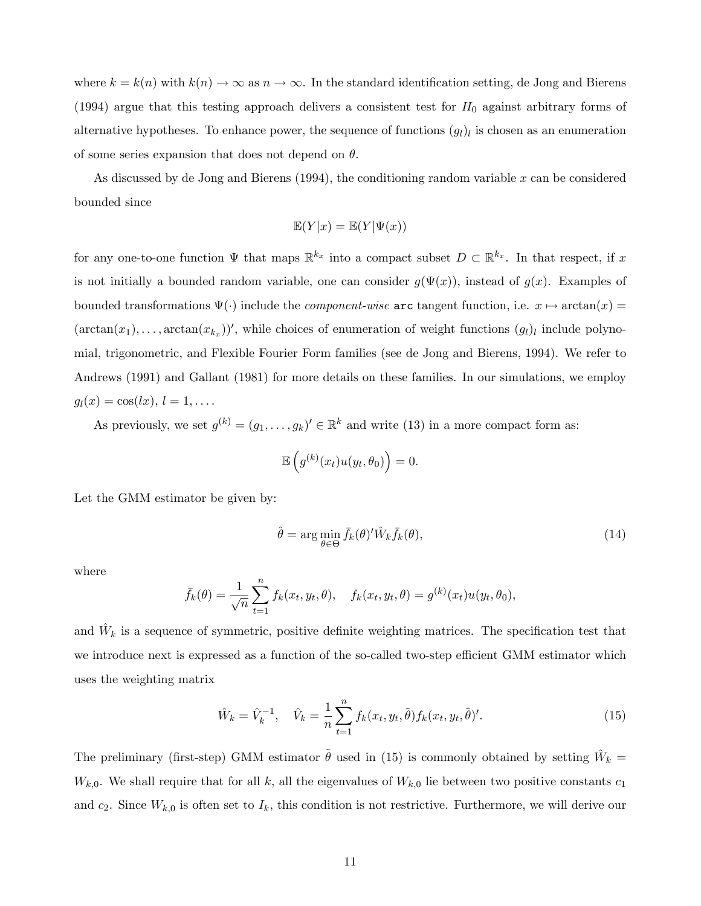where  $k = k(n)$  with  $k(n) \to \infty$  as  $n \to \infty$ . In the standard identification setting, de Jong and Bierens (1994) argue that this testing approach delivers a consistent test for  $H_0$  against arbitrary forms of alternative hypotheses. To enhance power, the sequence of functions  $(g_l)_l$  is chosen as an enumeration of some series expansion that does not depend on  $\theta$ .

As discussed by de Jong and Bierens  $(1994)$ , the conditioning random variable x can be considered bounded since

$$
\mathbb{E}(Y|x) = \mathbb{E}(Y|\Psi(x))
$$

for any one-to-one function  $\Psi$  that maps  $\mathbb{R}^{k_x}$  into a compact subset  $D \subset \mathbb{R}^{k_x}$ . In that respect, if x is not initially a bounded random variable, one can consider  $g(\Psi(x))$ , instead of  $g(x)$ . Examples of bounded transformations  $\Psi(\cdot)$  include the *component-wise* arc tangent function, i.e.  $x \mapsto \arctan(x) =$  $(\arctan(x_1), \ldots, \arctan(x_{k_x}))'$ , while choices of enumeration of weight functions  $(g_l)_l$  include polynomial, trigonometric, and Flexible Fourier Form families (see de Jong and Bierens, 1994). We refer to Andrews (1991) and Gallant (1981) for more details on these families. In our simulations, we employ  $g_l(x) = \cos(lx), l = 1, \ldots$ 

As previously, we set  $g^{(k)} = (g_1, \ldots, g_k)' \in \mathbb{R}^k$  and write (13) in a more compact form as:

$$
\mathbb{E}\left(g^{(k)}(x_t)u(y_t,\theta_0)\right)=0.
$$

Let the GMM estimator be given by:

$$
\hat{\theta} = \arg\min_{\theta \in \Theta} \bar{f}_k(\theta)' \hat{W}_k \bar{f}_k(\theta), \tag{14}
$$

where

$$
\bar{f}_k(\theta) = \frac{1}{\sqrt{n}} \sum_{t=1}^n f_k(x_t, y_t, \theta), \quad f_k(x_t, y_t, \theta) = g^{(k)}(x_t) u(y_t, \theta_0),
$$

and  $\hat{W}_k$  is a sequence of symmetric, positive definite weighting matrices. The specification test that we introduce next is expressed as a function of the so-called two-step efficient GMM estimator which uses the weighting matrix

$$
\hat{W}_k = \hat{V}_k^{-1}, \quad \hat{V}_k = \frac{1}{n} \sum_{t=1}^n f_k(x_t, y_t, \tilde{\theta}) f_k(x_t, y_t, \tilde{\theta})'. \tag{15}
$$

The preliminary (first-step) GMM estimator  $\tilde{\theta}$  used in (15) is commonly obtained by setting  $\hat{W}_k =$  $W_{k,0}$ . We shall require that for all k, all the eigenvalues of  $W_{k,0}$  lie between two positive constants  $c_1$ and  $c_2$ . Since  $W_{k,0}$  is often set to  $I_k$ , this condition is not restrictive. Furthermore, we will derive our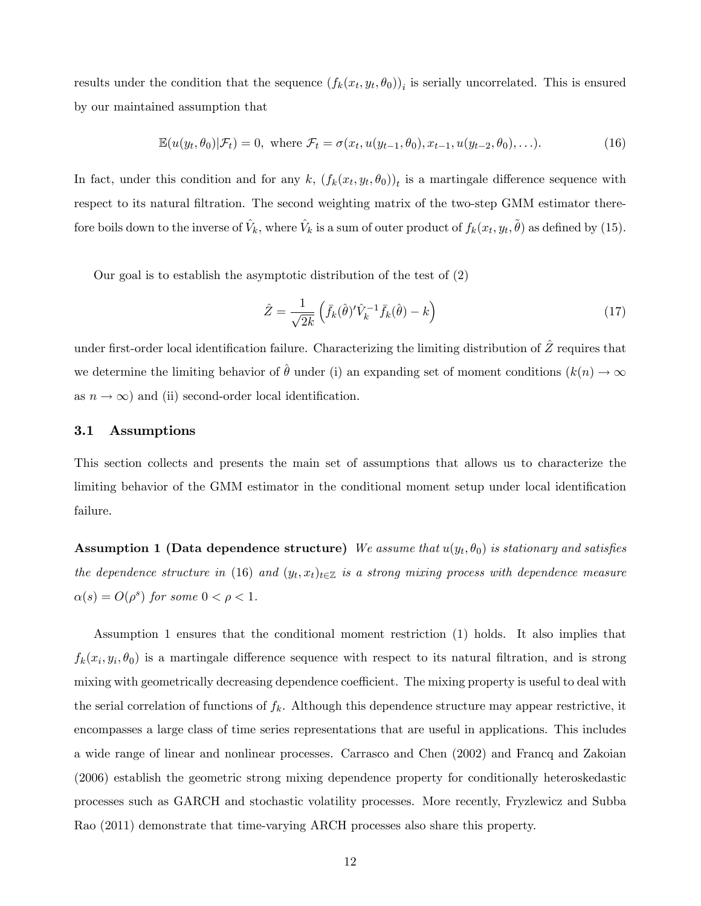results under the condition that the sequence  $(f_k(x_t, y_t, \theta_0))_i$  is serially uncorrelated. This is ensured by our maintained assumption that

$$
\mathbb{E}(u(y_t,\theta_0)|\mathcal{F}_t)=0, \text{ where } \mathcal{F}_t=\sigma(x_t,u(y_{t-1},\theta_0),x_{t-1},u(y_{t-2},\theta_0),\ldots). \tag{16}
$$

In fact, under this condition and for any k,  $(f_k(x_t, y_t, \theta_0))_t$  is a martingale difference sequence with respect to its natural filtration. The second weighting matrix of the two-step GMM estimator therefore boils down to the inverse of  $\hat{V}_k$ , where  $\hat{V}_k$  is a sum of outer product of  $f_k(x_t, y_t, \tilde{\theta})$  as defined by (15).

Our goal is to establish the asymptotic distribution of the test of (2)

$$
\hat{Z} = \frac{1}{\sqrt{2k}} \left( \bar{f}_k(\hat{\theta})' \hat{V}_k^{-1} \bar{f}_k(\hat{\theta}) - k \right) \tag{17}
$$

under first-order local identification failure. Characterizing the limiting distribution of  $\hat{Z}$  requires that we determine the limiting behavior of  $\hat{\theta}$  under (i) an expanding set of moment conditions  $(k(n) \rightarrow \infty$ as  $n \to \infty$ ) and (ii) second-order local identification.

#### 3.1 Assumptions

This section collects and presents the main set of assumptions that allows us to characterize the limiting behavior of the GMM estimator in the conditional moment setup under local identification failure.

Assumption 1 (Data dependence structure) We assume that  $u(y_t, \theta_0)$  is stationary and satisfies the dependence structure in (16) and  $(y_t, x_t)_{t \in \mathbb{Z}}$  is a strong mixing process with dependence measure  $\alpha(s) = O(\rho^s)$  for some  $0 < \rho < 1$ .

Assumption 1 ensures that the conditional moment restriction (1) holds. It also implies that  $f_k(x_i, y_i, \theta_0)$  is a martingale difference sequence with respect to its natural filtration, and is strong mixing with geometrically decreasing dependence coefficient. The mixing property is useful to deal with the serial correlation of functions of  $f_k$ . Although this dependence structure may appear restrictive, it encompasses a large class of time series representations that are useful in applications. This includes a wide range of linear and nonlinear processes. Carrasco and Chen (2002) and Francq and Zakoian (2006) establish the geometric strong mixing dependence property for conditionally heteroskedastic processes such as GARCH and stochastic volatility processes. More recently, Fryzlewicz and Subba Rao (2011) demonstrate that time-varying ARCH processes also share this property.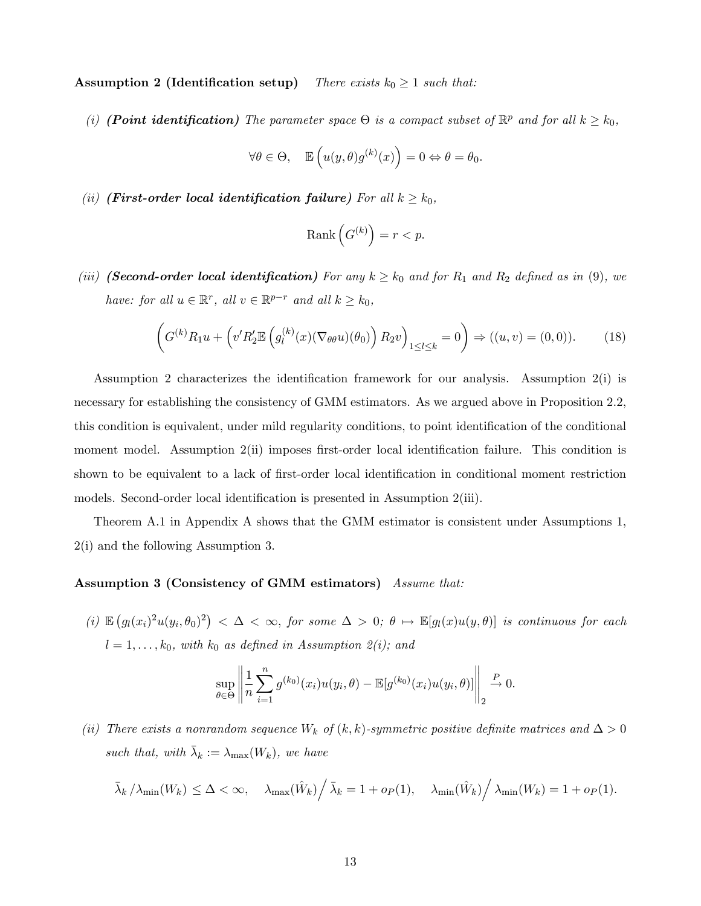Assumption 2 (Identification setup) There exists  $k_0 \geq 1$  such that:

(i) (**Point identification**) The parameter space  $\Theta$  is a compact subset of  $\mathbb{R}^p$  and for all  $k \geq k_0$ ,

$$
\forall \theta \in \Theta, \quad \mathbb{E}\left(u(y,\theta)g^{(k)}(x)\right) = 0 \Leftrightarrow \theta = \theta_0.
$$

(ii) (First-order local identification failure) For all  $k \geq k_0$ ,

$$
\mathrm{Rank}\left(G^{(k)}\right) = r < p.
$$

(iii) (**Second-order local identification**) For any  $k \geq k_0$  and for  $R_1$  and  $R_2$  defined as in (9), we have: for all  $u \in \mathbb{R}^r$ , all  $v \in \mathbb{R}^{p-r}$  and all  $k \geq k_0$ ,

$$
\left(G^{(k)}R_1u + \left(v'R_2'\mathbb{E}\left(g_l^{(k)}(x)(\nabla_{\theta\theta}u)(\theta_0)\right)R_2v\right)_{1\leq l\leq k} = 0\right) \Rightarrow ((u,v) = (0,0)).\tag{18}
$$

Assumption 2 characterizes the identification framework for our analysis. Assumption  $2(i)$  is necessary for establishing the consistency of GMM estimators. As we argued above in Proposition 2.2, this condition is equivalent, under mild regularity conditions, to point identification of the conditional moment model. Assumption  $2(i)$  imposes first-order local identification failure. This condition is shown to be equivalent to a lack of first-order local identification in conditional moment restriction models. Second-order local identification is presented in Assumption 2(iii).

Theorem A.1 in Appendix A shows that the GMM estimator is consistent under Assumptions 1, 2(i) and the following Assumption 3.

### Assumption 3 (Consistency of GMM estimators) Assume that:

(i)  $\mathbb{E}\left(g_l(x_i)^2u(y_i,\theta_0)^2\right)<\Delta<\infty,$  for some  $\Delta>0$ ;  $\theta\mapsto\mathbb{E}[g_l(x)u(y,\theta)]$  is continuous for each  $l = 1, \ldots, k_0$ , with  $k_0$  as defined in Assumption 2(i); and

$$
\sup_{\theta \in \Theta} \left\| \frac{1}{n} \sum_{i=1}^n g^{(k_0)}(x_i) u(y_i, \theta) - \mathbb{E}[g^{(k_0)}(x_i) u(y_i, \theta)] \right\|_2 \xrightarrow{P} 0.
$$

(ii) There exists a nonrandom sequence  $W_k$  of  $(k, k)$ -symmetric positive definite matrices and  $\Delta > 0$ such that, with  $\bar{\lambda}_k := \lambda_{\max}(W_k)$ , we have

$$
\bar{\lambda}_{k} / \lambda_{\min}(W_{k}) \leq \Delta < \infty, \quad \lambda_{\max}(\hat{W}_{k}) / \bar{\lambda}_{k} = 1 + o_{P}(1), \quad \lambda_{\min}(\hat{W}_{k}) / \lambda_{\min}(W_{k}) = 1 + o_{P}(1).
$$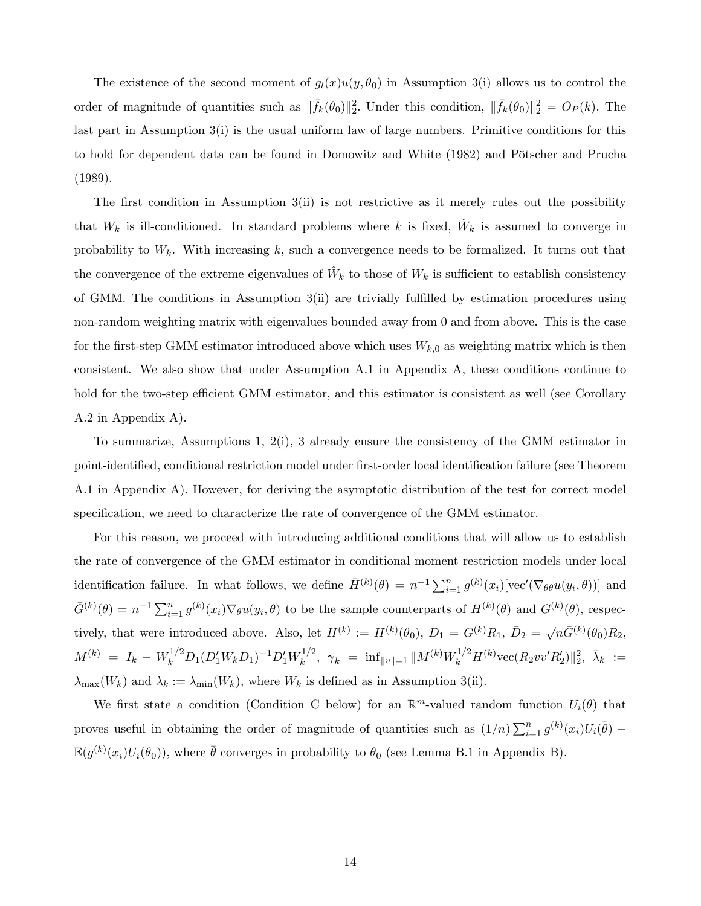The existence of the second moment of  $g_l(x)u(y, \theta_0)$  in Assumption 3(i) allows us to control the order of magnitude of quantities such as  $\|\bar{f}_k(\theta_0)\|_2^2$ . Under this condition,  $\|\bar{f}_k(\theta_0)\|_2^2 = O_P(k)$ . The last part in Assumption 3(i) is the usual uniform law of large numbers. Primitive conditions for this to hold for dependent data can be found in Domowitz and White (1982) and Pˆtscher and Prucha (1989).

The first condition in Assumption  $3(i)$  is not restrictive as it merely rules out the possibility that  $W_k$  is ill-conditioned. In standard problems where k is fixed,  $\hat{W}_k$  is assumed to converge in probability to  $W_k$ . With increasing k, such a convergence needs to be formalized. It turns out that the convergence of the extreme eigenvalues of  $\hat{W}_k$  to those of  $W_k$  is sufficient to establish consistency of GMM. The conditions in Assumption  $3(ii)$  are trivially fulfilled by estimation procedures using non-random weighting matrix with eigenvalues bounded away from 0 and from above. This is the case for the first-step GMM estimator introduced above which uses  $W_{k,0}$  as weighting matrix which is then consistent. We also show that under Assumption A.1 in Appendix A, these conditions continue to hold for the two-step efficient GMM estimator, and this estimator is consistent as well (see Corollary A.2 in Appendix A).

To summarize, Assumptions 1, 2(i), 3 already ensure the consistency of the GMM estimator in point-identified, conditional restriction model under first-order local identification failure (see Theorem A.1 in Appendix A). However, for deriving the asymptotic distribution of the test for correct model specification, we need to characterize the rate of convergence of the GMM estimator.

For this reason, we proceed with introducing additional conditions that will allow us to establish the rate of convergence of the GMM estimator in conditional moment restriction models under local identification failure. In what follows, we define  $\bar{H}^{(k)}(\theta) = n^{-1} \sum_{i=1}^{n} g^{(k)}(x_i) [\text{vec}'(\nabla_{\theta} \theta u(y_i, \theta))]$  and  $\bar{G}^{(k)}(\theta) = n^{-1} \sum_{i=1}^{n} g^{(k)}(x_i) \nabla_{\theta} u(y_i, \theta)$  to be the sample counterparts of  $H^{(k)}(\theta)$  and  $G^{(k)}(\theta)$ , respectively, that were introduced above. Also, let  $H^{(k)} := H^{(k)}(\theta_0)$ ,  $D_1 = G^{(k)}R_1$ ,  $\bar{D}_2 = \sqrt{n}\bar{G}^{(k)}(\theta_0)R_2$ ,  $M^{(k)} = I_k - W_k^{1/2} D_1 (D'_1 W_k D_1)^{-1} D'_1 W_k^{1/2}$  $\lambda_k^{1/2}, \ \ \gamma_k \ = \ \ \inf_{\|v\|=1} \| M^{(k)} W_k^{1/2} H^{(k)} \text{vec} (R_2 v v' R_2') \|_2^2, \ \ \bar{\lambda}_k \ :=$  $\lambda_{\max}(W_k)$  and  $\lambda_k := \lambda_{\min}(W_k)$ , where  $W_k$  is defined as in Assumption 3(ii).

We first state a condition (Condition C below) for an  $\mathbb{R}^m$ -valued random function  $U_i(\theta)$  that proves useful in obtaining the order of magnitude of quantities such as  $(1/n)\sum_{i=1}^n g^{(k)}(x_i)U_i(\bar{\theta})$  $\mathbb{E}(g^{(k)}(x_i)U_i(\theta_0))$ , where  $\bar{\theta}$  converges in probability to  $\theta_0$  (see Lemma B.1 in Appendix B).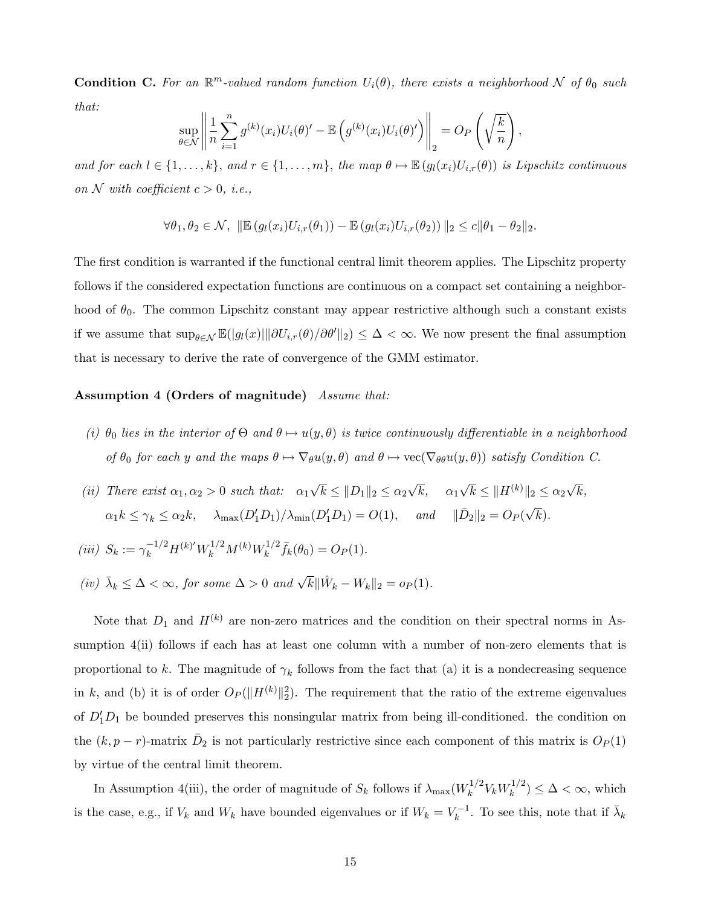**Condition C.** For an  $\mathbb{R}^m$ -valued random function  $U_i(\theta)$ , there exists a neighborhood N of  $\theta_0$  such that:

$$
\sup_{\theta \in \mathcal{N}} \left\| \frac{1}{n} \sum_{i=1}^n g^{(k)}(x_i) U_i(\theta)' - \mathbb{E} \left( g^{(k)}(x_i) U_i(\theta)' \right) \right\|_2 = O_P \left( \sqrt{\frac{k}{n}} \right),
$$

and for each  $l \in \{1, ..., k\}$ , and  $r \in \{1, ..., m\}$ , the map  $\theta \mapsto \mathbb{E}(g_l(x_i)U_{i,r}(\theta))$  is Lipschitz continuous on N with coefficient  $c > 0$ , i.e.,

$$
\forall \theta_1, \theta_2 \in \mathcal{N}, \ \|\mathbb{E}\left(g_l(x_i)U_{i,r}(\theta_1)\right) - \mathbb{E}\left(g_l(x_i)U_{i,r}(\theta_2)\right)\|_2 \leq c\|\theta_1 - \theta_2\|_2.
$$

The first condition is warranted if the functional central limit theorem applies. The Lipschitz property follows if the considered expectation functions are continuous on a compact set containing a neighborhood of  $\theta_0$ . The common Lipschitz constant may appear restrictive although such a constant exists if we assume that  $\sup_{\theta \in \mathcal{N}} \mathbb{E}(|g_l(x)| \|\partial U_{i,r}(\theta)/\partial \theta'\|_2) \leq \Delta < \infty$ . We now present the final assumption that is necessary to derive the rate of convergence of the GMM estimator.

### Assumption 4 (Orders of magnitude) Assume that:

- (i)  $\theta_0$  lies in the interior of  $\Theta$  and  $\theta \mapsto u(y, \theta)$  is twice continuously differentiable in a neighborhood of  $\theta_0$  for each y and the maps  $\theta \mapsto \nabla_{\theta} u(y, \theta)$  and  $\theta \mapsto \text{vec}(\nabla_{\theta \theta} u(y, \theta))$  satisfy Condition C.
- (ii) There exist  $\alpha_1, \alpha_2 > 0$  such that:  $\alpha_1 \sqrt{k} \leq ||D_1||_2 \leq \alpha_2 \sqrt{k}$ ,  $\alpha_1 \sqrt{k} \leq ||H^{(k)}||_2 \leq \alpha_2 \sqrt{k}$ ,  $\alpha_1 k \leq \gamma_k \leq \alpha_2 k$ ,  $\lambda_{\max}(D'_1 D_1) / \lambda_{\min}(D'_1 D_1) = O(1)$ , and  $\|\bar{D}_2\|_2 = O_P(\sqrt{k})$ .
- (iii)  $S_k := \gamma_k^{-1/2} H^{(k)'} W_k^{1/2} M^{(k)} W_k^{1/2}$  $f_k^{1/2} \bar{f}_k(\theta_0) = O_P(1).$
- (iv)  $\bar{\lambda}_k \leq \Delta < \infty$ , for some  $\Delta > 0$  and  $\sqrt{k} || \hat{W}_k W_k ||_2 = o_P(1)$ .

Note that  $D_1$  and  $H^{(k)}$  are non-zero matrices and the condition on their spectral norms in Assumption  $4(ii)$  follows if each has at least one column with a number of non-zero elements that is proportional to k. The magnitude of  $\gamma_k$  follows from the fact that (a) it is a nondecreasing sequence in k, and (b) it is of order  $O_P(\Vert H^{(k)} \Vert_2^2)$ . The requirement that the ratio of the extreme eigenvalues of  $D_1'D_1$  be bounded preserves this nonsingular matrix from being ill-conditioned. the condition on the  $(k, p - r)$ -matrix  $\bar{D}_2$  is not particularly restrictive since each component of this matrix is  $O_P(1)$ by virtue of the central limit theorem.

In Assumption 4(iii), the order of magnitude of  $S_k$  follows if  $\lambda_{\max}(W_k^{1/2})$  $k^{1/2} V_k W_k^{1/2}$  $\binom{n}{k} \leq \Delta < \infty$ , which is the case, e.g., if  $V_k$  and  $W_k$  have bounded eigenvalues or if  $W_k = V_k^{-1}$ . To see this, note that if  $\bar{\lambda}_k$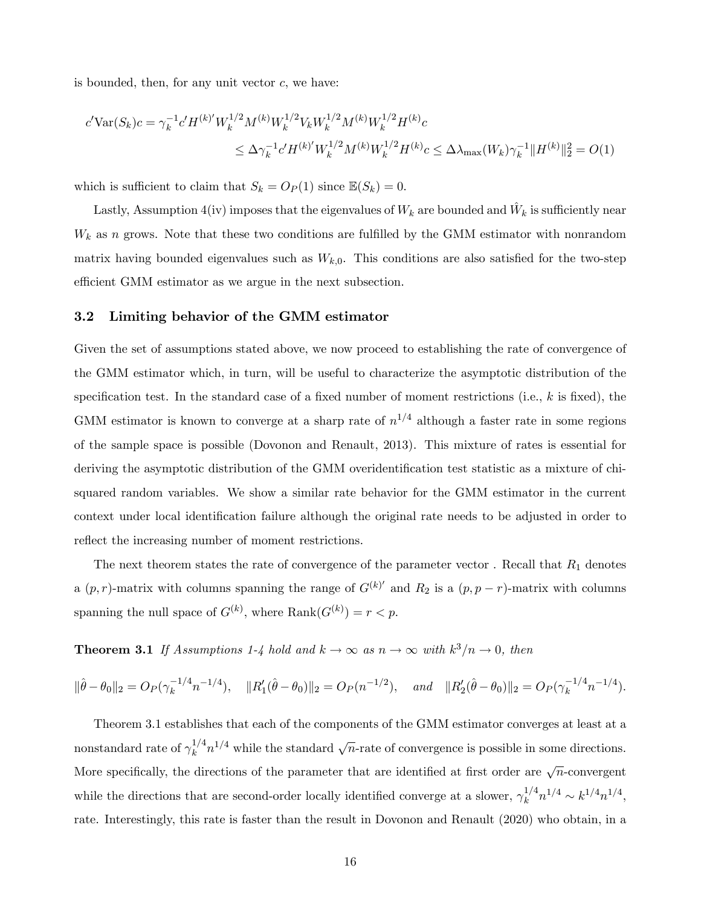is bounded, then, for any unit vector  $c$ , we have:

$$
c' \text{Var}(S_k)c = \gamma_k^{-1} c' H^{(k)'} W_k^{1/2} M^{(k)} W_k^{1/2} V_k W_k^{1/2} M^{(k)} W_k^{1/2} H^{(k)} c
$$
  

$$
\leq \Delta \gamma_k^{-1} c' H^{(k)'} W_k^{1/2} M^{(k)} W_k^{1/2} H^{(k)} c \leq \Delta \lambda_{\text{max}} (W_k) \gamma_k^{-1} \| H^{(k)} \|_2^2 = O(1)
$$

which is sufficient to claim that  $S_k = O_P(1)$  since  $\mathbb{E}(S_k) = 0$ .

Lastly, Assumption 4(iv) imposes that the eigenvalues of  $W_k$  are bounded and  $\hat{W}_k$  is sufficiently near  $W_k$  as n grows. Note that these two conditions are fulfilled by the GMM estimator with nonrandom matrix having bounded eigenvalues such as  $W_{k,0}$ . This conditions are also satisfied for the two-step efficient GMM estimator as we argue in the next subsection.

#### 3.2 Limiting behavior of the GMM estimator

Given the set of assumptions stated above, we now proceed to establishing the rate of convergence of the GMM estimator which, in turn, will be useful to characterize the asymptotic distribution of the specification test. In the standard case of a fixed number of moment restrictions (i.e.,  $k$  is fixed), the GMM estimator is known to converge at a sharp rate of  $n^{1/4}$  although a faster rate in some regions of the sample space is possible (Dovonon and Renault, 2013). This mixture of rates is essential for deriving the asymptotic distribution of the GMM overidentification test statistic as a mixture of chisquared random variables. We show a similar rate behavior for the GMM estimator in the current context under local identification failure although the original rate needs to be adjusted in order to reflect the increasing number of moment restrictions.

The next theorem states the rate of convergence of the parameter vector . Recall that  $R_1$  denotes a  $(p, r)$ -matrix with columns spanning the range of  $G^{(k)'}$  and  $R_2$  is a  $(p, p - r)$ -matrix with columns spanning the null space of  $G^{(k)}$ , where  $\text{Rank}(G^{(k)}) = r < p$ .

**Theorem 3.1** If Assumptions 1-4 hold and  $k \to \infty$  as  $n \to \infty$  with  $k^3/n \to 0$ , then

$$
\|\hat{\theta} - \theta_0\|_2 = O_P(\gamma_k^{-1/4}n^{-1/4}), \quad \|R_1'(\hat{\theta} - \theta_0)\|_2 = O_P(n^{-1/2}), \quad \text{and} \quad \|R_2'(\hat{\theta} - \theta_0)\|_2 = O_P(\gamma_k^{-1/4}n^{-1/4}).
$$

Theorem 3.1 establishes that each of the components of the GMM estimator converges at least at a nonstandard rate of  $\gamma_k^{1/4}$  $\frac{1}{k}n^{1/4}$  while the standard  $\sqrt{n}$ -rate of convergence is possible in some directions. More specifically, the directions of the parameter that are identified at first order are  $\sqrt{n}$ -convergent while the directions that are second-order locally identified converge at a slower,  $\gamma_k^{1/4}$  $k^{1/4}n^{1/4} \sim k^{1/4}n^{1/4},$ rate. Interestingly, this rate is faster than the result in Dovonon and Renault (2020) who obtain, in a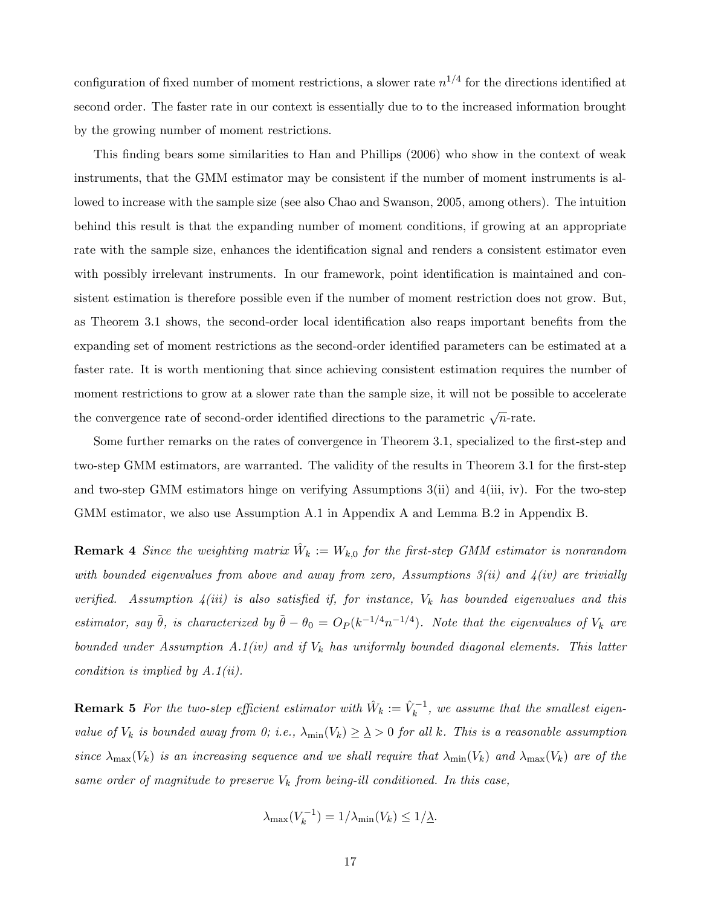configuration of fixed number of moment restrictions, a slower rate  $n^{1/4}$  for the directions identified at second order. The faster rate in our context is essentially due to to the increased information brought by the growing number of moment restrictions.

This finding bears some similarities to Han and Phillips (2006) who show in the context of weak instruments, that the GMM estimator may be consistent if the number of moment instruments is allowed to increase with the sample size (see also Chao and Swanson, 2005, among others). The intuition behind this result is that the expanding number of moment conditions, if growing at an appropriate rate with the sample size, enhances the identification signal and renders a consistent estimator even with possibly irrelevant instruments. In our framework, point identification is maintained and consistent estimation is therefore possible even if the number of moment restriction does not grow. But, as Theorem 3.1 shows, the second-order local identification also reaps important benefits from the expanding set of moment restrictions as the second-order identified parameters can be estimated at a faster rate. It is worth mentioning that since achieving consistent estimation requires the number of moment restrictions to grow at a slower rate than the sample size, it will not be possible to accelerate the convergence rate of second-order identified directions to the parametric  $\sqrt{n}$ -rate.

Some further remarks on the rates of convergence in Theorem 3.1, specialized to the first-step and two-step GMM estimators, are warranted. The validity of the results in Theorem 3.1 for the first-step and two-step GMM estimators hinge on verifying Assumptions 3(ii) and 4(iii, iv). For the two-step GMM estimator, we also use Assumption A.1 in Appendix A and Lemma B.2 in Appendix B.

**Remark 4** Since the weighting matrix  $\hat{W}_k := W_{k,0}$  for the first-step GMM estimator is nonrandom with bounded eigenvalues from above and away from zero, Assumptions  $3(ii)$  and  $4(iv)$  are trivially verified. Assumption  $4(iii)$  is also satisfied if, for instance,  $V_k$  has bounded eigenvalues and this estimator, say  $\tilde{\theta}$ , is characterized by  $\tilde{\theta} - \theta_0 = O_P(k^{-1/4}n^{-1/4})$ . Note that the eigenvalues of  $V_k$  are bounded under Assumption A.1(iv) and if  $V_k$  has uniformly bounded diagonal elements. This latter condition is implied by  $A.1(ii)$ .

**Remark 5** For the two-step efficient estimator with  $\hat{W}_k := \hat{V}_k^{-1}$ , we assume that the smallest eigenvalue of  $V_k$  is bounded away from 0; i.e.,  $\lambda_{\min}(V_k) \geq \lambda > 0$  for all k. This is a reasonable assumption since  $\lambda_{\max}(V_k)$  is an increasing sequence and we shall require that  $\lambda_{\min}(V_k)$  and  $\lambda_{\max}(V_k)$  are of the same order of magnitude to preserve  $V_k$  from being-ill conditioned. In this case,

$$
\lambda_{\max}(V_k^{-1}) = 1/\lambda_{\min}(V_k) \le 1/\underline{\lambda}.
$$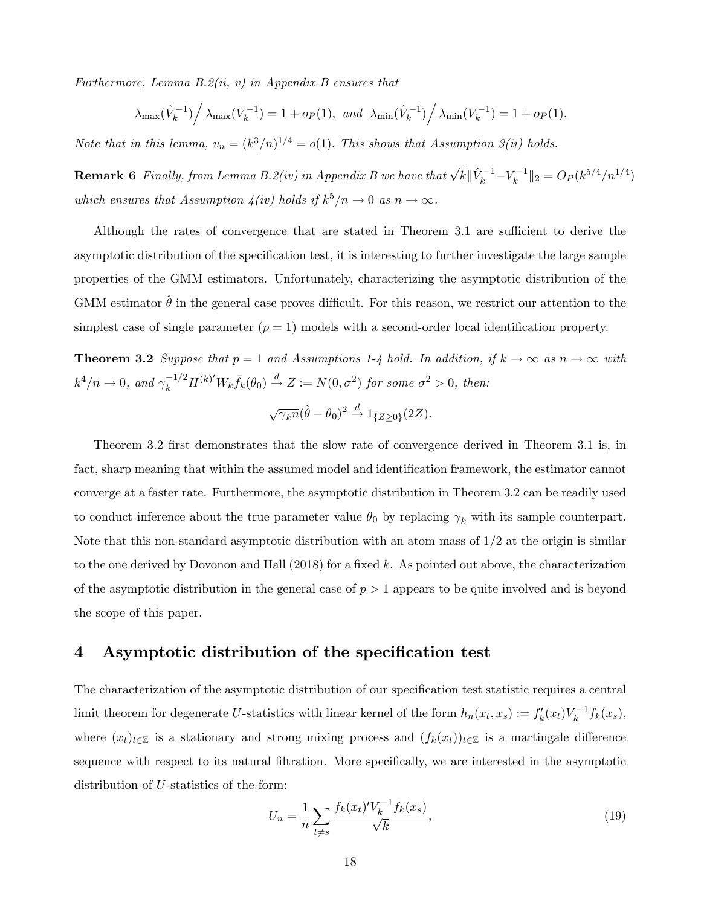Furthermore, Lemma  $B.2(ii, v)$  in Appendix B ensures that

$$
\lambda_{\max}(\hat{V}_k^{-1}) / \lambda_{\max}(V_k^{-1}) = 1 + o_P(1), \text{ and } \lambda_{\min}(\hat{V}_k^{-1}) / \lambda_{\min}(V_k^{-1}) = 1 + o_P(1).
$$

Note that in this lemma,  $v_n = (k^3/n)^{1/4} = o(1)$ . This shows that Assumption 3(ii) holds.

**Remark 6** Finally, from Lemma B.2(iv) in Appendix B we have that  $\sqrt{k} \|\hat{V}_k^{-1} - V_k^{-1}\|_2 = O_P(k^{5/4}/n^{1/4})$ which ensures that Assumption  $\lambda(iv)$  holds if  $k^5/n \to 0$  as  $n \to \infty$ .

Although the rates of convergence that are stated in Theorem  $3.1$  are sufficient to derive the asymptotic distribution of the specification test, it is interesting to further investigate the large sample properties of the GMM estimators. Unfortunately, characterizing the asymptotic distribution of the GMM estimator  $\theta$  in the general case proves difficult. For this reason, we restrict our attention to the simplest case of single parameter  $(p = 1)$  models with a second-order local identification property.

**Theorem 3.2** Suppose that  $p = 1$  and Assumptions 1-4 hold. In addition, if  $k \to \infty$  as  $n \to \infty$  with  $k^4/n \to 0$ , and  $\gamma_k^{-1/2} H^{(k)'} W_k \bar{f}_k(\theta_0) \stackrel{d}{\to} Z := N(0, \sigma^2)$  for some  $\sigma^2 > 0$ , then:

$$
\sqrt{\gamma_k n}(\hat{\theta} - \theta_0)^2 \stackrel{d}{\rightarrow} 1_{\{Z \ge 0\}}(2Z).
$$

Theorem 3.2 first demonstrates that the slow rate of convergence derived in Theorem 3.1 is, in fact, sharp meaning that within the assumed model and identification framework, the estimator cannot converge at a faster rate. Furthermore, the asymptotic distribution in Theorem 3.2 can be readily used to conduct inference about the true parameter value  $\theta_0$  by replacing  $\gamma_k$  with its sample counterpart. Note that this non-standard asymptotic distribution with an atom mass of  $1/2$  at the origin is similar to the one derived by Dovonon and Hall  $(2018)$  for a fixed k. As pointed out above, the characterization of the asymptotic distribution in the general case of  $p > 1$  appears to be quite involved and is beyond the scope of this paper.

### 4 Asymptotic distribution of the specification test

The characterization of the asymptotic distribution of our specification test statistic requires a central limit theorem for degenerate U-statistics with linear kernel of the form  $h_n(x_t, x_s) := f'_k(x_t) V_k^{-1} f_k(x_s)$ , where  $(x_t)_{t\in\mathbb{Z}}$  is a stationary and strong mixing process and  $(f_k(x_t))_{t\in\mathbb{Z}}$  is a martingale difference sequence with respect to its natural filtration. More specifically, we are interested in the asymptotic distribution of U-statistics of the form:

$$
U_n = \frac{1}{n} \sum_{t \neq s} \frac{f_k(x_t)' V_k^{-1} f_k(x_s)}{\sqrt{k}},\tag{19}
$$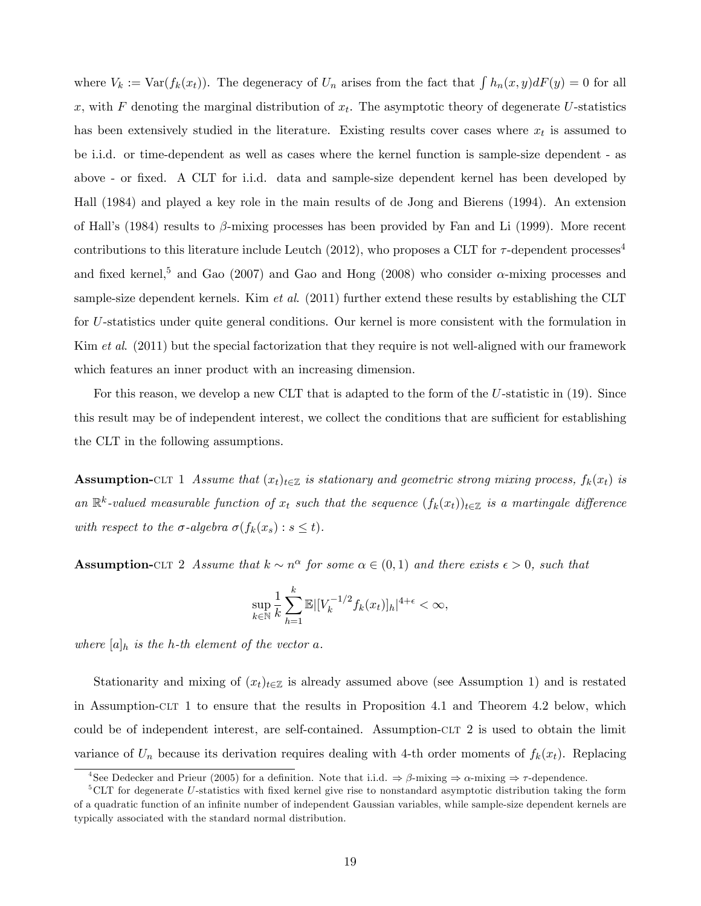where  $V_k := \text{Var}(f_k(x_t))$ . The degeneracy of  $U_n$  arises from the fact that  $\int h_n(x, y) dF(y) = 0$  for all x, with  $F$  denoting the marginal distribution of  $x_t$ . The asymptotic theory of degenerate U-statistics has been extensively studied in the literature. Existing results cover cases where  $x_t$  is assumed to be i.i.d. or time-dependent as well as cases where the kernel function is sample-size dependent - as above - or fixed. A CLT for i.i.d. data and sample-size dependent kernel has been developed by Hall (1984) and played a key role in the main results of de Jong and Bierens (1994). An extension of Hall's (1984) results to  $\beta$ -mixing processes has been provided by Fan and Li (1999). More recent contributions to this literature include Leutch (2012), who proposes a CLT for  $\tau$ -dependent processes<sup>4</sup> and fixed kernel,<sup>5</sup> and Gao (2007) and Gao and Hong (2008) who consider  $\alpha$ -mixing processes and sample-size dependent kernels. Kim *et al.* (2011) further extend these results by establishing the CLT for U-statistics under quite general conditions. Our kernel is more consistent with the formulation in Kim *et al.* (2011) but the special factorization that they require is not well-aligned with our framework which features an inner product with an increasing dimension.

For this reason, we develop a new CLT that is adapted to the form of the U-statistic in (19). Since this result may be of independent interest, we collect the conditions that are sufficient for establishing the CLT in the following assumptions.

**Assumption-CLT** 1 Assume that  $(x_t)_{t\in\mathbb{Z}}$  is stationary and geometric strong mixing process,  $f_k(x_t)$  is an  $\mathbb{R}^k$ -valued measurable function of  $x_t$  such that the sequence  $(f_k(x_t))_{t\in\mathbb{Z}}$  is a martingale difference with respect to the  $\sigma$ -algebra  $\sigma(f_k(x_s) : s \le t)$ .

**Assumption-CLT** 2 Assume that  $k \sim n^{\alpha}$  for some  $\alpha \in (0, 1)$  and there exists  $\epsilon > 0$ , such that

$$
\sup_{k \in \mathbb{N}} \frac{1}{k} \sum_{h=1}^{k} \mathbb{E} |[V_k^{-1/2} f_k(x_t)]_h|^{4+\epsilon} < \infty,
$$

where  $[a]_h$  is the h-th element of the vector a.

Stationarity and mixing of  $(x_t)_{t\in\mathbb{Z}}$  is already assumed above (see Assumption 1) and is restated in Assumption-clt 1 to ensure that the results in Proposition 4.1 and Theorem 4.2 below, which could be of independent interest, are self-contained. Assumption-clt 2 is used to obtain the limit variance of  $U_n$  because its derivation requires dealing with 4-th order moments of  $f_k(x_t)$ . Replacing

<sup>&</sup>lt;sup>4</sup>See Dedecker and Prieur (2005) for a definition. Note that i.i.d.  $\Rightarrow \beta$ -mixing  $\Rightarrow \alpha$ -mixing  $\Rightarrow \tau$ -dependence.

 ${}^{5}$ CLT for degenerate U-statistics with fixed kernel give rise to nonstandard asymptotic distribution taking the form of a quadratic function of an inÖnite number of independent Gaussian variables, while sample-size dependent kernels are typically associated with the standard normal distribution.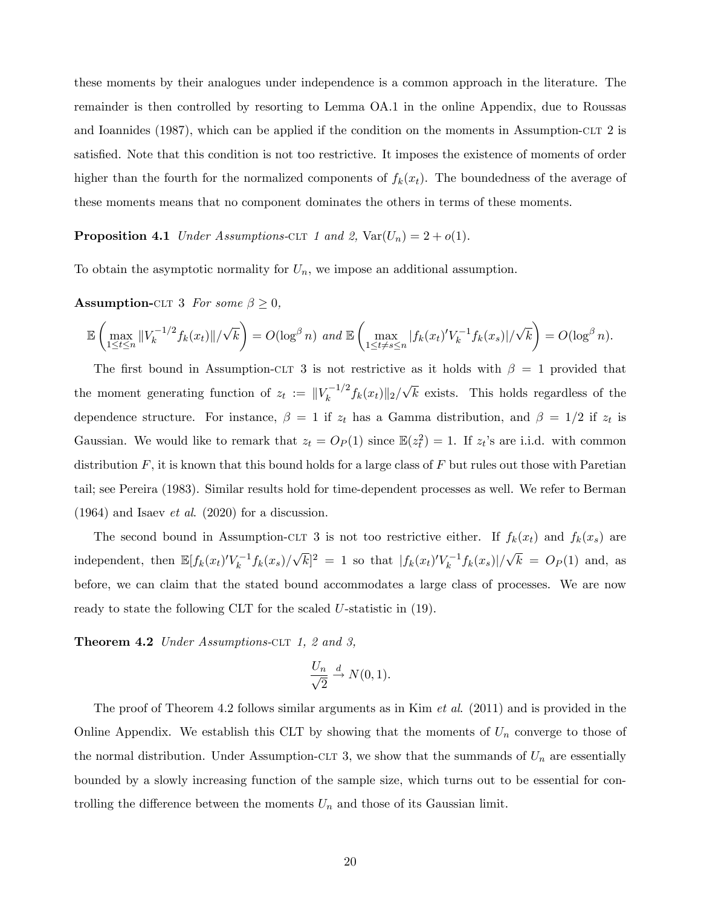these moments by their analogues under independence is a common approach in the literature. The remainder is then controlled by resorting to Lemma OA.1 in the online Appendix, due to Roussas and Ioannides (1987), which can be applied if the condition on the moments in Assumption-CLT 2 is satisfied. Note that this condition is not too restrictive. It imposes the existence of moments of order higher than the fourth for the normalized components of  $f_k(x_t)$ . The boundedness of the average of these moments means that no component dominates the others in terms of these moments.

### **Proposition 4.1** Under Assumptions-CLT 1 and 2,  $\text{Var}(U_n) = 2 + o(1)$ .

To obtain the asymptotic normality for  $U_n$ , we impose an additional assumption.

**Assumption-CLT** 3 For some  $\beta \geq 0$ ,

$$
\mathbb{E}\left(\max_{1\leq t\leq n}||V_k^{-1/2}f_k(x_t)||/\sqrt{k}\right)=O(\log^{\beta} n) \text{ and } \mathbb{E}\left(\max_{1\leq t\neq s\leq n}|f_k(x_t)'V_k^{-1}f_k(x_s)|/\sqrt{k}\right)=O(\log^{\beta} n).
$$

The first bound in Assumption-CLT 3 is not restrictive as it holds with  $\beta = 1$  provided that the moment generating function of  $z_t := ||V_k^{-1/2} f_k(x_t)||_2 / \sqrt{k}$  exists. This holds regardless of the dependence structure. For instance,  $\beta = 1$  if  $z_t$  has a Gamma distribution, and  $\beta = 1/2$  if  $z_t$  is Gaussian. We would like to remark that  $z_t = O_P(1)$  since  $\mathbb{E}(z_t^2) = 1$ . If  $z_t$ 's are i.i.d. with common distribution  $F$ , it is known that this bound holds for a large class of  $F$  but rules out those with Paretian tail; see Pereira (1983). Similar results hold for time-dependent processes as well. We refer to Berman  $(1964)$  and Isaev *et al.*  $(2020)$  for a discussion.

The second bound in Assumption-CLT 3 is not too restrictive either. If  $f_k(x_t)$  and  $f_k(x_s)$  are independent, then  $\mathbb{E}[f_k(x_t)'V_k^{-1}f_k(x_s)/\sqrt{k}]^2 = 1$  so that  $|f_k(x_t)'V_k^{-1}f_k(x_s)|/\sqrt{k} = O_P(1)$  and, as before, we can claim that the stated bound accommodates a large class of processes. We are now ready to state the following CLT for the scaled U-statistic in (19).

**Theorem 4.2** Under Assumptions-CLT 1, 2 and 3,

$$
\frac{U_n}{\sqrt{2}} \xrightarrow{d} N(0,1).
$$

The proof of Theorem 4.2 follows similar arguments as in Kim *et al.* (2011) and is provided in the Online Appendix. We establish this CLT by showing that the moments of  $U_n$  converge to those of the normal distribution. Under Assumption-CLT 3, we show that the summands of  $U_n$  are essentially bounded by a slowly increasing function of the sample size, which turns out to be essential for controlling the difference between the moments  $U_n$  and those of its Gaussian limit.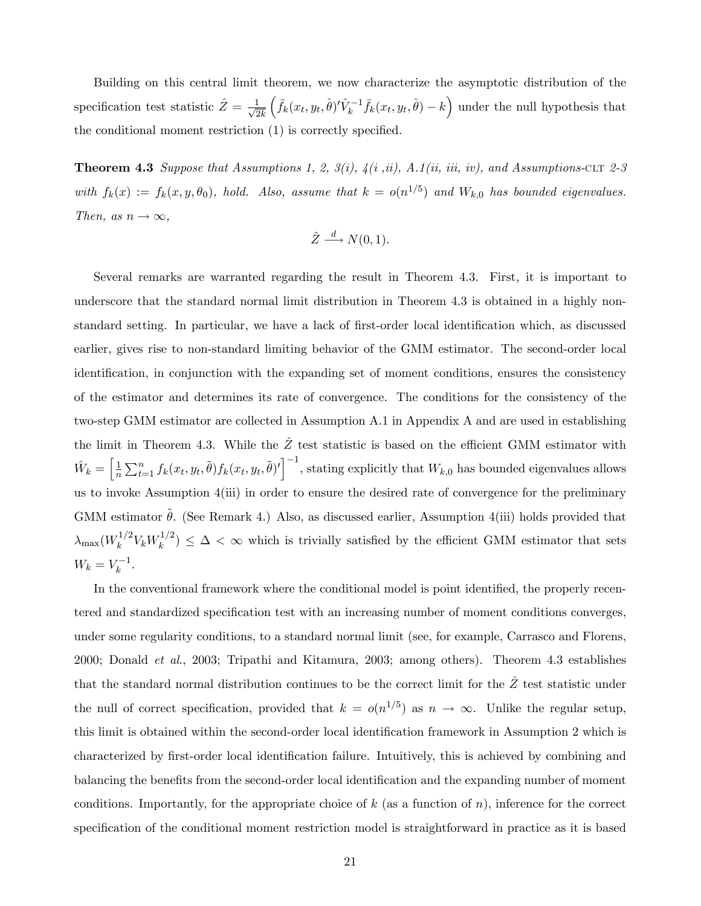Building on this central limit theorem, we now characterize the asymptotic distribution of the specification test statistic  $\hat{Z} = \frac{1}{\sqrt{2}}$  $2k$  $\left(\bar{f}_k(x_t, y_t, \hat{\theta})' \hat{V}_k^{-1} \bar{f}_k(x_t, y_t, \hat{\theta}) - k\right)$  under the null hypothesis that the conditional moment restriction (1) is correctly specified.

**Theorem 4.3** Suppose that Assumptions 1, 2, 3(i),  $\mathcal{A}(i, ii)$ , A.1(ii, iii, iv), and Assumptions-CLT 2-3 with  $f_k(x) := f_k(x, y, \theta_0)$ , hold. Also, assume that  $k = o(n^{1/5})$  and  $W_{k,0}$  has bounded eigenvalues. Then, as  $n \to \infty$ ,

$$
\hat{Z} \stackrel{d}{\longrightarrow} N(0,1).
$$

Several remarks are warranted regarding the result in Theorem 4.3. First, it is important to underscore that the standard normal limit distribution in Theorem 4.3 is obtained in a highly nonstandard setting. In particular, we have a lack of first-order local identification which, as discussed earlier, gives rise to non-standard limiting behavior of the GMM estimator. The second-order local identification, in conjunction with the expanding set of moment conditions, ensures the consistency of the estimator and determines its rate of convergence. The conditions for the consistency of the two-step GMM estimator are collected in Assumption A.1 in Appendix A and are used in establishing the limit in Theorem 4.3. While the  $\hat{Z}$  test statistic is based on the efficient GMM estimator with  $\hat{W}_k = \left[\frac{1}{n}\right]$  $\frac{1}{n}\sum_{t=1}^{n} f_k(x_t, y_t, \tilde{\theta}) f_k(x_t, y_t, \tilde{\theta})' \Big]^{-1}$ , stating explicitly that  $W_{k,0}$  has bounded eigenvalues allows us to invoke Assumption 4(iii) in order to ensure the desired rate of convergence for the preliminary GMM estimator  $\theta$ . (See Remark 4.) Also, as discussed earlier, Assumption 4(iii) holds provided that  $\lambda_{\text{max}}(W_k^{1/2}$  $k^{1/2} V_k W_k^{1/2}$  $(k_k^{1/2}) \leq \Delta < \infty$  which is trivially satisfied by the efficient GMM estimator that sets  $W_k = V_k^{-1}$ .

In the conventional framework where the conditional model is point identified, the properly recentered and standardized specification test with an increasing number of moment conditions converges, under some regularity conditions, to a standard normal limit (see, for example, Carrasco and Florens, 2000; Donald et al., 2003; Tripathi and Kitamura, 2003; among others). Theorem 4.3 establishes that the standard normal distribution continues to be the correct limit for the  $\hat{Z}$  test statistic under the null of correct specification, provided that  $k = o(n^{1/5})$  as  $n \to \infty$ . Unlike the regular setup, this limit is obtained within the second-order local identification framework in Assumption 2 which is characterized by Örst-order local identiÖcation failure. Intuitively, this is achieved by combining and balancing the benefits from the second-order local identification and the expanding number of moment conditions. Importantly, for the appropriate choice of  $k$  (as a function of n), inference for the correct specification of the conditional moment restriction model is straightforward in practice as it is based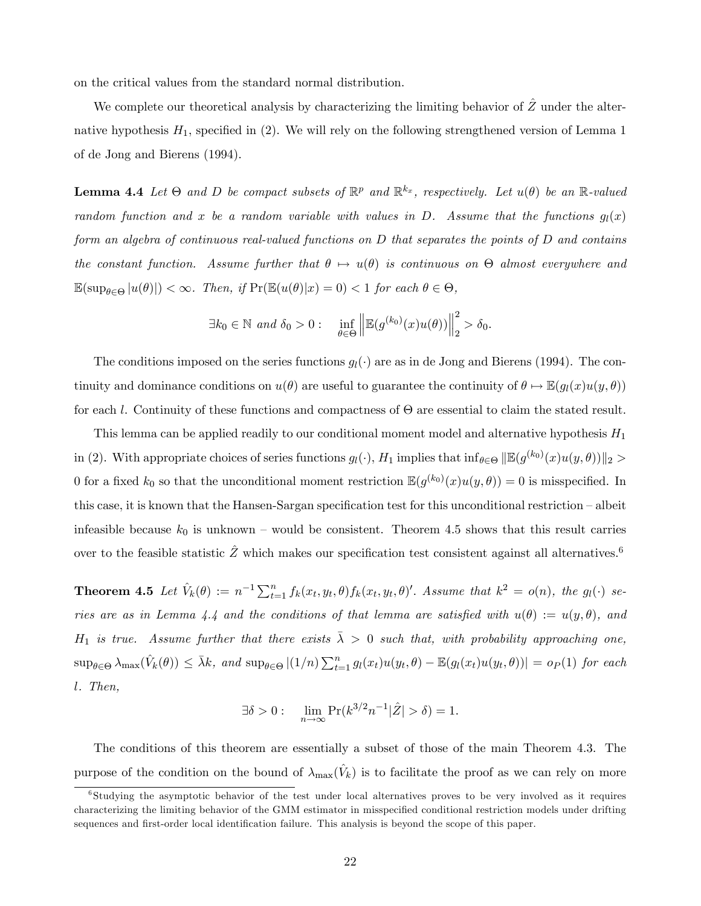on the critical values from the standard normal distribution.

We complete our theoretical analysis by characterizing the limiting behavior of  $\hat{Z}$  under the alternative hypothesis  $H_1$ , specified in (2). We will rely on the following strengthened version of Lemma 1 of de Jong and Bierens (1994).

**Lemma 4.4** Let  $\Theta$  and  $D$  be compact subsets of  $\mathbb{R}^p$  and  $\mathbb{R}^{k_x}$ , respectively. Let  $u(\theta)$  be an  $\mathbb{R}$ -valued random function and x be a random variable with values in D. Assume that the functions  $g_l(x)$ form an algebra of continuous real-valued functions on D that separates the points of D and contains the constant function. Assume further that  $\theta \mapsto u(\theta)$  is continuous on  $\Theta$  almost everywhere and  $\mathbb{E}(\sup_{\theta \in \Theta} |u(\theta)|) < \infty$ . Then, if  $\Pr(\mathbb{E}(u(\theta)|x) = 0) < 1$  for each  $\theta \in \Theta$ ,

$$
\exists k_0 \in \mathbb{N} \ and \ \delta_0 > 0 : \quad \inf_{\theta \in \Theta} \left\| \mathbb{E}(g^{(k_0)}(x)u(\theta)) \right\|_2^2 > \delta_0.
$$

The conditions imposed on the series functions  $q_l(\cdot)$  are as in de Jong and Bierens (1994). The continuity and dominance conditions on  $u(\theta)$  are useful to guarantee the continuity of  $\theta \mapsto \mathbb{E}(g_l(x)u(y, \theta))$ for each l. Continuity of these functions and compactness of  $\Theta$  are essential to claim the stated result.

This lemma can be applied readily to our conditional moment model and alternative hypothesis  $H_1$ in (2). With appropriate choices of series functions  $g_l(\cdot), H_1$  implies that  $\inf_{\theta \in \Theta} ||\mathbb{E}(g^{(k_0)}(x)u(y, \theta)||_2 >$ 0 for a fixed  $k_0$  so that the unconditional moment restriction  $\mathbb{E}(g^{(k_0)}(x)u(y,\theta)) = 0$  is misspecified. In this case, it is known that the Hansen-Sargan specification test for this unconditional restriction  $-$  albeit infeasible because  $k_0$  is unknown – would be consistent. Theorem 4.5 shows that this result carries over to the feasible statistic  $\ddot{Z}$  which makes our specification test consistent against all alternatives.<sup>6</sup>

**Theorem 4.5** Let  $\hat{V}_k(\theta) := n^{-1} \sum_{t=1}^n f_k(x_t, y_t, \theta) f_k(x_t, y_t, \theta)'$ . Assume that  $k^2 = o(n)$ , the  $g_l(\cdot)$  series are as in Lemma 4.4 and the conditions of that lemma are satisfied with  $u(\theta) := u(y, \theta)$ , and  $H_1$  is true. Assume further that there exists  $\bar{\lambda} > 0$  such that, with probability approaching one,  $\sup_{\theta \in \Theta} \lambda_{\max}(\hat{V}_k(\theta)) \leq \bar{\lambda}k$ , and  $\sup_{\theta \in \Theta} |(1/n) \sum_{t=1}^n g_l(x_t)u(y_t, \theta) - \mathbb{E}(g_l(x_t)u(y_t, \theta))| = o_P(1)$  for each l. Then,

$$
\exists \delta > 0: \quad \lim_{n \to \infty} \Pr(k^{3/2} n^{-1} |\hat{Z}| > \delta) = 1.
$$

The conditions of this theorem are essentially a subset of those of the main Theorem 4.3. The purpose of the condition on the bound of  $\lambda_{\text{max}}(\hat{V}_k)$  is to facilitate the proof as we can rely on more

<sup>&</sup>lt;sup>6</sup>Studying the asymptotic behavior of the test under local alternatives proves to be very involved as it requires characterizing the limiting behavior of the GMM estimator in misspecified conditional restriction models under drifting sequences and first-order local identification failure. This analysis is beyond the scope of this paper.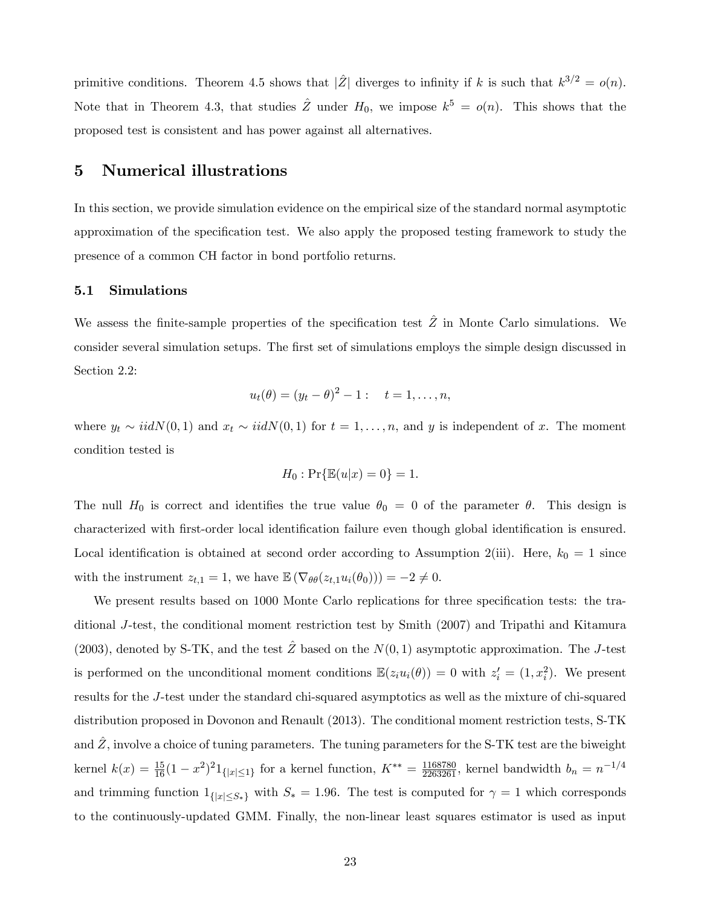primitive conditions. Theorem 4.5 shows that  $|\hat{Z}|$  diverges to infinity if k is such that  $k^{3/2} = o(n)$ . Note that in Theorem 4.3, that studies  $\hat{Z}$  under  $H_0$ , we impose  $k^5 = o(n)$ . This shows that the proposed test is consistent and has power against all alternatives.

### 5 Numerical illustrations

In this section, we provide simulation evidence on the empirical size of the standard normal asymptotic approximation of the specification test. We also apply the proposed testing framework to study the presence of a common CH factor in bond portfolio returns.

### 5.1 Simulations

We assess the finite-sample properties of the specification test  $\hat{Z}$  in Monte Carlo simulations. We consider several simulation setups. The first set of simulations employs the simple design discussed in Section 2.2:

$$
u_t(\theta) = (y_t - \theta)^2 - 1
$$
:  $t = 1,..., n$ ,

where  $y_t \sim \text{iid}N(0, 1)$  and  $x_t \sim \text{iid}N(0, 1)$  for  $t = 1, \ldots, n$ , and y is independent of x. The moment condition tested is

$$
H_0: \Pr\{\mathbb{E}(u|x) = 0\} = 1.
$$

The null  $H_0$  is correct and identifies the true value  $\theta_0 = 0$  of the parameter  $\theta$ . This design is characterized with first-order local identification failure even though global identification is ensured. Local identification is obtained at second order according to Assumption 2(iii). Here,  $k_0 = 1$  since with the instrument  $z_{t,1} = 1$ , we have  $\mathbb{E} (\nabla_{\theta \theta}(z_{t,1}u_i(\theta_0))) = -2 \neq 0$ .

We present results based on 1000 Monte Carlo replications for three specification tests: the traditional J-test, the conditional moment restriction test by Smith (2007) and Tripathi and Kitamura (2003), denoted by S-TK, and the test  $\ddot{Z}$  based on the  $N(0, 1)$  asymptotic approximation. The J-test is performed on the unconditional moment conditions  $\mathbb{E}(z_i u_i(\theta)) = 0$  with  $z'_i = (1, x_i^2)$ . We present results for the J-test under the standard chi-squared asymptotics as well as the mixture of chi-squared distribution proposed in Dovonon and Renault (2013). The conditional moment restriction tests, S-TK and  $Z$ , involve a choice of tuning parameters. The tuning parameters for the S-TK test are the biweight kernel  $k(x) = \frac{15}{16}(1-x^2)^2 1_{\{|x| \le 1\}}$  for a kernel function,  $K^{**} = \frac{1168780}{2263261}$ , kernel bandwidth  $b_n = n^{-1/4}$ and trimming function  $1_{\{|x| \leq S_*\}}$  with  $S_* = 1.96$ . The test is computed for  $\gamma = 1$  which corresponds to the continuously-updated GMM. Finally, the non-linear least squares estimator is used as input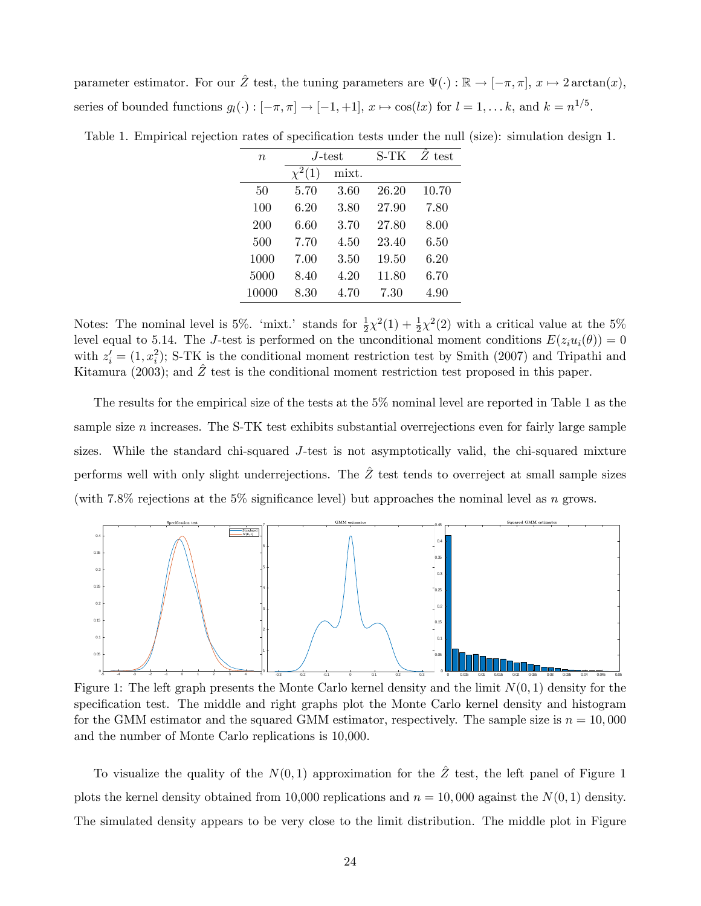parameter estimator. For our  $\hat{Z}$  test, the tuning parameters are  $\Psi(\cdot) : \mathbb{R} \to [-\pi, \pi], x \mapsto 2 \arctan(x),$ series of bounded functions  $g_l(\cdot) : [-\pi, \pi] \to [-1, +1], x \mapsto \cos(lx)$  for  $l = 1, \dots k$ , and  $k = n^{1/5}$ .

| $\boldsymbol{n}$ | .J-test     |       | S-TK  | $Z$ test |
|------------------|-------------|-------|-------|----------|
|                  | $\chi^2(1)$ | mixt. |       |          |
| 50               | 5.70        | 3.60  | 26.20 | 10.70    |
| 100              | 6.20        | 3.80  | 27.90 | 7.80     |
| 200              | 6.60        | 3.70  | 27.80 | 8.00     |
| 500              | 7.70        | 4.50  | 23.40 | 6.50     |
| 1000             | 7.00        | 3.50  | 19.50 | 6.20     |
| 5000             | 8.40        | 4.20  | 11.80 | 6.70     |
| 10000            | 8.30        | 4.70  | 7.30  | 4.90     |
|                  |             |       |       |          |

Table 1. Empirical rejection rates of specification tests under the null (size): simulation design 1.

Notes: The nominal level is 5%. 'mixt.' stands for  $\frac{1}{2}\chi^2(1) + \frac{1}{2}\chi^2(2)$  with a critical value at the 5% level equal to 5.14. The J-test is performed on the unconditional moment conditions  $E(z_i u_i(\theta)) = 0$ with  $z_i' = (1, x_i^2)$ ; S-TK is the conditional moment restriction test by Smith (2007) and Tripathi and Kitamura (2003); and  $\hat{Z}$  test is the conditional moment restriction test proposed in this paper.

The results for the empirical size of the tests at the 5% nominal level are reported in Table 1 as the sample size  $n$  increases. The S-TK test exhibits substantial overrejections even for fairly large sample sizes. While the standard chi-squared J-test is not asymptotically valid, the chi-squared mixture performs well with only slight underrejections. The  $\hat{Z}$  test tends to overreject at small sample sizes (with 7.8% rejections at the 5% significance level) but approaches the nominal level as n grows.



Figure 1: The left graph presents the Monte Carlo kernel density and the limit  $N(0, 1)$  density for the specification test. The middle and right graphs plot the Monte Carlo kernel density and histogram for the GMM estimator and the squared GMM estimator, respectively. The sample size is  $n = 10,000$ and the number of Monte Carlo replications is 10,000.

To visualize the quality of the  $N(0, 1)$  approximation for the  $\hat{Z}$  test, the left panel of Figure 1 plots the kernel density obtained from 10,000 replications and  $n = 10,000$  against the  $N(0, 1)$  density. The simulated density appears to be very close to the limit distribution. The middle plot in Figure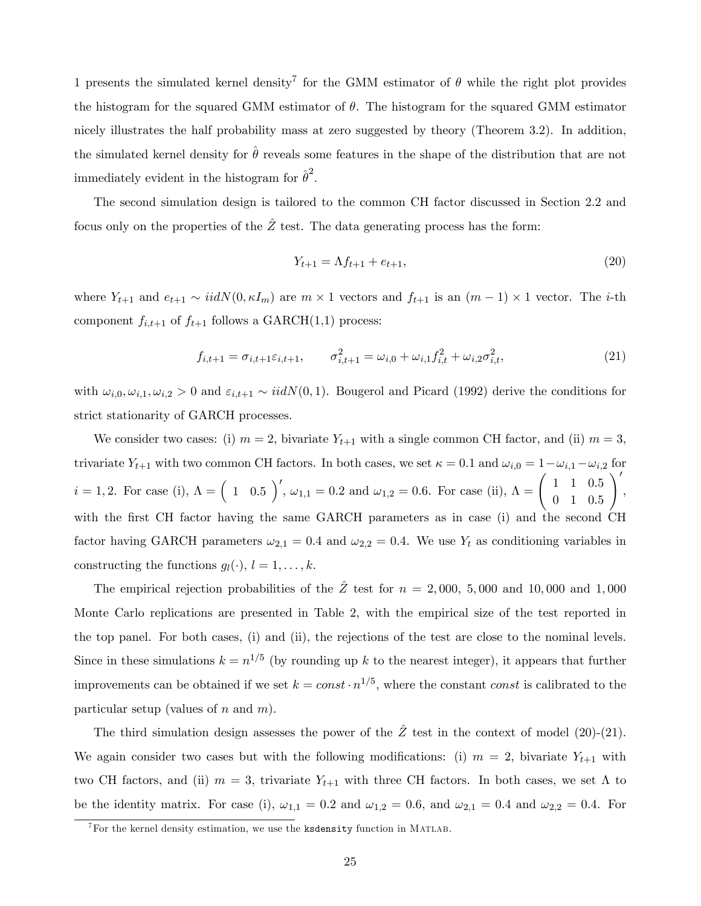1 presents the simulated kernel density<sup>7</sup> for the GMM estimator of  $\theta$  while the right plot provides the histogram for the squared GMM estimator of  $\theta$ . The histogram for the squared GMM estimator nicely illustrates the half probability mass at zero suggested by theory (Theorem 3.2). In addition, the simulated kernel density for  $\hat{\theta}$  reveals some features in the shape of the distribution that are not immediately evident in the histogram for  $\hat{\theta}^2$ .

The second simulation design is tailored to the common CH factor discussed in Section 2.2 and focus only on the properties of the  $\hat{Z}$  test. The data generating process has the form:

$$
Y_{t+1} = \Lambda f_{t+1} + e_{t+1},\tag{20}
$$

where  $Y_{t+1}$  and  $e_{t+1} \sim iidN(0, \kappa I_m)$  are  $m \times 1$  vectors and  $f_{t+1}$  is an  $(m-1) \times 1$  vector. The *i*-th component  $f_{i,t+1}$  of  $f_{t+1}$  follows a GARCH(1,1) process:

$$
f_{i,t+1} = \sigma_{i,t+1} \varepsilon_{i,t+1}, \qquad \sigma_{i,t+1}^2 = \omega_{i,0} + \omega_{i,1} f_{i,t}^2 + \omega_{i,2} \sigma_{i,t}^2,
$$
\n(21)

with  $\omega_{i,0}, \omega_{i,1}, \omega_{i,2} > 0$  and  $\varepsilon_{i,t+1} \sim \text{iid}N(0, 1)$ . Bougerol and Picard (1992) derive the conditions for strict stationarity of GARCH processes.

We consider two cases: (i)  $m = 2$ , bivariate  $Y_{t+1}$  with a single common CH factor, and (ii)  $m = 3$ , trivariate  $Y_{t+1}$  with two common CH factors. In both cases, we set  $\kappa = 0.1$  and  $\omega_{i,0} = 1 - \omega_{i,1} - \omega_{i,2}$  for  $i = 1, 2$ . For case (i),  $\Lambda = \begin{pmatrix} 1 & 0.5 \end{pmatrix}$ ,  $\omega_{1,1} = 0.2$  and  $\omega_{1,2} = 0.6$ . For case (ii),  $\Lambda = \begin{pmatrix} 1 & 1 & 0.5 \\ 0 & 1 & 0.5 \end{pmatrix}$ 0 1 0:5  $\setminus'$ , with the first CH factor having the same GARCH parameters as in case (i) and the second CH factor having GARCH parameters  $\omega_{2,1} = 0.4$  and  $\omega_{2,2} = 0.4$ . We use  $Y_t$  as conditioning variables in constructing the functions  $g_l(\cdot), l = 1, \ldots, k$ .

The empirical rejection probabilities of the  $\hat{Z}$  test for  $n = 2,000, 5,000$  and 10,000 and 1,000 Monte Carlo replications are presented in Table 2, with the empirical size of the test reported in the top panel. For both cases, (i) and (ii), the rejections of the test are close to the nominal levels. Since in these simulations  $k = n^{1/5}$  (by rounding up k to the nearest integer), it appears that further improvements can be obtained if we set  $k = const \cdot n^{1/5}$ , where the constant *const* is calibrated to the particular setup (values of  $n$  and  $m$ ).

The third simulation design assesses the power of the  $\hat{Z}$  test in the context of model (20)-(21). We again consider two cases but with the following modifications: (i)  $m = 2$ , bivariate  $Y_{t+1}$  with two CH factors, and (ii)  $m = 3$ , trivariate  $Y_{t+1}$  with three CH factors. In both cases, we set  $\Lambda$  to be the identity matrix. For case (i),  $\omega_{1,1} = 0.2$  and  $\omega_{1,2} = 0.6$ , and  $\omega_{2,1} = 0.4$  and  $\omega_{2,2} = 0.4$ . For

 $7$ For the kernel density estimation, we use the ksdensity function in MATLAB.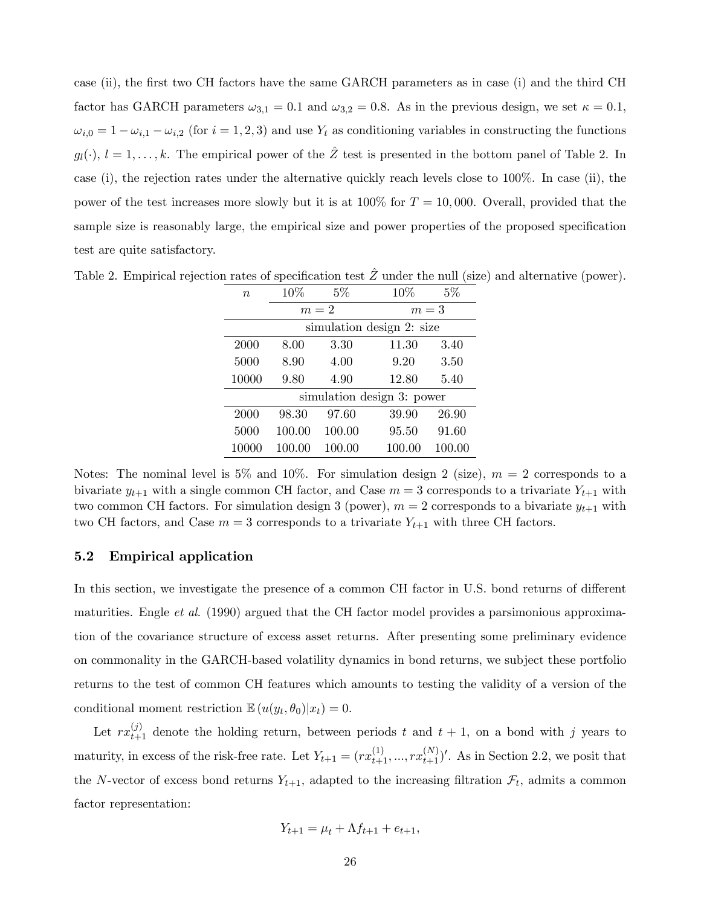case (ii), the first two CH factors have the same GARCH parameters as in case (i) and the third CH factor has GARCH parameters  $\omega_{3,1} = 0.1$  and  $\omega_{3,2} = 0.8$ . As in the previous design, we set  $\kappa = 0.1$ ,  $\omega_{i,0} = 1 - \omega_{i,1} - \omega_{i,2}$  (for  $i = 1, 2, 3$ ) and use  $Y_t$  as conditioning variables in constructing the functions  $g_l(\cdot), l = 1, \ldots, k$ . The empirical power of the  $\hat{Z}$  test is presented in the bottom panel of Table 2. In case (i), the rejection rates under the alternative quickly reach levels close to 100%. In case (ii), the power of the test increases more slowly but it is at  $100\%$  for  $T = 10,000$ . Overall, provided that the sample size is reasonably large, the empirical size and power properties of the proposed specification test are quite satisfactory.

| $\boldsymbol{n}$           | 10\%   | $5\%$  | 10%    | $5\%$  |  |  |
|----------------------------|--------|--------|--------|--------|--|--|
|                            | $m=2$  |        | $m=3$  |        |  |  |
| simulation design 2: size  |        |        |        |        |  |  |
| 2000                       | 8.00   | 3.30   | 11.30  | 3.40   |  |  |
| 5000                       | 8.90   | 4.00   | 9.20   | 3.50   |  |  |
| 10000                      | 9.80   | 4.90   | 12.80  | 5.40   |  |  |
| simulation design 3: power |        |        |        |        |  |  |
| 2000                       | 98.30  | 97.60  | 39.90  | 26.90  |  |  |
| 5000                       | 100.00 | 100.00 | 95.50  | 91.60  |  |  |
| 10000                      | 100.00 | 100.00 | 100.00 | 100.00 |  |  |

Table 2. Empirical rejection rates of specification test  $\hat{Z}$  under the null (size) and alternative (power).

Notes: The nominal level is 5% and 10%. For simulation design 2 (size),  $m = 2$  corresponds to a bivariate  $y_{t+1}$  with a single common CH factor, and Case  $m = 3$  corresponds to a trivariate  $Y_{t+1}$  with two common CH factors. For simulation design 3 (power),  $m = 2$  corresponds to a bivariate  $y_{t+1}$  with two CH factors, and Case  $m = 3$  corresponds to a trivariate  $Y_{t+1}$  with three CH factors.

### 5.2 Empirical application

In this section, we investigate the presence of a common CH factor in U.S. bond returns of different maturities. Engle *et al.* (1990) argued that the CH factor model provides a parsimonious approximation of the covariance structure of excess asset returns. After presenting some preliminary evidence on commonality in the GARCH-based volatility dynamics in bond returns, we subject these portfolio returns to the test of common CH features which amounts to testing the validity of a version of the conditional moment restriction  $\mathbb{E}\left(u(y_t,\theta_0)|x_t\right) = 0.$ 

Let  $rx_{t+1}^{(j)}$  denote the holding return, between periods t and  $t + 1$ , on a bond with j years to maturity, in excess of the risk-free rate. Let  $Y_{t+1} = (rx_{t+1}^{(1)}, ..., rx_{t+1}^{(N)})'$ . As in Section 2.2, we posit that the N-vector of excess bond returns  $Y_{t+1}$ , adapted to the increasing filtration  $\mathcal{F}_t$ , admits a common factor representation:

$$
Y_{t+1} = \mu_t + \Lambda f_{t+1} + e_{t+1},
$$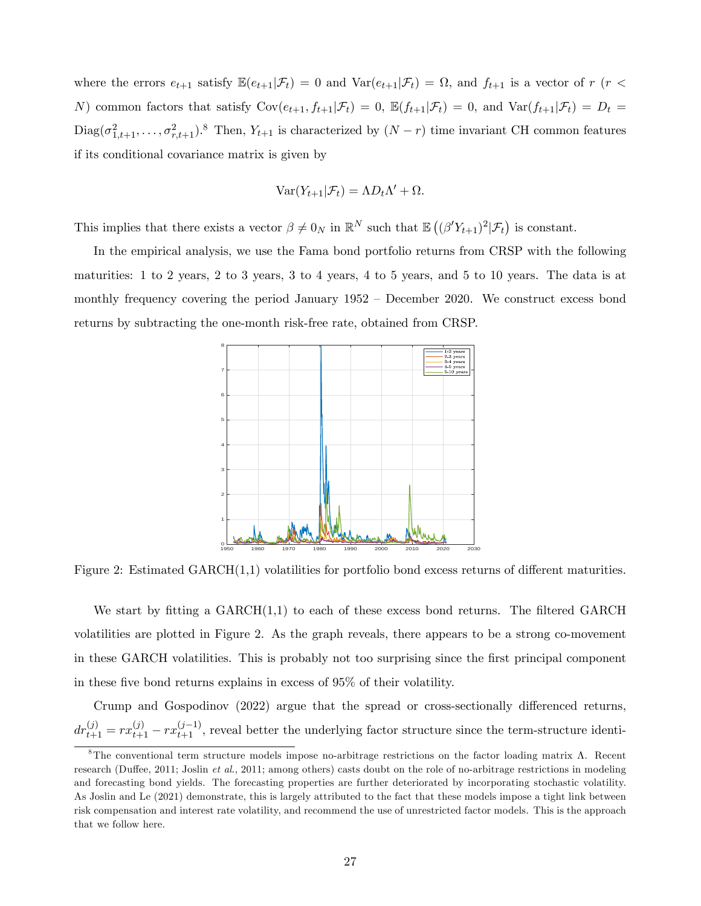where the errors  $e_{t+1}$  satisfy  $\mathbb{E}(e_{t+1}|\mathcal{F}_t) = 0$  and  $\text{Var}(e_{t+1}|\mathcal{F}_t) = \Omega$ , and  $f_{t+1}$  is a vector of  $r$  ( $r <$ N) common factors that satisfy  $Cov(e_{t+1}, f_{t+1}|\mathcal{F}_t) = 0$ ,  $\mathbb{E}(f_{t+1}|\mathcal{F}_t) = 0$ , and  $Var(f_{t+1}|\mathcal{F}_t) = D_t =$  $\text{Diag}(\sigma_{1,t+1}^2,\ldots,\sigma_{r,t+1}^2)^8$  Then,  $Y_{t+1}$  is characterized by  $(N-r)$  time invariant CH common features if its conditional covariance matrix is given by

$$
Var(Y_{t+1}|\mathcal{F}_t) = \Lambda D_t \Lambda' + \Omega.
$$

This implies that there exists a vector  $\beta \neq 0_N$  in  $\mathbb{R}^N$  such that  $\mathbb{E}((\beta'Y_{t+1})^2|\mathcal{F}_t)$  is constant.

In the empirical analysis, we use the Fama bond portfolio returns from CRSP with the following maturities: 1 to 2 years, 2 to 3 years, 3 to 4 years, 4 to 5 years, and 5 to 10 years. The data is at monthly frequency covering the period January  $1952 -$  December 2020. We construct excess bond returns by subtracting the one-month risk-free rate, obtained from CRSP.



Figure 2: Estimated  $GARCH(1,1)$  volatilities for portfolio bond excess returns of different maturities.

We start by fitting a  $GARCH(1,1)$  to each of these excess bond returns. The filtered  $GARCH$ volatilities are plotted in Figure 2. As the graph reveals, there appears to be a strong co-movement in these GARCH volatilities. This is probably not too surprising since the Örst principal component in these five bond returns explains in excess of  $95\%$  of their volatility.

Crump and Gospodinov  $(2022)$  argue that the spread or cross-sectionally differenced returns,  $dr_{t+1}^{(j)} = rx_{t+1}^{(j)} - rx_{t+1}^{(j-1)}$ , reveal better the underlying factor structure since the term-structure identi-

 ${}^8$ The conventional term structure models impose no-arbitrage restrictions on the factor loading matrix  $\Lambda$ . Recent research (Duffee, 2011; Joslin et al., 2011; among others) casts doubt on the role of no-arbitrage restrictions in modeling and forecasting bond yields. The forecasting properties are further deteriorated by incorporating stochastic volatility. As Joslin and Le (2021) demonstrate, this is largely attributed to the fact that these models impose a tight link between risk compensation and interest rate volatility, and recommend the use of unrestricted factor models. This is the approach that we follow here.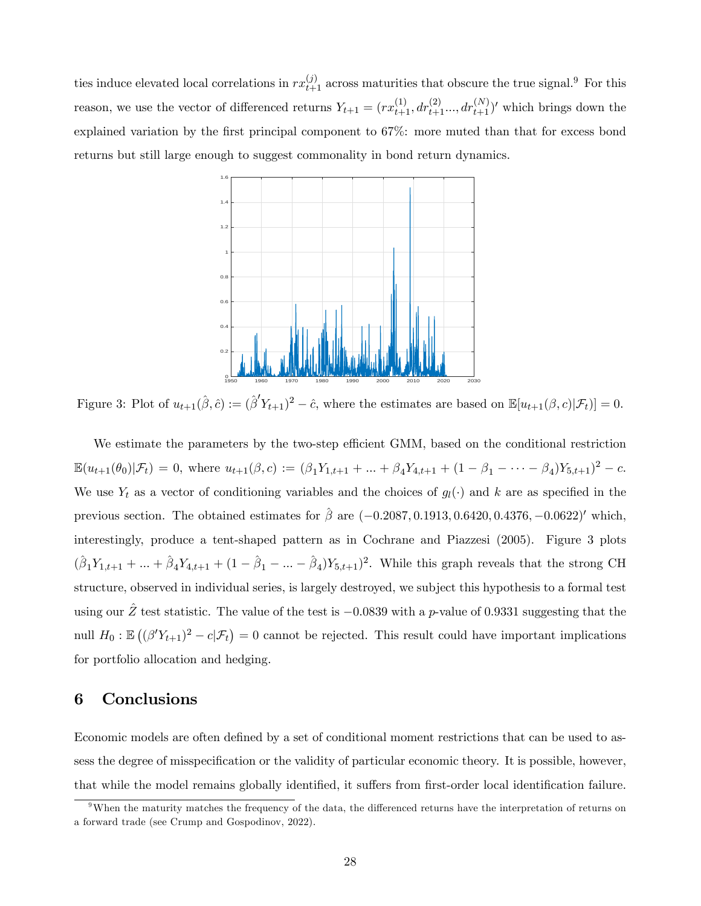ties induce elevated local correlations in  $rx_{t+1}^{(j)}$  across maturities that obscure the true signal.<sup>9</sup> For this reason, we use the vector of differenced returns  $Y_{t+1} = (rx_{t+1}^{(1)}, dr_{t+1}^{(2)}... , dr_{t+1}^{(N)})'$  which brings down the explained variation by the first principal component to 67%: more muted than that for excess bond returns but still large enough to suggest commonality in bond return dynamics.



Figure 3: Plot of  $u_{t+1}(\hat{\beta}, \hat{c}) := (\hat{\beta}' Y_{t+1})^2 - \hat{c}$ , where the estimates are based on  $\mathbb{E}[u_{t+1}(\beta, c)|\mathcal{F}_t] = 0$ .

We estimate the parameters by the two-step efficient GMM, based on the conditional restriction  $\mathbb{E}(u_{t+1}(\theta_0)|\mathcal{F}_t) = 0$ , where  $u_{t+1}(\beta,c) := (\beta_1 Y_{1,t+1} + ... + \beta_4 Y_{4,t+1} + (1 - \beta_1 - ... - \beta_4)Y_{5,t+1})^2 - c$ . We use  $Y_t$  as a vector of conditioning variables and the choices of  $g_l(\cdot)$  and k are as specified in the previous section. The obtained estimates for  $\hat{\beta}$  are  $(-0.2087, 0.1913, 0.6420, 0.4376, -0.0622)'$  which, interestingly, produce a tent-shaped pattern as in Cochrane and Piazzesi (2005). Figure 3 plots  $(\hat{\beta}_1 Y_{1,t+1} + ... + \hat{\beta}_4 Y_{4,t+1} + (1 - \hat{\beta}_1 - ... - \hat{\beta}_4) Y_{5,t+1})^2$ . While this graph reveals that the strong CH structure, observed in individual series, is largely destroyed, we subject this hypothesis to a formal test using our Z test statistic. The value of the test is  $-0.0839$  with a p-value of 0.9331 suggesting that the null  $H_0: \mathbb{E}((\beta'Y_{t+1})^2 - c | \mathcal{F}_t) = 0$  cannot be rejected. This result could have important implications for portfolio allocation and hedging.

# 6 Conclusions

Economic models are often defined by a set of conditional moment restrictions that can be used to assess the degree of misspecification or the validity of particular economic theory. It is possible, however, that while the model remains globally identified, it suffers from first-order local identification failure.

 $9$ When the maturity matches the frequency of the data, the differenced returns have the interpretation of returns on a forward trade (see Crump and Gospodinov, 2022).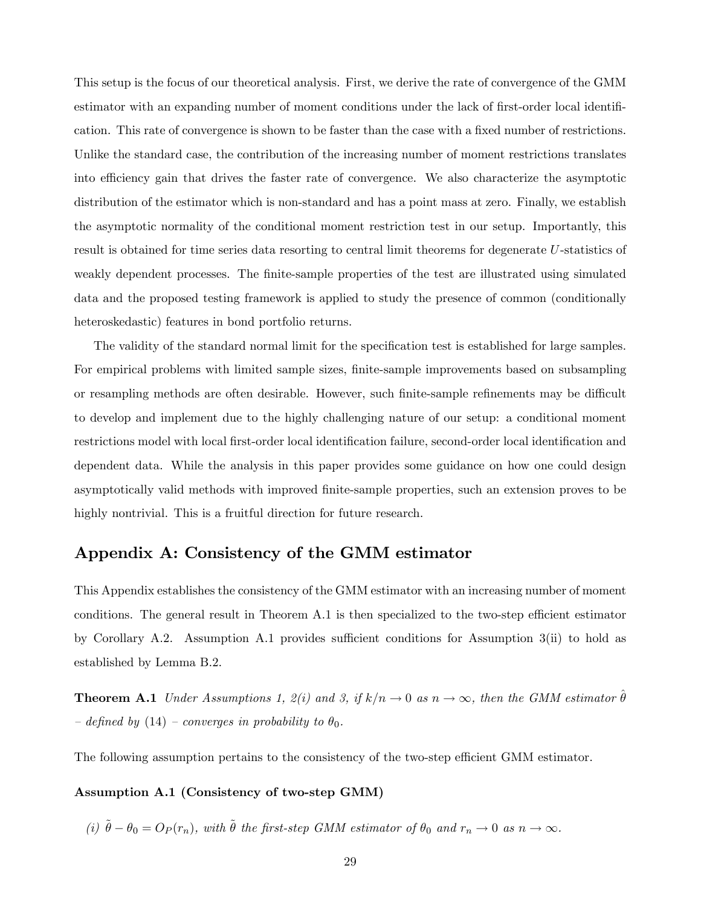This setup is the focus of our theoretical analysis. First, we derive the rate of convergence of the GMM estimator with an expanding number of moment conditions under the lack of first-order local identification. This rate of convergence is shown to be faster than the case with a fixed number of restrictions. Unlike the standard case, the contribution of the increasing number of moment restrictions translates into efficiency gain that drives the faster rate of convergence. We also characterize the asymptotic distribution of the estimator which is non-standard and has a point mass at zero. Finally, we establish the asymptotic normality of the conditional moment restriction test in our setup. Importantly, this result is obtained for time series data resorting to central limit theorems for degenerate U-statistics of weakly dependent processes. The finite-sample properties of the test are illustrated using simulated data and the proposed testing framework is applied to study the presence of common (conditionally heteroskedastic) features in bond portfolio returns.

The validity of the standard normal limit for the specification test is established for large samples. For empirical problems with limited sample sizes, finite-sample improvements based on subsampling or resampling methods are often desirable. However, such finite-sample refinements may be difficult to develop and implement due to the highly challenging nature of our setup: a conditional moment restrictions model with local first-order local identification failure, second-order local identification and dependent data. While the analysis in this paper provides some guidance on how one could design asymptotically valid methods with improved finite-sample properties, such an extension proves to be highly nontrivial. This is a fruitful direction for future research.

## Appendix A: Consistency of the GMM estimator

This Appendix establishes the consistency of the GMM estimator with an increasing number of moment conditions. The general result in Theorem  $A.1$  is then specialized to the two-step efficient estimator by Corollary A.2. Assumption A.1 provides sufficient conditions for Assumption  $3(i)$  to hold as established by Lemma B.2.

**Theorem A.1** Under Assumptions 1, 2(i) and 3, if  $k/n \rightarrow 0$  as  $n \rightarrow \infty$ , then the GMM estimator  $\hat{\theta}$  $hbar$  defined by (14) – converges in probability to  $\theta_0$ .

The following assumption pertains to the consistency of the two-step efficient GMM estimator.

### Assumption A.1 (Consistency of two-step GMM)

(i)  $\tilde{\theta} - \theta_0 = O_P(r_n)$ , with  $\tilde{\theta}$  the first-step GMM estimator of  $\theta_0$  and  $r_n \to 0$  as  $n \to \infty$ .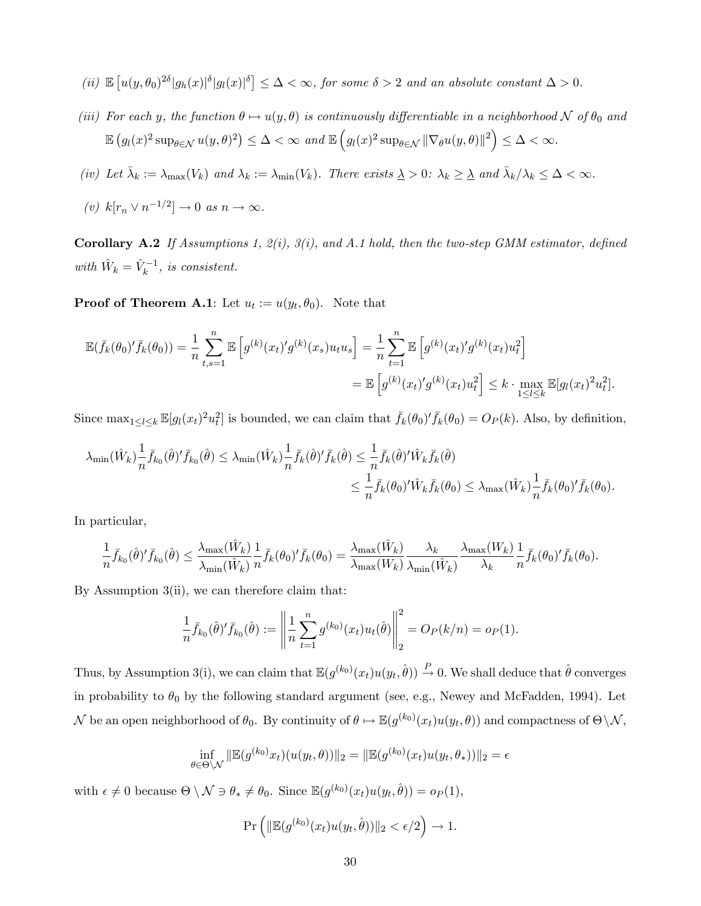(ii) 
$$
\mathbb{E}\left[u(y,\theta_0)^{2\delta}|g_h(x)|^{\delta}|g_l(x)|^{\delta}\right] \leq \Delta < \infty
$$
, for some  $\delta > 2$  and an absolute constant  $\Delta > 0$ .

- (iii) For each y, the function  $\theta \mapsto u(y, \theta)$  is continuously differentiable in a neighborhood N of  $\theta_0$  and  $\mathbb{E}\left(g_l(x)^2 \sup_{\theta \in \mathcal{N}} u(y,\theta)^2\right) \leq \Delta < \infty$  and  $\mathbb{E}\left(g_l(x)^2 \sup_{\theta \in \mathcal{N}} \|\nabla_\theta u(y,\theta)\|^2\right) \leq \Delta < \infty$ .
- (iv) Let  $\bar{\lambda}_k := \lambda_{\max}(V_k)$  and  $\lambda_k := \lambda_{\min}(V_k)$ . There exists  $\underline{\lambda} > 0$ :  $\lambda_k \geq \underline{\lambda}$  and  $\bar{\lambda}_k/\lambda_k \leq \Delta < \infty$ .
- (v)  $k[r_n \vee n^{-1/2}] \to 0 \text{ as } n \to \infty.$

Corollary A.2 If Assumptions 1,  $2(i)$ ,  $3(i)$ , and A.1 hold, then the two-step GMM estimator, defined with  $\hat{W}_k = \hat{V}_k^{-1}$ , is consistent.

**Proof of Theorem A.1**: Let  $u_t := u(y_t, \theta_0)$ . Note that

$$
\mathbb{E}(\bar{f}_k(\theta_0)'\bar{f}_k(\theta_0)) = \frac{1}{n} \sum_{t,s=1}^n \mathbb{E}\left[g^{(k)}(x_t)'g^{(k)}(x_s)u_t u_s\right] = \frac{1}{n} \sum_{t=1}^n \mathbb{E}\left[g^{(k)}(x_t)'g^{(k)}(x_t)u_t^2\right]
$$

$$
= \mathbb{E}\left[g^{(k)}(x_t)'g^{(k)}(x_t)u_t^2\right] \le k \cdot \max_{1 \le l \le k} \mathbb{E}[g_l(x_t)^2 u_t^2].
$$

Since  $\max_{1 \leq l \leq k} \mathbb{E}[g_l(x_t)^2 u_l^2]$  is bounded, we can claim that  $\bar{f}_k(\theta_0)' \bar{f}_k(\theta_0) = O_P(k)$ . Also, by definition,

$$
\lambda_{\min}(\hat{W}_k) \frac{1}{n} \bar{f}_{k_0}(\hat{\theta})' \bar{f}_{k_0}(\hat{\theta}) \leq \lambda_{\min}(\hat{W}_k) \frac{1}{n} \bar{f}_k(\hat{\theta})' \bar{f}_k(\hat{\theta}) \leq \frac{1}{n} \bar{f}_k(\hat{\theta})' \hat{W}_k \bar{f}_k(\hat{\theta})
$$
  

$$
\leq \frac{1}{n} \bar{f}_k(\theta_0)' \hat{W}_k \bar{f}_k(\theta_0) \leq \lambda_{\max}(\hat{W}_k) \frac{1}{n} \bar{f}_k(\theta_0)' \bar{f}_k(\theta_0).
$$

In particular,

$$
\frac{1}{n}\bar{f}_{k_0}(\hat{\theta})' \bar{f}_{k_0}(\hat{\theta}) \leq \frac{\lambda_{\max}(\hat{W}_k)}{\lambda_{\min}(\hat{W}_k)} \frac{1}{n}\bar{f}_k(\theta_0)' \bar{f}_k(\theta_0) = \frac{\lambda_{\max}(\hat{W}_k)}{\lambda_{\max}(W_k)} \frac{\lambda_k}{\lambda_{\min}(\hat{W}_k)} \frac{\lambda_{\max}(W_k)}{\lambda_k} \frac{1}{n}\bar{f}_k(\theta_0)' \bar{f}_k(\theta_0).
$$

By Assumption 3(ii), we can therefore claim that:

$$
\frac{1}{n}\bar{f}_{k_0}(\hat{\theta})' \bar{f}_{k_0}(\hat{\theta}) := \left\| \frac{1}{n} \sum_{t=1}^n g^{(k_0)}(x_t) u_t(\hat{\theta}) \right\|_2^2 = O_P(k/n) = o_P(1).
$$

Thus, by Assumption 3(i), we can claim that  $\mathbb{E}(g^{(k_0)}(x_t)u(y_t, \hat{\theta})) \stackrel{P}{\rightarrow} 0$ . We shall deduce that  $\hat{\theta}$  converges in probability to  $\theta_0$  by the following standard argument (see, e.g., Newey and McFadden, 1994). Let N be an open neighborhood of  $\theta_0$ . By continuity of  $\theta \mapsto \mathbb{E}(g^{(k_0)}(x_t)u(y_t, \theta))$  and compactness of  $\Theta \setminus \mathcal{N}$ ,

$$
\inf_{\theta \in \Theta \setminus \mathcal{N}} \|\mathbb{E}(g^{(k_0)} x_t)(u(y_t, \theta))\|_2 = \|\mathbb{E}(g^{(k_0)} (x_t) u(y_t, \theta_*))\|_2 = \epsilon
$$

with  $\epsilon \neq 0$  because  $\Theta \setminus \mathcal{N} \ni \theta_* \neq \theta_0$ . Since  $\mathbb{E}(g^{(k_0)}(x_t)u(y_t, \hat{\theta})) = o_P(1)$ ,

$$
\Pr\left(\|\mathbb{E}(g^{(k_0)}(x_t)u(y_t,\hat{\theta}))\|_2 < \epsilon/2\right) \to 1.
$$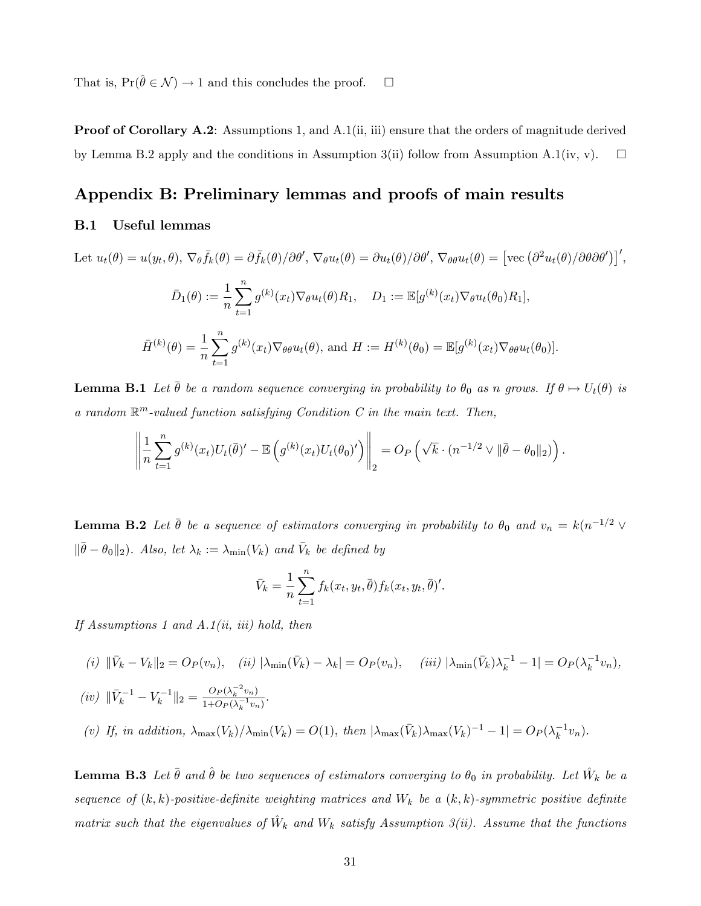That is,  $Pr(\hat{\theta} \in \mathcal{N}) \to 1$  and this concludes the proof.  $\Box$ 

Proof of Corollary A.2: Assumptions 1, and A.1(ii, iii) ensure that the orders of magnitude derived by Lemma B.2 apply and the conditions in Assumption 3(ii) follow from Assumption A.1(iv, v).  $\square$ 

# Appendix B: Preliminary lemmas and proofs of main results

### B.1 Useful lemmas

Let 
$$
u_t(\theta) = u(y_t, \theta), \nabla_{\theta} \bar{f}_k(\theta) = \partial \bar{f}_k(\theta) / \partial \theta', \nabla_{\theta} u_t(\theta) = \partial u_t(\theta) / \partial \theta', \nabla_{\theta} \theta u_t(\theta) = [\text{vec}(\partial^2 u_t(\theta) / \partial \theta \partial \theta')]',
$$
  
\n
$$
\bar{D}_1(\theta) := \frac{1}{n} \sum_{t=1}^n g^{(k)}(x_t) \nabla_{\theta} u_t(\theta) R_1, \quad D_1 := \mathbb{E}[g^{(k)}(x_t) \nabla_{\theta} u_t(\theta_0) R_1],
$$
\n
$$
\bar{H}^{(k)}(\theta) = \frac{1}{n} \sum_{t=1}^n g^{(k)}(x_t) \nabla_{\theta} \theta u_t(\theta), \text{ and } H := H^{(k)}(\theta_0) = \mathbb{E}[g^{(k)}(x_t) \nabla_{\theta} \theta u_t(\theta_0)].
$$

**Lemma B.1** Let  $\bar{\theta}$  be a random sequence converging in probability to  $\theta_0$  as n grows. If  $\theta \mapsto U_t(\theta)$  is a random  $\mathbb{R}^m$ -valued function satisfying Condition C in the main text. Then,

$$
\left\|\frac{1}{n}\sum_{t=1}^n g^{(k)}(x_t)U_t(\bar{\theta})' - \mathbb{E}\left(g^{(k)}(x_t)U_t(\theta_0)'\right)\right\|_2 = O_P\left(\sqrt{k}\cdot (n^{-1/2}\vee\|\bar{\theta}-\theta_0\|_2)\right).
$$

**Lemma B.2** Let  $\bar{\theta}$  be a sequence of estimators converging in probability to  $\theta_0$  and  $v_n = k(n^{-1/2} \vee$  $\|\bar{\theta} - \theta_0\|_2$ . Also, let  $\lambda_k := \lambda_{\min}(V_k)$  and  $\bar{V}_k$  be defined by

$$
\bar{V}_k = \frac{1}{n} \sum_{t=1}^n f_k(x_t, y_t, \bar{\theta}) f_k(x_t, y_t, \bar{\theta})'.
$$

If Assumptions 1 and A.1(ii, iii) hold, then

(i)  $\|\bar{V}_k - V_k\|_2 = O_P(v_n)$ , (ii)  $|\lambda_{\min}(\bar{V}_k) - \lambda_k| = O_P(v_n)$ , (iii)  $|\lambda_{\min}(\bar{V}_k)\lambda_k^{-1} - 1| = O_P(\lambda_k^{-1}v_n)$ ,

$$
(iv) \ \|\bar{V}_k^{-1} - V_k^{-1}\|_2 = \frac{O_P(\lambda_k^{-2} v_n)}{1 + O_P(\lambda_k^{-1} v_n)}.
$$

(v) If, in addition,  $\lambda_{\max}(V_k)/\lambda_{\min}(V_k) = O(1)$ , then  $|\lambda_{\max}(\bar{V}_k)\lambda_{\max}(V_k)^{-1} - 1| = O_P(\lambda_k^{-1}v_n)$ .

**Lemma B.3** Let  $\bar{\theta}$  and  $\hat{\theta}$  be two sequences of estimators converging to  $\theta_0$  in probability. Let  $\hat{W}_k$  be a sequence of  $(k, k)$ -positive-definite weighting matrices and  $W_k$  be a  $(k, k)$ -symmetric positive definite matrix such that the eigenvalues of  $\hat{W}_k$  and  $W_k$  satisfy Assumption 3(ii). Assume that the functions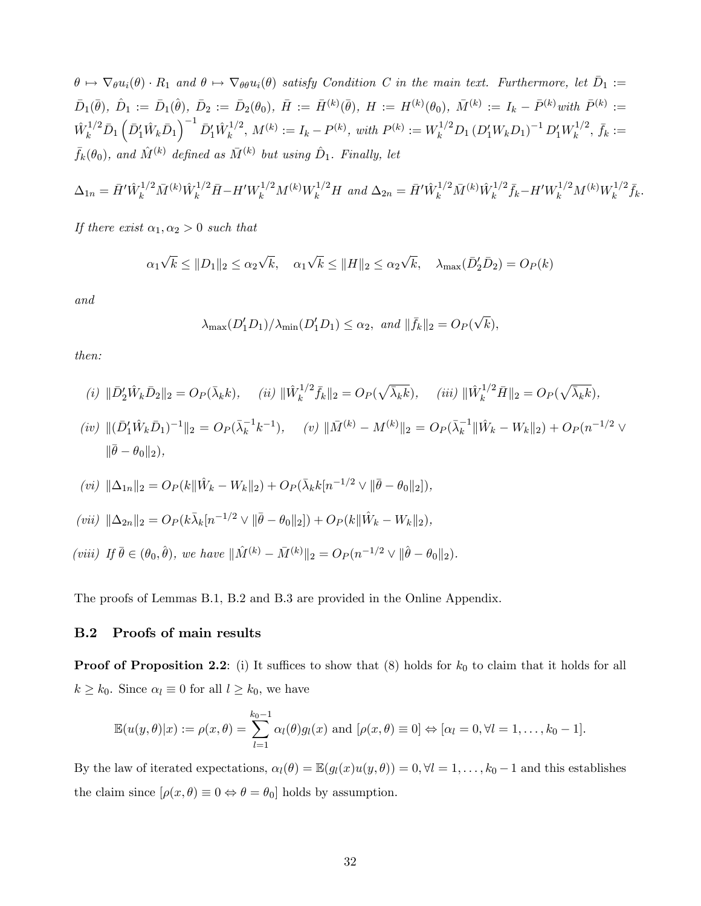$\theta \mapsto \nabla_{\theta} u_i(\theta) \cdot R_1$  and  $\theta \mapsto \nabla_{\theta} \theta u_i(\theta)$  satisfy Condition C in the main text. Furthermore, let  $\bar{D}_1 :=$  $\bar{D}_1(\bar{\theta}),\ \hat{D}_1 := \bar{D}_1(\hat{\theta}),\ \bar{D}_2 := \bar{D}_2(\theta_0),\ \bar{H} := \bar{H}^{(k)}(\bar{\theta}),\ H := H^{(k)}(\theta_0),\ \bar{M}^{(k)} := I_k - \bar{P}^{(k)}$  with  $\bar{P}^{(k)} :=$  $\hat{W}_k^{1/2} \bar{D}_1 \left( \bar{D}_1' \hat{W}_k \bar{D}_1 \right)^{-1} \bar{D}_1' \hat{W}_k^{1/2}$  $k^{1/2}$ ,  $M^{(k)} := I_k - P^{(k)}$ , with  $P^{(k)} := W_k^{1/2} D_1 (D'_1 W_k D_1)^{-1} D'_1 W_k^{1/2}$  $\bar{f}_k^{1/2}, \, \bar{f}_k :=$  $\bar{f}_{k}(\theta_{0}),$  and  $\hat{M}^{(k)}$  defined as  $\bar{M}^{(k)}$  but using  $\hat{D}_{1}$ . Finally, let

$$
\Delta_{1n} = \bar{H}^{\prime} \hat{W}_k^{1/2} \bar{M}^{(k)} \hat{W}_k^{1/2} \bar{H} - H^{\prime} W_k^{1/2} M^{(k)} W_k^{1/2} H \text{ and } \Delta_{2n} = \bar{H}^{\prime} \hat{W}_k^{1/2} \bar{M}^{(k)} \hat{W}_k^{1/2} \bar{f}_k - H^{\prime} W_k^{1/2} M^{(k)} W_k^{1/2} \bar{f}_k.
$$

If there exist  $\alpha_1, \alpha_2 > 0$  such that

$$
\alpha_1 \sqrt{k} \le ||D_1||_2 \le \alpha_2 \sqrt{k}, \quad \alpha_1 \sqrt{k} \le ||H||_2 \le \alpha_2 \sqrt{k}, \quad \lambda_{\max}(\bar{D}_2') = O_P(k)
$$

and

$$
\lambda_{\max}(D'_1D_1)/\lambda_{\min}(D'_1D_1) \le \alpha_2, \text{ and } ||\bar{f}_k||_2 = O_P(\sqrt{k}),
$$

then:

(i) 
$$
\|\bar{D}'_2 \hat{W}_k \bar{D}_2\|_2 = O_P(\bar{\lambda}_k k)
$$
, (ii)  $\|\hat{W}_k^{1/2} \bar{f}_k\|_2 = O_P(\sqrt{\bar{\lambda}_k k})$ , (iii)  $\|\hat{W}_k^{1/2} \bar{H}\|_2 = O_P(\sqrt{\bar{\lambda}_k k})$ ,

 $(iv) \ \| (\bar{D}'_1 \hat{W}_k \bar{D}_1)^{-1} \|_2 = O_P(\bar{\lambda}_k^{-1} k^{-1}), \quad (v) \ \| \bar{M}^{(k)} - M^{(k)} \|_2 = O_P(\bar{\lambda}_k^{-1} \| \hat{W}_k - W_k \|_2) + O_P(n^{-1/2} \vee$  $\|\bar{\theta} - \theta_0\|_2$ ),

$$
(vi) \|\Delta_{1n}\|_2 = O_P(k\|\hat{W}_k - W_k\|_2) + O_P(\bar{\lambda}_k k[n^{-1/2} \vee \|\bar{\theta} - \theta_0\|_2)),
$$

$$
(vii) \|\Delta_{2n}\|_2 = O_P(k\bar{\lambda}_k[n^{-1/2} \vee \|\bar{\theta} - \theta_0\|_2]) + O_P(k\|\hat{W}_k - W_k\|_2),
$$

(viii) If  $\bar{\theta} \in (\theta_0, \hat{\theta})$ , we have  $\|\hat{M}^{(k)} - \bar{M}^{(k)} \|_2 = O_P (n^{-1/2} \vee \|\hat{\theta} - \theta_0 \|_2)$ .

The proofs of Lemmas B.1, B.2 and B.3 are provided in the Online Appendix.

### B.2 Proofs of main results

**Proof of Proposition 2.2**: (i) It suffices to show that  $(8)$  holds for  $k_0$  to claim that it holds for all  $k \geq k_0$ . Since  $\alpha_l \equiv 0$  for all  $l \geq k_0$ , we have

$$
\mathbb{E}(u(y,\theta)|x) := \rho(x,\theta) = \sum_{l=1}^{k_0-1} \alpha_l(\theta) g_l(x)
$$
 and  $[\rho(x,\theta) \equiv 0] \Leftrightarrow [\alpha_l = 0, \forall l = 1,\ldots,k_0-1].$ 

By the law of iterated expectations,  $\alpha_l(\theta) = \mathbb{E}(g_l(x)u(y, \theta)) = 0, \forall l = 1, \ldots, k_0 - 1$  and this establishes the claim since  $[\rho(x, \theta) \equiv 0 \Leftrightarrow \theta = \theta_0]$  holds by assumption.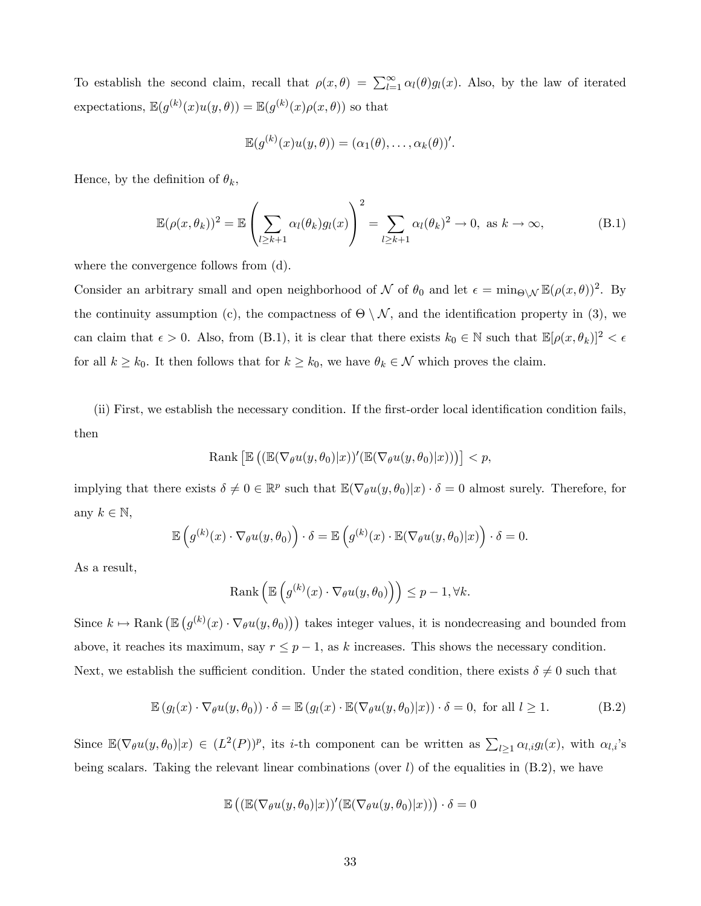To establish the second claim, recall that  $\rho(x, \theta) = \sum_{l=1}^{\infty} \alpha_l(\theta) g_l(x)$ . Also, by the law of iterated expectations,  $\mathbb{E}(g^{(k)}(x)u(y,\theta)) = \mathbb{E}(g^{(k)}(x)\rho(x,\theta))$  so that

$$
\mathbb{E}(g^{(k)}(x)u(y,\theta))=(\alpha_1(\theta),\ldots,\alpha_k(\theta))'.
$$

Hence, by the definition of  $\theta_k$ ,

$$
\mathbb{E}(\rho(x,\theta_k))^2 = \mathbb{E}\left(\sum_{l\geq k+1} \alpha_l(\theta_k) g_l(x)\right)^2 = \sum_{l\geq k+1} \alpha_l(\theta_k)^2 \to 0, \text{ as } k \to \infty,
$$
 (B.1)

where the convergence follows from (d).

Consider an arbitrary small and open neighborhood of  $\mathcal N$  of  $\theta_0$  and let  $\epsilon = \min_{\Theta \setminus \mathcal N} \mathbb E(\rho(x, \theta))^2$ . By the continuity assumption (c), the compactness of  $\Theta \setminus \mathcal{N}$ , and the identification property in (3), we can claim that  $\epsilon > 0$ . Also, from (B.1), it is clear that there exists  $k_0 \in \mathbb{N}$  such that  $\mathbb{E}[\rho(x, \theta_k)]^2 < \epsilon$ for all  $k \geq k_0$ . It then follows that for  $k \geq k_0$ , we have  $\theta_k \in \mathcal{N}$  which proves the claim.

(ii) First, we establish the necessary condition. If the first-order local identification condition fails, then

Rank 
$$
\left[\mathbb{E}\left((\mathbb{E}(\nabla_{\theta}u(y,\theta_0)|x))'(\mathbb{E}(\nabla_{\theta}u(y,\theta_0)|x))\right)\right] < p,
$$

implying that there exists  $\delta \neq 0 \in \mathbb{R}^p$  such that  $\mathbb{E}(\nabla_\theta u(y, \theta_0)|x) \cdot \delta = 0$  almost surely. Therefore, for any  $k \in \mathbb{N}$ ,

$$
\mathbb{E}\left(g^{(k)}(x)\cdot\nabla_{\theta}u(y,\theta_0)\right)\cdot\delta=\mathbb{E}\left(g^{(k)}(x)\cdot\mathbb{E}(\nabla_{\theta}u(y,\theta_0)|x)\right)\cdot\delta=0.
$$

As a result,

$$
\text{Rank}\left(\mathbb{E}\left(g^{(k)}(x)\cdot\nabla_{\theta}u(y,\theta_0)\right)\right)\leq p-1,\forall k.
$$

Since  $k \mapsto \text{Rank}(\mathbb{E}(g^{(k)}(x)\cdot \nabla_{\theta}u(y,\theta_0)))$  takes integer values, it is nondecreasing and bounded from above, it reaches its maximum, say  $r \leq p - 1$ , as k increases. This shows the necessary condition. Next, we establish the sufficient condition. Under the stated condition, there exists  $\delta \neq 0$  such that

$$
\mathbb{E}\left(g_l(x)\cdot\nabla_{\theta}u(y,\theta_0)\right)\cdot\delta=\mathbb{E}\left(g_l(x)\cdot\mathbb{E}(\nabla_{\theta}u(y,\theta_0)|x)\right)\cdot\delta=0,\text{ for all }l\geq 1.
$$
 (B.2)

Since  $\mathbb{E}(\nabla_\theta u(y,\theta_0)|x) \in (L^2(P))^p$ , its *i*-th component can be written as  $\sum_{l\geq 1} \alpha_{l,i} g_l(x)$ , with  $\alpha_{l,i}$ 's being scalars. Taking the relevant linear combinations (over  $l$ ) of the equalities in  $(B.2)$ , we have

$$
\mathbb{E}\left( \left( \mathbb{E}(\nabla_{\theta} u(y, \theta_0)|x) \right)'(\mathbb{E}(\nabla_{\theta} u(y, \theta_0)|x)) \right) \cdot \delta = 0
$$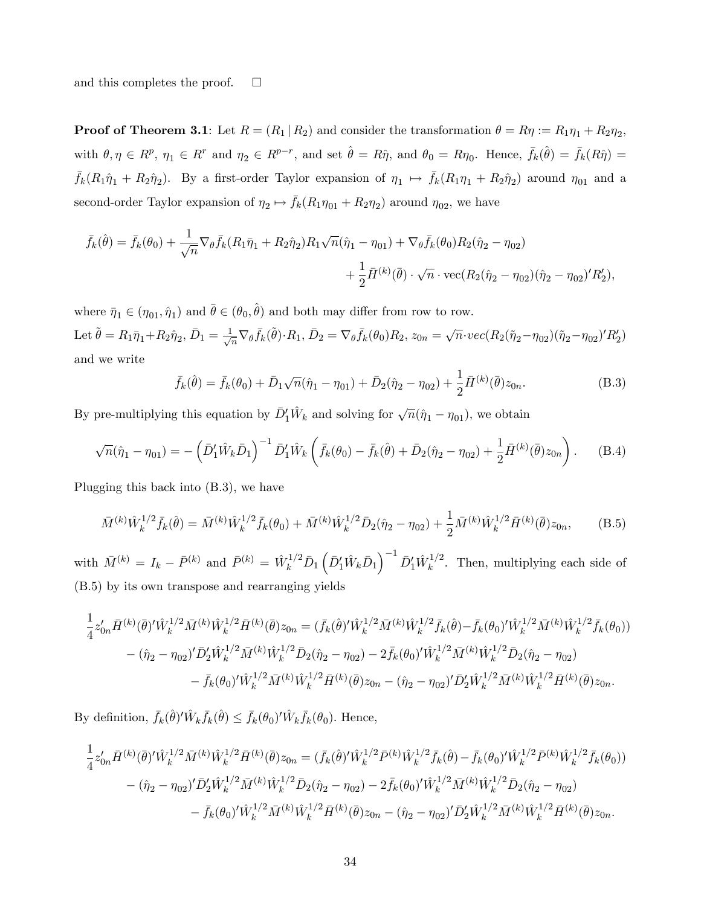and this completes the proof.  $\square$ 

**Proof of Theorem 3.1**: Let  $R = (R_1 | R_2)$  and consider the transformation  $\theta = R\eta := R_1\eta_1 + R_2\eta_2$ , with  $\theta, \eta \in R^p$ ,  $\eta_1 \in R^r$  and  $\eta_2 \in R^{p-r}$ , and set  $\hat{\theta} = R\hat{\eta}$ , and  $\theta_0 = R\eta_0$ . Hence,  $\bar{f}_k(\hat{\theta}) = \bar{f}_k(R\hat{\eta}) =$  $\bar{f}_k(R_1\hat{\eta}_1 + R_2\hat{\eta}_2)$ . By a first-order Taylor expansion of  $\eta_1 \mapsto \bar{f}_k(R_1\eta_1 + R_2\hat{\eta}_2)$  around  $\eta_{01}$  and a second-order Taylor expansion of  $\eta_2 \mapsto \bar{f}_k(R_1 \eta_{01} + R_2 \eta_2)$  around  $\eta_{02}$ , we have

$$
\bar{f}_k(\hat{\theta}) = \bar{f}_k(\theta_0) + \frac{1}{\sqrt{n}} \nabla_{\theta} \bar{f}_k(R_1 \bar{\eta}_1 + R_2 \hat{\eta}_2) R_1 \sqrt{n} (\hat{\eta}_1 - \eta_{01}) + \nabla_{\theta} \bar{f}_k(\theta_0) R_2(\hat{\eta}_2 - \eta_{02}) \n+ \frac{1}{2} \bar{H}^{(k)}(\bar{\theta}) \cdot \sqrt{n} \cdot \text{vec}(R_2(\hat{\eta}_2 - \eta_{02})(\hat{\eta}_2 - \eta_{02})' R_2'),
$$

where  $\bar{\eta}_1 \in (\eta_{01}, \hat{\eta}_1)$  and  $\bar{\theta} \in (\theta_0, \hat{\theta})$  and both may differ from row to row. Let  $\tilde{\theta} = R_1 \bar{\eta}_1 + R_2 \hat{\eta}_2$ ,  $\bar{D}_1 = \frac{1}{\sqrt{n}} \nabla_{\theta} \bar{f}_k(\tilde{\theta}) \cdot R_1$ ,  $\bar{D}_2 = \nabla_{\theta} \bar{f}_k(\theta_0) R_2$ ,  $z_{0n} = \sqrt{n} \cdot vec(R_2(\tilde{\eta}_2 - \eta_{02})(\tilde{\eta}_2 - \eta_{02})' R_2')$ and we write

$$
\bar{f}_k(\hat{\theta}) = \bar{f}_k(\theta_0) + \bar{D}_1\sqrt{n}(\hat{\eta}_1 - \eta_{01}) + \bar{D}_2(\hat{\eta}_2 - \eta_{02}) + \frac{1}{2}\bar{H}^{(k)}(\bar{\theta})z_{0n}.
$$
 (B.3)

By pre-multiplying this equation by  $\bar{D}'_1 \hat{W}_k$  and solving for  $\sqrt{n}(\hat{\eta}_1 - \eta_{01})$ , we obtain

$$
\sqrt{n}(\hat{\eta}_1 - \eta_{01}) = -(\bar{D}_1' \hat{W}_k \bar{D}_1)^{-1} \bar{D}_1' \hat{W}_k (\bar{f}_k(\theta_0) - \bar{f}_k(\hat{\theta}) + \bar{D}_2(\hat{\eta}_2 - \eta_{02}) + \frac{1}{2} \bar{H}^{(k)}(\bar{\theta}) z_{0n}).
$$
 (B.4)

Plugging this back into (B.3), we have

$$
\bar{M}^{(k)}\hat{W}_k^{1/2}\bar{f}_k(\hat{\theta}) = \bar{M}^{(k)}\hat{W}_k^{1/2}\bar{f}_k(\theta_0) + \bar{M}^{(k)}\hat{W}_k^{1/2}\bar{D}_2(\hat{\eta}_2 - \eta_{02}) + \frac{1}{2}\bar{M}^{(k)}\hat{W}_k^{1/2}\bar{H}^{(k)}(\bar{\theta})z_{0n},\tag{B.5}
$$

with  $\bar{M}^{(k)} = I_k - \bar{P}^{(k)}$  and  $\bar{P}^{(k)} = \hat{W}^{1/2}_k \bar{D}_1 \left( \bar{D}_1' \hat{W}_k \bar{D}_1 \right)^{-1} \bar{D}_1' \hat{W}_k^{1/2}$  $\frac{1}{k}$ . Then, multiplying each side of (B.5) by its own transpose and rearranging yields

$$
\frac{1}{4}z'_{0n}\bar{H}^{(k)}(\bar{\theta})'\hat{W}_k^{1/2}\bar{M}^{(k)}\hat{W}_k^{1/2}\bar{H}^{(k)}(\bar{\theta})z_{0n} = (\bar{f}_k(\hat{\theta})'\hat{W}_k^{1/2}\bar{M}^{(k)}\hat{W}_k^{1/2}\bar{f}_k(\hat{\theta}) - \bar{f}_k(\theta_0)'\hat{W}_k^{1/2}\bar{M}^{(k)}\hat{W}_k^{1/2}\bar{f}_k(\theta_0))
$$

$$
- (\hat{\eta}_2 - \eta_{02})'\bar{D}_2'\hat{W}_k^{1/2}\bar{M}^{(k)}\hat{W}_k^{1/2}\bar{D}_2(\hat{\eta}_2 - \eta_{02}) - 2\bar{f}_k(\theta_0)'\hat{W}_k^{1/2}\bar{M}^{(k)}\hat{W}_k^{1/2}\bar{D}_2(\hat{\eta}_2 - \eta_{02})
$$

$$
- \bar{f}_k(\theta_0)'\hat{W}_k^{1/2}\bar{M}^{(k)}\hat{W}_k^{1/2}\bar{H}^{(k)}(\bar{\theta})z_{0n} - (\hat{\eta}_2 - \eta_{02})'\bar{D}_2'\hat{W}_k^{1/2}\bar{M}^{(k)}\hat{W}_k^{1/2}\bar{H}^{(k)}(\bar{\theta})z_{0n}.
$$

By definition,  $\bar{f}_k(\hat{\theta})' \hat{W}_k \bar{f}_k(\hat{\theta}) \leq \bar{f}_k(\theta_0)' \hat{W}_k \bar{f}_k(\theta_0)$ . Hence,

$$
\frac{1}{4}z'_{0n}\bar{H}^{(k)}(\bar{\theta})'\hat{W}_k^{1/2}\bar{M}^{(k)}\hat{W}_k^{1/2}\bar{H}^{(k)}(\bar{\theta})z_{0n} = (\bar{f}_k(\hat{\theta})'\hat{W}_k^{1/2}\bar{P}^{(k)}\hat{W}_k^{1/2}\bar{f}_k(\hat{\theta}) - \bar{f}_k(\theta_0)'\hat{W}_k^{1/2}\bar{P}^{(k)}\hat{W}_k^{1/2}\bar{f}_k(\theta_0))-\left(\hat{\eta}_2 - \eta_{02}\right)'\bar{D}_2'\hat{W}_k^{1/2}\bar{M}^{(k)}\hat{W}_k^{1/2}\bar{D}_2(\hat{\eta}_2 - \eta_{02}) - 2\bar{f}_k(\theta_0)'\hat{W}_k^{1/2}\bar{M}^{(k)}\hat{W}_k^{1/2}\bar{D}_2(\hat{\eta}_2 - \eta_{02})-\bar{f}_k(\theta_0)'\hat{W}_k^{1/2}\bar{M}^{(k)}\hat{W}_k^{1/2}\bar{H}^{(k)}(\bar{\theta})z_{0n} - \left(\hat{\eta}_2 - \eta_{02}\right)'\bar{D}_2'\hat{W}_k^{1/2}\bar{M}^{(k)}\hat{W}_k^{1/2}\bar{H}^{(k)}(\bar{\theta})z_{0n}.
$$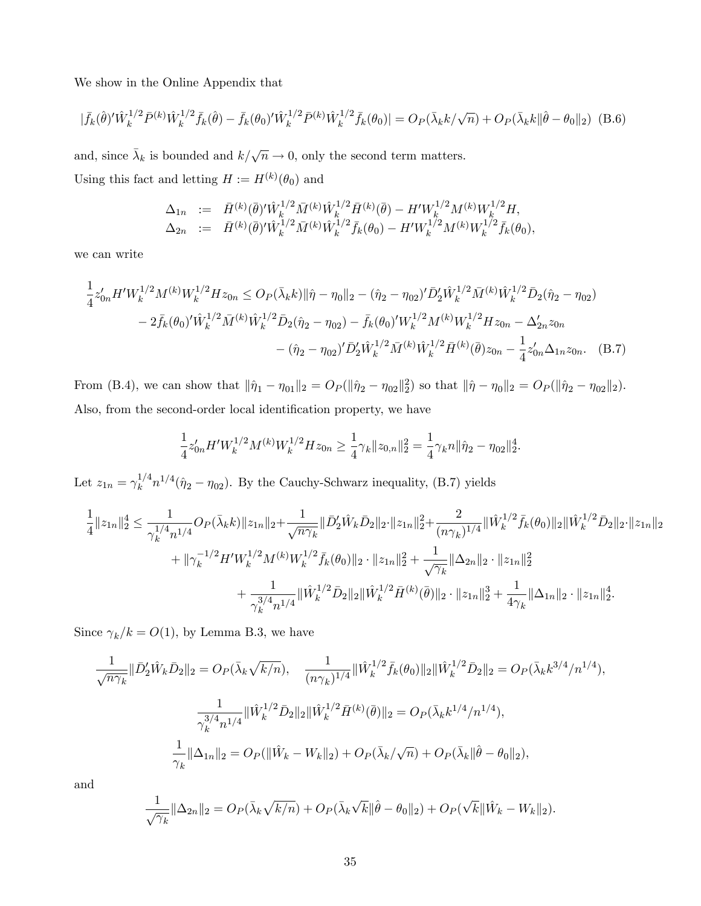We show in the Online Appendix that

$$
|\bar{f}_k(\hat{\theta})'\hat{W}_k^{1/2}\bar{P}^{(k)}\hat{W}_k^{1/2}\bar{f}_k(\hat{\theta}) - \bar{f}_k(\theta_0)'\hat{W}_k^{1/2}\bar{P}^{(k)}\hat{W}_k^{1/2}\bar{f}_k(\theta_0)| = O_P(\bar{\lambda}_k k/\sqrt{n}) + O_P(\bar{\lambda}_k k \|\hat{\theta} - \theta_0\|_2)
$$
(B.6)

and, since  $\bar{\lambda}_k$  is bounded and  $k/\sqrt{n} \to 0$ , only the second term matters. Using this fact and letting  $H := H^{(k)}(\theta_0)$  and

$$
\Delta_{1n} := \bar{H}^{(k)}(\bar{\theta})' \hat{W}_k^{1/2} \bar{M}^{(k)} \hat{W}_k^{1/2} \bar{H}^{(k)}(\bar{\theta}) - H' W_k^{1/2} M^{(k)} W_k^{1/2} H, \n\Delta_{2n} := \bar{H}^{(k)}(\bar{\theta})' \hat{W}_k^{1/2} \bar{M}^{(k)} \hat{W}_k^{1/2} \bar{f}_k(\theta_0) - H' W_k^{1/2} M^{(k)} W_k^{1/2} \bar{f}_k(\theta_0),
$$

we can write

$$
\frac{1}{4}z'_{0n}H'W_k^{1/2}M^{(k)}W_k^{1/2}Hz_{0n} \le O_P(\bar{\lambda}_k k)\|\hat{\eta}-\eta_0\|_2 - (\hat{\eta}_2 - \eta_{02})'\bar{D}_2'\hat{W}_k^{1/2}\bar{M}^{(k)}\hat{W}_k^{1/2}\bar{D}_2(\hat{\eta}_2 - \eta_{02})
$$
\n
$$
-2\bar{f}_k(\theta_0)'\hat{W}_k^{1/2}\bar{M}^{(k)}\hat{W}_k^{1/2}\bar{D}_2(\hat{\eta}_2 - \eta_{02}) - \bar{f}_k(\theta_0)W_k^{1/2}M^{(k)}W_k^{1/2}Hz_{0n} - \Delta'_{2n}z_{0n}
$$
\n
$$
-(\hat{\eta}_2 - \eta_{02})'\bar{D}_2'\hat{W}_k^{1/2}\bar{M}^{(k)}\hat{W}_k^{1/2}\bar{H}^{(k)}(\bar{\theta})z_{0n} - \frac{1}{4}z'_{0n}\Delta_{1n}z_{0n}.\tag{B.7}
$$

From (B.4), we can show that  $\|\hat{\eta}_1 - \eta_{01}\|_2 = O_P (\|\hat{\eta}_2 - \eta_{02}\|_2^2)$  so that  $\|\hat{\eta} - \eta_0\|_2 = O_P (\|\hat{\eta}_2 - \eta_{02}\|_2)$ . Also, from the second-order local identification property, we have

$$
\frac{1}{4}z'_{0n}H'W_k^{1/2}M^{(k)}W_k^{1/2}Hz_{0n}\geq \frac{1}{4}\gamma_k\|z_{0,n}\|_2^2=\frac{1}{4}\gamma_k n\|\hat{\eta}_2-\eta_{02}\|_2^4.
$$

Let  $z_{1n} = \gamma_k^{1/4}$  $\int_k^{1/4} n^{1/4}(\hat{\eta}_2 - \eta_{02})$ . By the Cauchy-Schwarz inequality, (B.7) yields

$$
\begin{aligned}\n&\frac{1}{4}\|z_{1n}\|_2^4 \leq \frac{1}{\gamma_k^{1/4}n^{1/4}}O_P(\bar{\lambda}_k k)\|z_{1n}\|_2 + \frac{1}{\sqrt{n\gamma_k}}\|\bar{D}_2'\hat{W}_k\bar{D}_2\|_2 \cdot \|z_{1n}\|_2^2 + \frac{2}{(n\gamma_k)^{1/4}}\|\hat{W}_k^{1/2}\bar{f}_k(\theta_0)\|_2 \|\hat{W}_k^{1/2}\bar{D}_2\|_2 \cdot \|z_{1n}\|_2 \\
&\quad + \|\gamma_k^{-1/2}H'W_k^{1/2}M^{(k)}W_k^{1/2}\bar{f}_k(\theta_0)\|_2 \cdot \|z_{1n}\|_2^2 + \frac{1}{\sqrt{\gamma_k}}\|\Delta_{2n}\|_2 \cdot \|z_{1n}\|_2^2 \\
&\quad + \frac{1}{\gamma_k^{3/4}n^{1/4}}\|\hat{W}_k^{1/2}\bar{D}_2\|_2 \|\hat{W}_k^{1/2}\bar{H}^{(k)}(\bar{\theta})\|_2 \cdot \|z_{1n}\|_2^3 + \frac{1}{4\gamma_k}\|\Delta_{1n}\|_2 \cdot \|z_{1n}\|_2^4.\n\end{aligned}
$$

Since  $\gamma_k / k = O(1)$ , by Lemma B.3, we have

$$
\frac{1}{\sqrt{n\gamma_k}} \|\bar{D}_2^{\prime}\hat{W}_k\bar{D}_2\|_2 = O_P(\bar{\lambda}_k \sqrt{k/n}), \quad \frac{1}{(n\gamma_k)^{1/4}} \|\hat{W}_k^{1/2}\bar{f}_k(\theta_0)\|_2 \|\hat{W}_k^{1/2}\bar{D}_2\|_2 = O_P(\bar{\lambda}_k k^{3/4}/n^{1/4}),
$$
  

$$
\frac{1}{\gamma_k^{3/4}n^{1/4}} \|\hat{W}_k^{1/2}\bar{D}_2\|_2 \|\hat{W}_k^{1/2}\bar{H}^{(k)}(\bar{\theta})\|_2 = O_P(\bar{\lambda}_k k^{1/4}/n^{1/4}),
$$
  

$$
\frac{1}{\gamma_k} \|\Delta_{1n}\|_2 = O_P(\|\hat{W}_k - W_k\|_2) + O_P(\bar{\lambda}_k/\sqrt{n}) + O_P(\bar{\lambda}_k \|\hat{\theta} - \theta_0\|_2),
$$

and

$$
\frac{1}{\sqrt{\gamma_k}} \|\Delta_{2n}\|_2 = O_P(\bar{\lambda}_k \sqrt{k/n}) + O_P(\bar{\lambda}_k \sqrt{k} \|\hat{\theta} - \theta_0\|_2) + O_P(\sqrt{k} \|\hat{W}_k - W_k\|_2).
$$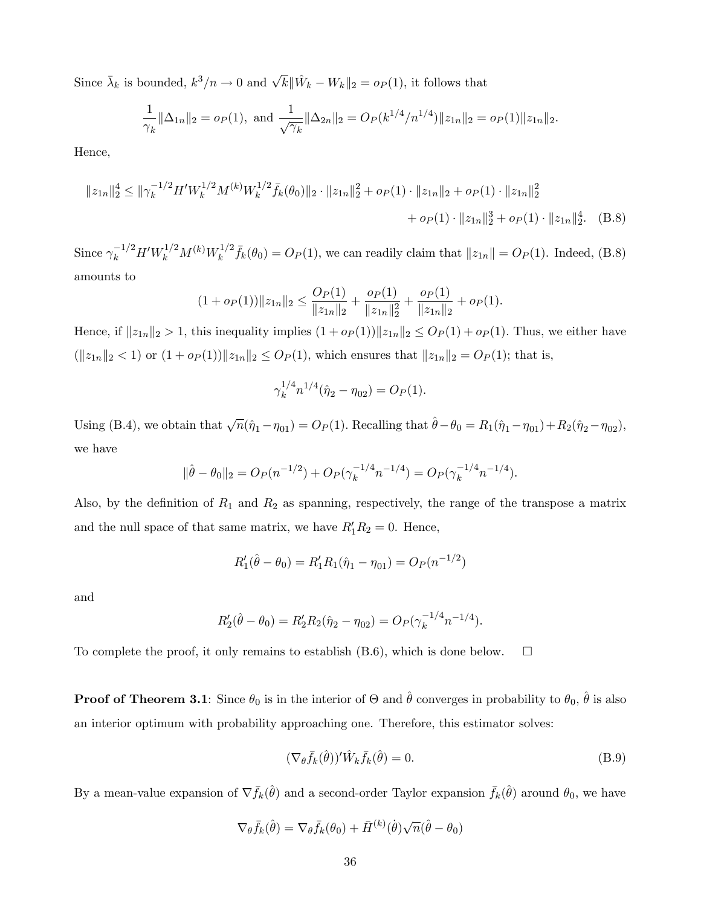Since  $\bar{\lambda}_k$  is bounded,  $k^3/n \to 0$  and  $\sqrt{k} \|\hat{W}_k - W_k\|_2 = o_P(1)$ , it follows that

$$
\frac{1}{\gamma_k} \|\Delta_{1n}\|_2 = o_P(1), \text{ and } \frac{1}{\sqrt{\gamma_k}} \|\Delta_{2n}\|_2 = O_P(k^{1/4}/n^{1/4}) \|z_{1n}\|_2 = o_P(1) \|z_{1n}\|_2.
$$

Hence,

$$
||z_{1n}||_2^4 \le ||\gamma_k^{-1/2} H' W_k^{1/2} M^{(k)} W_k^{1/2} \bar{f}_k(\theta_0)||_2 \cdot ||z_{1n}||_2^2 + o_P(1) \cdot ||z_{1n}||_2 + o_P(1) \cdot ||z_{1n}||_2^2
$$
  
+  $o_P(1) \cdot ||z_{1n}||_2^3 + o_P(1) \cdot ||z_{1n}||_2^4.$  (B.8)

Since  $\gamma_k^{-1/2} H' W_k^{1/2} M^{(k)} W_k^{1/2}$  $f_k^{1/2} \bar{f}_k(\theta_0) = O_P(1)$ , we can readily claim that  $||z_{1n}|| = O_P(1)$ . Indeed, (B.8) amounts to

$$
(1 + o_P(1)) \|z_{1n}\|_2 \le \frac{O_P(1)}{\|z_{1n}\|_2} + \frac{o_P(1)}{\|z_{1n}\|_2^2} + \frac{o_P(1)}{\|z_{1n}\|_2} + o_P(1).
$$

Hence, if  $||z_{1n}||_2 > 1$ , this inequality implies  $(1 + op(1))||z_{1n}||_2 \leq Op(1) + op(1)$ . Thus, we either have  $(\|z_{1n}\|_2 < 1)$  or  $(1 + o_P(1))\|z_{1n}\|_2 \leq O_P(1)$ , which ensures that  $\|z_{1n}\|_2 = O_P(1)$ ; that is,

$$
\gamma_k^{1/4} n^{1/4} (\hat{\eta}_2 - \eta_{02}) = O_P(1).
$$

Using (B.4), we obtain that  $\sqrt{n}(\hat{\eta}_1 - \eta_{01}) = O_P (1)$ . Recalling that  $\hat{\theta} - \theta_0 = R_1(\hat{\eta}_1 - \eta_{01}) + R_2(\hat{\eta}_2 - \eta_{02})$ , we have

$$
\|\hat{\theta} - \theta_0\|_2 = O_P(n^{-1/2}) + O_P(\gamma_k^{-1/4}n^{-1/4}) = O_P(\gamma_k^{-1/4}n^{-1/4}).
$$

Also, by the definition of  $R_1$  and  $R_2$  as spanning, respectively, the range of the transpose a matrix and the null space of that same matrix, we have  $R_1'R_2 = 0$ . Hence,

$$
R'_1(\hat{\theta} - \theta_0) = R'_1 R_1(\hat{\eta}_1 - \eta_{01}) = O_P(n^{-1/2})
$$

and

$$
R_2'(\hat{\theta} - \theta_0) = R_2' R_2(\hat{\eta}_2 - \eta_{02}) = O_P(\gamma_k^{-1/4} n^{-1/4}).
$$

To complete the proof, it only remains to establish  $(B.6)$ , which is done below.  $\square$ 

**Proof of Theorem 3.1**: Since  $\theta_0$  is in the interior of  $\Theta$  and  $\hat{\theta}$  converges in probability to  $\theta_0$ ,  $\hat{\theta}$  is also an interior optimum with probability approaching one. Therefore, this estimator solves:

$$
(\nabla_{\theta}\bar{f}_k(\hat{\theta}))' \hat{W}_k \bar{f}_k(\hat{\theta}) = 0.
$$
\n(B.9)

By a mean-value expansion of  $\nabla \bar{f}_k(\hat{\theta})$  and a second-order Taylor expansion  $\bar{f}_k(\hat{\theta})$  around  $\theta_0$ , we have

$$
\nabla_{\theta}\bar{f}_k(\hat{\theta}) = \nabla_{\theta}\bar{f}_k(\theta_0) + \bar{H}^{(k)}(\hat{\theta})\sqrt{n}(\hat{\theta} - \theta_0)
$$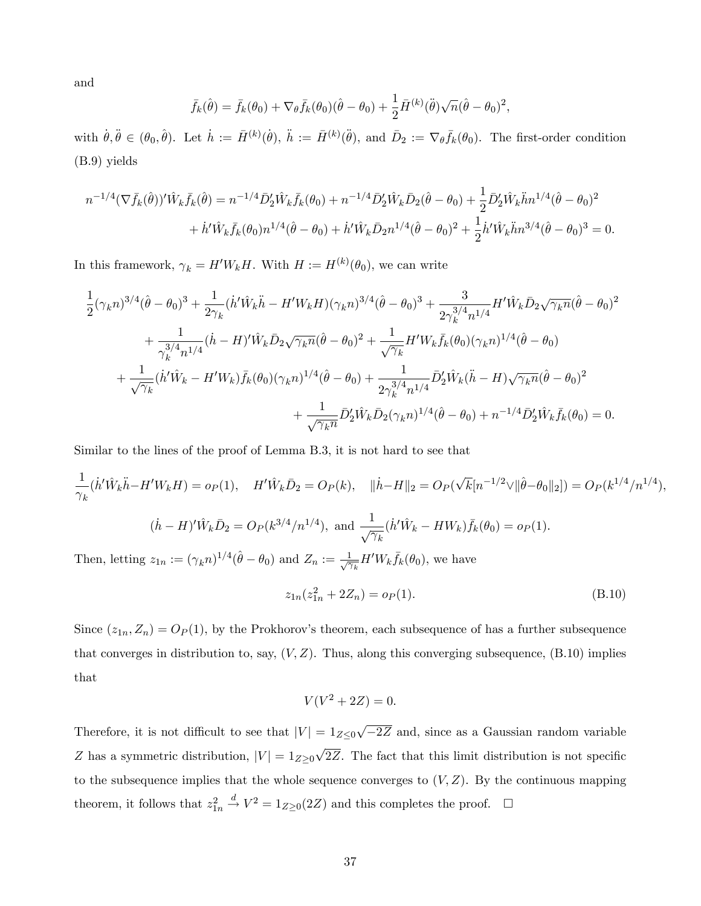and

$$
\bar{f}_k(\hat{\theta}) = \bar{f}_k(\theta_0) + \nabla_{\theta} \bar{f}_k(\theta_0)(\hat{\theta} - \theta_0) + \frac{1}{2}\bar{H}^{(k)}(\hat{\theta})\sqrt{n}(\hat{\theta} - \theta_0)^2,
$$

with  $\dot{\theta}, \ddot{\theta} \in (\theta_0, \hat{\theta})$ . Let  $\dot{h} := \bar{H}^{(k)}(\dot{\theta}), \ddot{h} := \bar{H}^{(k)}(\ddot{\theta})$ , and  $\bar{D}_2 := \nabla_{\theta} \bar{f}_k(\theta_0)$ . The first-order condition (B.9) yields

$$
n^{-1/4}(\nabla \bar{f}_k(\hat{\theta}))'\hat{W}_k \bar{f}_k(\hat{\theta}) = n^{-1/4} \bar{D}_2'\hat{W}_k \bar{f}_k(\theta_0) + n^{-1/4} \bar{D}_2'\hat{W}_k \bar{D}_2(\hat{\theta} - \theta_0) + \frac{1}{2} \bar{D}_2'\hat{W}_k \ddot{h}n^{1/4}(\hat{\theta} - \theta_0)^2
$$
  
+  $\dot{h}'\hat{W}_k \bar{f}_k(\theta_0)n^{1/4}(\hat{\theta} - \theta_0) + \dot{h}'\hat{W}_k \bar{D}_2n^{1/4}(\hat{\theta} - \theta_0)^2 + \frac{1}{2}\dot{h}'\hat{W}_k \ddot{h}n^{3/4}(\hat{\theta} - \theta_0)^3 = 0.$ 

In this framework,  $\gamma_k = H'W_kH$ . With  $H := H^{(k)}(\theta_0)$ , we can write

$$
\frac{1}{2}(\gamma_k n)^{3/4}(\hat{\theta} - \theta_0)^3 + \frac{1}{2\gamma_k}(h'\hat{W}_k\ddot{h} - H'W_kH)(\gamma_k n)^{3/4}(\hat{\theta} - \theta_0)^3 + \frac{3}{2\gamma_k^{3/4}n^{1/4}}H'\hat{W}_k\bar{D}_2\sqrt{\gamma_k n}(\hat{\theta} - \theta_0)^2 \n+ \frac{1}{\gamma_k^{3/4}n^{1/4}}(\dot{h} - H)'\hat{W}_k\bar{D}_2\sqrt{\gamma_k n}(\hat{\theta} - \theta_0)^2 + \frac{1}{\sqrt{\gamma_k}}H'W_k\bar{f}_k(\theta_0)(\gamma_k n)^{1/4}(\hat{\theta} - \theta_0) \n+ \frac{1}{\sqrt{\gamma_k}}(\dot{h}'\hat{W}_k - H'W_k)\bar{f}_k(\theta_0)(\gamma_k n)^{1/4}(\hat{\theta} - \theta_0) + \frac{1}{2\gamma_k^{3/4}n^{1/4}}\bar{D}_2'\hat{W}_k(\ddot{h} - H)\sqrt{\gamma_k n}(\hat{\theta} - \theta_0)^2 \n+ \frac{1}{\sqrt{\gamma_k n}}\bar{D}_2'\hat{W}_k\bar{D}_2(\gamma_k n)^{1/4}(\hat{\theta} - \theta_0) + n^{-1/4}\bar{D}_2'\hat{W}_k\bar{f}_k(\theta_0) = 0.
$$

Similar to the lines of the proof of Lemma B.3, it is not hard to see that

$$
\frac{1}{\gamma_k}(\dot{h}'\hat{W}_k\ddot{h}-H'W_kH) = o_P(1), \quad H'\hat{W}_k\bar{D}_2 = O_P(k), \quad \|\dot{h}-H\|_2 = O_P(\sqrt{k}[n^{-1/2}\vee\|\hat{\theta}-\theta_0\|_2]) = O_P(k^{1/4}/n^{1/4}),
$$

$$
(\dot{h}-H)'\hat{W}_k\bar{D}_2 = O_P(k^{3/4}/n^{1/4}), \text{ and } \frac{1}{\sqrt{\gamma_k}}(\dot{h}'\hat{W}_k - HW_k)\bar{f}_k(\theta_0) = o_P(1).
$$
Then, letting  $z_{1n} := (\gamma_k n)^{1/4}(\hat{\theta}-\theta_0)$  and  $Z_n := \frac{1}{\sqrt{\gamma_k}}H'W_k\bar{f}_k(\theta_0)$ , we have

$$
z_{1n}(z_{1n}^2 + 2Z_n) = o_P(1). \tag{B.10}
$$

Since  $(z_{1n}, Z_n) = O_P(1)$ , by the Prokhorov's theorem, each subsequence of has a further subsequence that converges in distribution to, say,  $(V, Z)$ . Thus, along this converging subsequence,  $(B.10)$  implies that

$$
V(V^2 + 2Z) = 0.
$$

Therefore, it is not difficult to see that  $|V| = 1_{Z\leq 0} \sqrt{-2Z}$  and, since as a Gaussian random variable Z has a symmetric distribution,  $|V| = 1_{Z\geq 0} \sqrt{2Z}$ . The fact that this limit distribution is not specific to the subsequence implies that the whole sequence converges to  $(V, Z)$ . By the continuous mapping theorem, it follows that  $z_{1n}^2 \stackrel{d}{\rightarrow} V^2 = 1_{Z\geq 0}(2Z)$  and this completes the proof.  $\Box$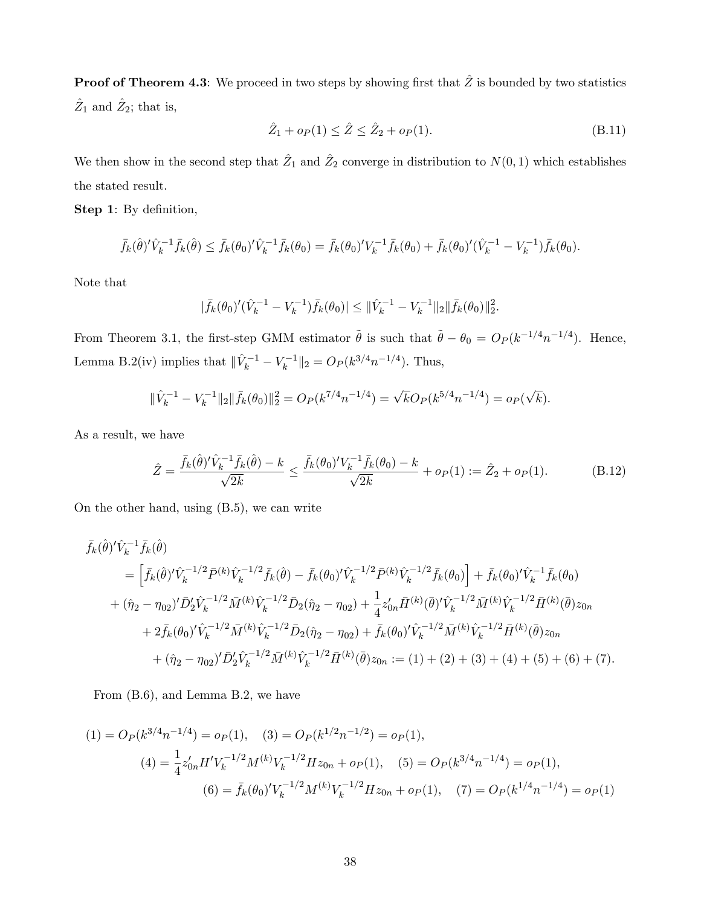**Proof of Theorem 4.3**: We proceed in two steps by showing first that  $\hat{Z}$  is bounded by two statistics  $\hat{Z}_1$  and  $\hat{Z}_2$ ; that is,

$$
\hat{Z}_1 + o_P(1) \le \hat{Z} \le \hat{Z}_2 + o_P(1). \tag{B.11}
$$

We then show in the second step that  $\hat{Z}_1$  and  $\hat{Z}_2$  converge in distribution to  $N(0, 1)$  which establishes the stated result.

Step 1: By definition,

$$
\bar{f}_k(\hat{\theta})' \hat{V}_k^{-1} \bar{f}_k(\hat{\theta}) \leq \bar{f}_k(\theta_0)' \hat{V}_k^{-1} \bar{f}_k(\theta_0) = \bar{f}_k(\theta_0)' V_k^{-1} \bar{f}_k(\theta_0) + \bar{f}_k(\theta_0)' (\hat{V}_k^{-1} - V_k^{-1}) \bar{f}_k(\theta_0).
$$

Note that

$$
|\bar{f}_k(\theta_0)'(\hat{V}_k^{-1} - V_k^{-1})\bar{f}_k(\theta_0)| \leq {\|\hat{V}_k^{-1} - V_k^{-1}\|_2 \|\bar{f}_k(\theta_0)\|_2^2}.
$$

From Theorem 3.1, the first-step GMM estimator  $\tilde{\theta}$  is such that  $\tilde{\theta} - \theta_0 = O_P(k^{-1/4}n^{-1/4})$ . Hence, Lemma B.2(iv) implies that  $\|\hat{V}_k^{-1} - V_k^{-1}\|_2 = O_P (k^{3/4} n^{-1/4})$ . Thus,

$$
\|\hat{V}_k^{-1} - V_k^{-1}\|_2 \|\bar{f}_k(\theta_0)\|_2^2 = O_P(k^{7/4}n^{-1/4}) = \sqrt{k}O_P(k^{5/4}n^{-1/4}) = o_P(\sqrt{k}).
$$

As a result, we have

$$
\hat{Z} = \frac{\bar{f}_k(\hat{\theta})' \hat{V}_k^{-1} \bar{f}_k(\hat{\theta}) - k}{\sqrt{2k}} \le \frac{\bar{f}_k(\theta_0)' V_k^{-1} \bar{f}_k(\theta_0) - k}{\sqrt{2k}} + o_P(1) := \hat{Z}_2 + o_P(1). \tag{B.12}
$$

On the other hand, using (B.5), we can write

$$
\begin{split}\n\bar{f}_{k}(\hat{\theta})' \hat{V}_{k}^{-1} \bar{f}_{k}(\hat{\theta}) \\
&= \left[ \bar{f}_{k}(\hat{\theta})' \hat{V}_{k}^{-1/2} \bar{P}^{(k)} \hat{V}_{k}^{-1/2} \bar{f}_{k}(\hat{\theta}) - \bar{f}_{k}(\theta_{0})' \hat{V}_{k}^{-1/2} \bar{P}^{(k)} \hat{V}_{k}^{-1/2} \bar{f}_{k}(\theta_{0}) \right] + \bar{f}_{k}(\theta_{0})' \hat{V}_{k}^{-1} \bar{f}_{k}(\theta_{0}) \\
&+ (\hat{\eta}_{2} - \eta_{02})' \bar{D}_{2}' \hat{V}_{k}^{-1/2} \bar{M}^{(k)} \hat{V}_{k}^{-1/2} \bar{D}_{2}(\hat{\eta}_{2} - \eta_{02}) + \frac{1}{4} z'_{0n} \bar{H}^{(k)}(\bar{\theta})' \hat{V}_{k}^{-1/2} \bar{M}^{(k)} \hat{V}_{k}^{-1/2} \bar{H}^{(k)}(\bar{\theta}) z_{0n} \\
&+ 2 \bar{f}_{k}(\theta_{0})' \hat{V}_{k}^{-1/2} \bar{M}^{(k)} \hat{V}_{k}^{-1/2} \bar{D}_{2}(\hat{\eta}_{2} - \eta_{02}) + \bar{f}_{k}(\theta_{0})' \hat{V}_{k}^{-1/2} \bar{M}^{(k)} \hat{V}_{k}^{-1/2} \bar{H}^{(k)}(\bar{\theta}) z_{0n} \\
&+ (\hat{\eta}_{2} - \eta_{02})' \bar{D}_{2}' \hat{V}_{k}^{-1/2} \bar{M}^{(k)} \hat{V}_{k}^{-1/2} \bar{H}^{(k)}(\bar{\theta}) z_{0n} := (1) + (2) + (3) + (4) + (5) + (6) + (7).\n\end{split}
$$

From (B.6), and Lemma B.2, we have

(1) = 
$$
O_P(k^{3/4}n^{-1/4}) = o_P(1)
$$
, (3) =  $O_P(k^{1/2}n^{-1/2}) = o_P(1)$ ,  
\n(4) =  $\frac{1}{4}z'_{0n}H'V_k^{-1/2}M^{(k)}V_k^{-1/2}Hz_{0n} + o_P(1)$ , (5) =  $O_P(k^{3/4}n^{-1/4}) = o_P(1)$ ,  
\n(6) =  $\bar{f}_k(\theta_0)'V_k^{-1/2}M^{(k)}V_k^{-1/2}Hz_{0n} + o_P(1)$ , (7) =  $O_P(k^{1/4}n^{-1/4}) = o_P(1)$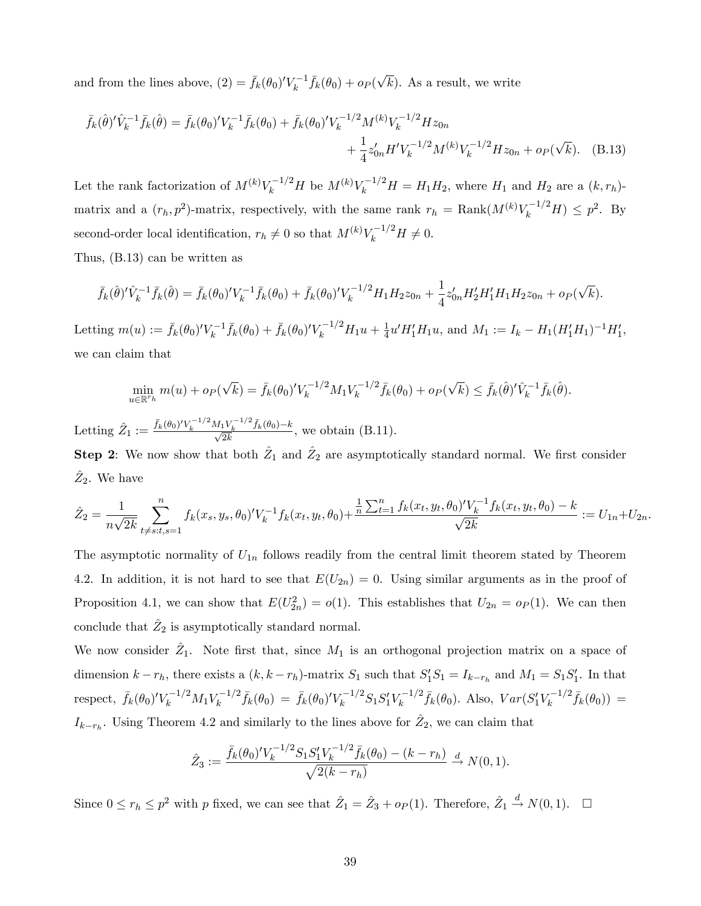and from the lines above,  $(2) = \bar{f}_k(\theta_0)' V_k^{-1} \bar{f}_k(\theta_0) + o_P(\sqrt{k})$ . As a result, we write

$$
\bar{f}_k(\hat{\theta})' \hat{V}_k^{-1} \bar{f}_k(\hat{\theta}) = \bar{f}_k(\theta_0)' V_k^{-1} \bar{f}_k(\theta_0) + \bar{f}_k(\theta_0)' V_k^{-1/2} M^{(k)} V_k^{-1/2} H z_{0n} \n+ \frac{1}{4} z'_{0n} H' V_k^{-1/2} M^{(k)} V_k^{-1/2} H z_{0n} + o_P(\sqrt{k}).
$$
 (B.13)

Let the rank factorization of  $M^{(k)}V_k^{-1/2}H$  be  $M^{(k)}V_k^{-1/2}H = H_1H_2$ , where  $H_1$  and  $H_2$  are a  $(k, r_h)$ matrix and a  $(r_h, p^2)$ -matrix, respectively, with the same rank  $r_h = \text{Rank}(M^{(k)}V_k^{-1/2}H) \leq p^2$ . By second-order local identification,  $r_h \neq 0$  so that  $M^{(k)}V_k^{-1/2}H \neq 0$ .

Thus, (B.13) can be written as

$$
\bar{f}_k(\hat{\theta})' \hat{V}_k^{-1} \bar{f}_k(\hat{\theta}) = \bar{f}_k(\theta_0)' V_k^{-1} \bar{f}_k(\theta_0) + \bar{f}_k(\theta_0)' V_k^{-1/2} H_1 H_2 z_{0n} + \frac{1}{4} z'_{0n} H_2' H_1' H_1 H_2 z_{0n} + o_P(\sqrt{k}).
$$

Letting  $m(u) := \bar{f}_k(\theta_0)' V_k^{-1} \bar{f}_k(\theta_0) + \bar{f}_k(\theta_0)' V_k^{-1/2} H_1 u + \frac{1}{4}$  $\frac{1}{4}u'H'_1H_1u$ , and  $M_1 := I_k - H_1(H'_1H_1)^{-1}H'_1$ , we can claim that

$$
\min_{u \in \mathbb{R}^{r_h}} m(u) + o_P(\sqrt{k}) = \bar{f}_k(\theta_0)' V_k^{-1/2} M_1 V_k^{-1/2} \bar{f}_k(\theta_0) + o_P(\sqrt{k}) \leq \bar{f}_k(\hat{\theta})' \hat{V}_k^{-1} \bar{f}_k(\hat{\theta}).
$$

Letting  $\hat{Z}_1 := \frac{\bar{f}_k(\theta_0)' V_k^{-1/2} M_1 V_k^{-1/2} \bar{f}_k(\theta_0) - k}{\sqrt{2k}},$  we obtain (B.11).

**Step 2**: We now show that both  $\hat{Z}_1$  and  $\hat{Z}_2$  are asymptotically standard normal. We first consider  $\hat{Z}_2$ . We have

$$
\hat{Z}_2 = \frac{1}{n\sqrt{2k}} \sum_{t \neq s:t, s=1}^n f_k(x_s, y_s, \theta_0)' V_k^{-1} f_k(x_t, y_t, \theta_0) + \frac{\frac{1}{n} \sum_{t=1}^n f_k(x_t, y_t, \theta_0)' V_k^{-1} f_k(x_t, y_t, \theta_0) - k}{\sqrt{2k}} := U_{1n} + U_{2n}.
$$

The asymptotic normality of  $U_{1n}$  follows readily from the central limit theorem stated by Theorem 4.2. In addition, it is not hard to see that  $E(U_{2n}) = 0$ . Using similar arguments as in the proof of Proposition 4.1, we can show that  $E(U_{2n}^2) = o(1)$ . This establishes that  $U_{2n} = o_P(1)$ . We can then conclude that  $\hat{Z}_2$  is asymptotically standard normal.

We now consider  $\hat{Z}_1$ . Note first that, since  $M_1$  is an orthogonal projection matrix on a space of dimension  $k - r_h$ , there exists a  $(k, k - r_h)$ -matrix  $S_1$  such that  $S_1'S_1 = I_{k-r_h}$  and  $M_1 = S_1S_1'$ . In that respect,  $\bar{f}_k(\theta_0)' V_k^{-1/2} M_1 V_k^{-1/2} \bar{f}_k(\theta_0) = \bar{f}_k(\theta_0)' V_k^{-1/2} S_1 S_1' V_k^{-1/2} \bar{f}_k(\theta_0)$ . Also,  $Var(S_1' V_k^{-1/2} \bar{f}_k(\theta_0)) =$  $I_{k-r_h}$ . Using Theorem 4.2 and similarly to the lines above for  $\hat{Z}_2$ , we can claim that

$$
\hat{Z}_3 := \frac{\bar{f}_k(\theta_0)' V_k^{-1/2} S_1 S_1' V_k^{-1/2} \bar{f}_k(\theta_0) - (k - r_h)}{\sqrt{2(k - r_h)}} \xrightarrow{d} N(0, 1).
$$

Since  $0 \le r_h \le p^2$  with p fixed, we can see that  $\hat{Z}_1 = \hat{Z}_3 + o_P (1)$ . Therefore,  $\hat{Z}_1 \stackrel{d}{\rightarrow} N(0, 1)$ .  $\Box$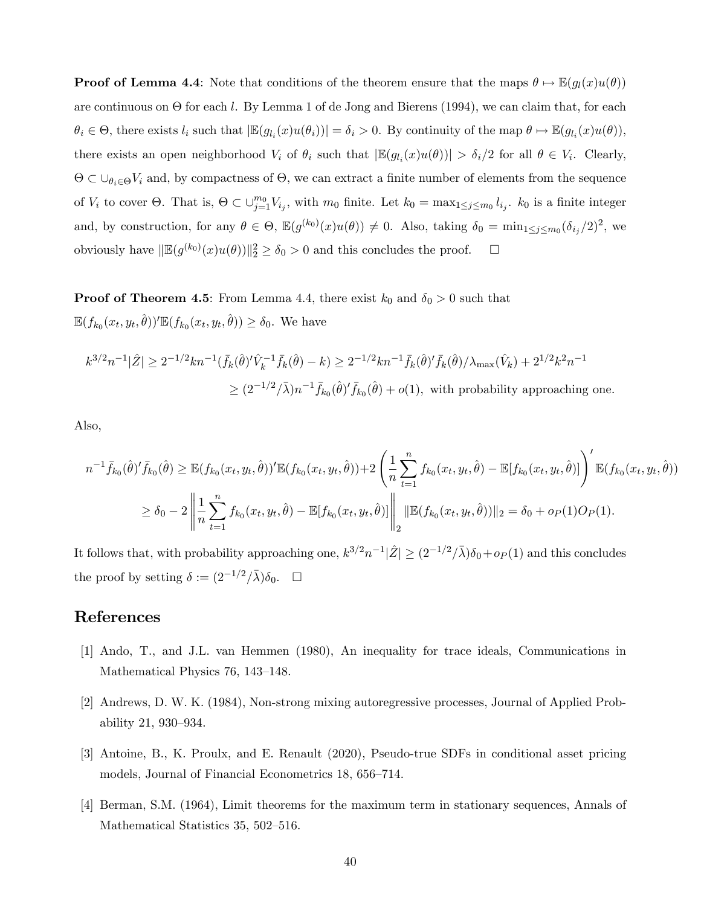**Proof of Lemma 4.4**: Note that conditions of the theorem ensure that the maps  $\theta \mapsto \mathbb{E}(g_l(x)u(\theta))$ are continuous on  $\Theta$  for each l. By Lemma 1 of de Jong and Bierens (1994), we can claim that, for each  $\theta_i \in \Theta$ , there exists  $l_i$  such that  $|\mathbb{E}(g_{l_i}(x)u(\theta_i))| = \delta_i > 0$ . By continuity of the map  $\theta \mapsto \mathbb{E}(g_{l_i}(x)u(\theta))$ , there exists an open neighborhood  $V_i$  of  $\theta_i$  such that  $|\mathbb{E}(g_{l_i}(x)u(\theta))| > \delta_i/2$  for all  $\theta \in V_i$ . Clearly,  $\Theta \subset \bigcup_{\theta_i \in \Theta} V_i$  and, by compactness of  $\Theta$ , we can extract a finite number of elements from the sequence of  $V_i$  to cover  $\Theta$ . That is,  $\Theta \subset \bigcup_{j=1}^{m_0} V_{i_j}$ , with  $m_0$  finite. Let  $k_0 = \max_{1 \leq j \leq m_0} l_{i_j}$ .  $k_0$  is a finite integer and, by construction, for any  $\theta \in \Theta$ ,  $\mathbb{E}(g^{(k_0)}(x)u(\theta)) \neq 0$ . Also, taking  $\delta_0 = \min_{1 \leq j \leq m_0} (\delta_{i_j}/2)^2$ , we obviously have  $\|\mathbb{E}(g^{(k_0)}(x)u(\theta))\|_2^2 \ge \delta_0 > 0$  and this concludes the proof.  $\Box$ 

**Proof of Theorem 4.5**: From Lemma 4.4, there exist  $k_0$  and  $\delta_0 > 0$  such that  $\mathbb{E}(f_{k_0}(x_t, y_t, \hat{\theta}))' \mathbb{E}(f_{k_0}(x_t, y_t, \hat{\theta})) \ge \delta_0$ . We have

$$
k^{3/2}n^{-1}|\hat{Z}| \ge 2^{-1/2}kn^{-1}(\bar{f}_k(\hat{\theta})'\hat{V}_k^{-1}\bar{f}_k(\hat{\theta}) - k) \ge 2^{-1/2}kn^{-1}\bar{f}_k(\hat{\theta})'\bar{f}_k(\hat{\theta})/\lambda_{\max}(\hat{V}_k) + 2^{1/2}k^2n^{-1}
$$
  

$$
\ge (2^{-1/2}/\bar{\lambda})n^{-1}\bar{f}_{k_0}(\hat{\theta})'\bar{f}_{k_0}(\hat{\theta}) + o(1), \text{ with probability approaching one.}
$$

Also,

$$
n^{-1} \bar{f}_{k_0}(\hat{\theta})' \bar{f}_{k_0}(\hat{\theta}) \geq \mathbb{E}(f_{k_0}(x_t, y_t, \hat{\theta}))' \mathbb{E}(f_{k_0}(x_t, y_t, \hat{\theta})) + 2 \left( \frac{1}{n} \sum_{t=1}^n f_{k_0}(x_t, y_t, \hat{\theta}) - \mathbb{E}[f_{k_0}(x_t, y_t, \hat{\theta})] \right)' \mathbb{E}(f_{k_0}(x_t, y_t, \hat{\theta}))
$$
  

$$
\geq \delta_0 - 2 \left\| \frac{1}{n} \sum_{t=1}^n f_{k_0}(x_t, y_t, \hat{\theta}) - \mathbb{E}[f_{k_0}(x_t, y_t, \hat{\theta})] \right\|_2 \|\mathbb{E}(f_{k_0}(x_t, y_t, \hat{\theta}))\|_2 = \delta_0 + o_P(1)O_P(1).
$$

It follows that, with probability approaching one,  $k^{3/2}n^{-1}|\hat{Z}|\geq (2^{-1/2}/\bar{\lambda})\delta_0+o_P(1)$  and this concludes the proof by setting  $\delta := (2^{-1/2}/\bar{\lambda})\delta_0.$   $\Box$ 

# References

- [1] Ando, T., and J.L. van Hemmen (1980), An inequality for trace ideals, Communications in Mathematical Physics 76, 143–148.
- [2] Andrews, D. W. K. (1984), Non-strong mixing autoregressive processes, Journal of Applied Probability 21, 930-934.
- [3] Antoine, B., K. Proulx, and E. Renault (2020), Pseudo-true SDFs in conditional asset pricing models, Journal of Financial Econometrics 18, 656–714.
- [4] Berman, S.M. (1964), Limit theorems for the maximum term in stationary sequences, Annals of Mathematical Statistics 35, 502–516.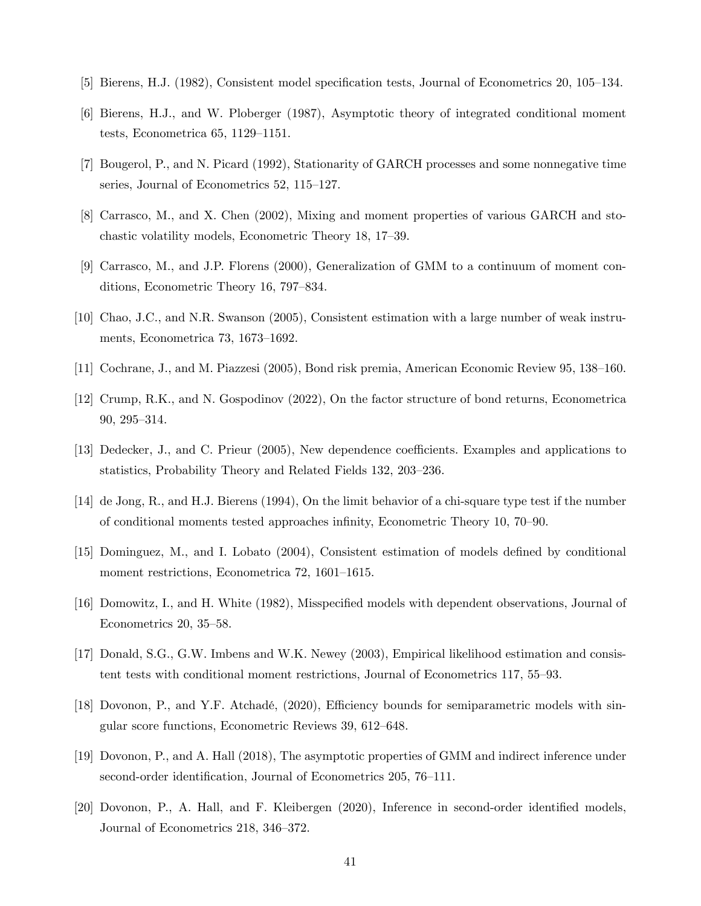- [5] Bierens, H.J. (1982), Consistent model specification tests, Journal of Econometrics 20, 105–134.
- [6] Bierens, H.J., and W. Ploberger (1987), Asymptotic theory of integrated conditional moment tests, Econometrica  $65$ , 1129–1151.
- [7] Bougerol, P., and N. Picard (1992), Stationarity of GARCH processes and some nonnegative time series, Journal of Econometrics  $52$ ,  $115-127$ .
- [8] Carrasco, M., and X. Chen (2002), Mixing and moment properties of various GARCH and stochastic volatility models, Econometric Theory 18, 17–39.
- [9] Carrasco, M., and J.P. Florens (2000), Generalization of GMM to a continuum of moment conditions, Econometric Theory 16, 797–834.
- [10] Chao, J.C., and N.R. Swanson (2005), Consistent estimation with a large number of weak instruments, Econometrica 73, 1673–1692.
- [11] Cochrane, J., and M. Piazzesi (2005), Bond risk premia, American Economic Review 95, 138–160.
- [12] Crump, R.K., and N. Gospodinov (2022), On the factor structure of bond returns, Econometrica 90, 295-314.
- [13] Dedecker, J., and C. Prieur (2005), New dependence coefficients. Examples and applications to statistics, Probability Theory and Related Fields 132, 203–236.
- [14] de Jong, R., and H.J. Bierens (1994), On the limit behavior of a chi-square type test if the number of conditional moments tested approaches infinity, Econometric Theory 10, 70–90.
- [15] Dominguez, M., and I. Lobato (2004), Consistent estimation of models defined by conditional moment restrictions, Econometrica 72, 1601–1615.
- [16] Domowitz, I., and H. White (1982), Misspecified models with dependent observations, Journal of Econometrics  $20, 35-58.$
- [17] Donald, S.G., G.W. Imbens and W.K. Newey (2003), Empirical likelihood estimation and consistent tests with conditional moment restrictions, Journal of Econometrics 117,  $55-93$ .
- [18] Dovonon, P., and Y.F. Atchadé, (2020), Efficiency bounds for semiparametric models with singular score functions, Econometric Reviews 39, 612–648.
- [19] Dovonon, P., and A. Hall (2018), The asymptotic properties of GMM and indirect inference under second-order identification, Journal of Econometrics 205, 76–111.
- [20] Dovonon, P., A. Hall, and F. Kleibergen (2020), Inference in second-order identified models, Journal of Econometrics 218, 346–372.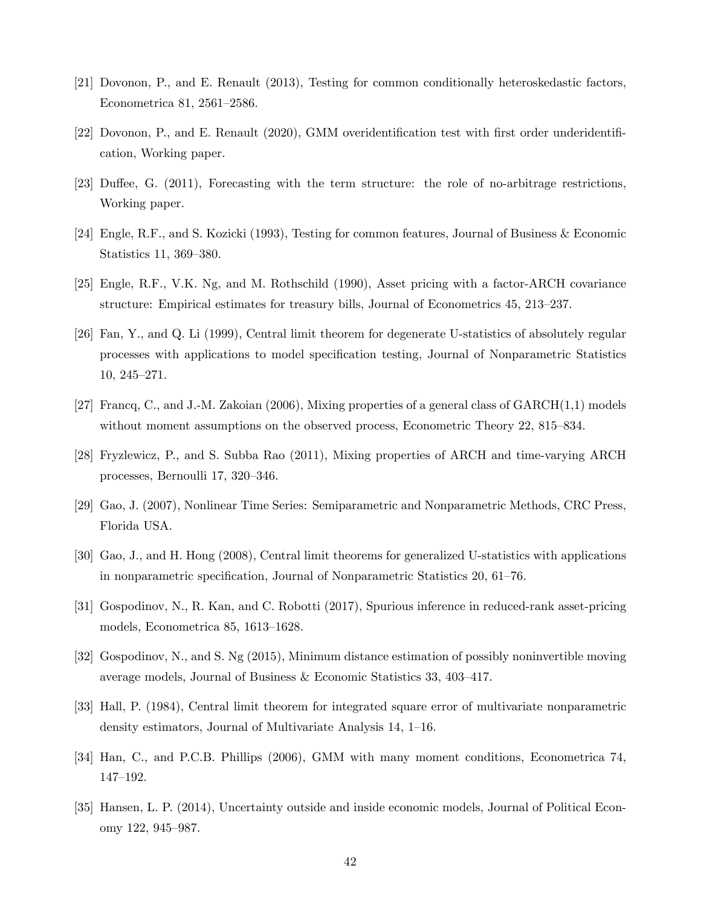- [21] Dovonon, P., and E. Renault (2013), Testing for common conditionally heteroskedastic factors, Econometrica 81, 2561–2586.
- [22] Dovonon, P., and E. Renault (2020), GMM overidentification test with first order underidentification, Working paper.
- [23] Duffee, G. (2011), Forecasting with the term structure: the role of no-arbitrage restrictions, Working paper.
- [24] Engle, R.F., and S. Kozicki (1993), Testing for common features, Journal of Business & Economic Statistics 11, 369–380.
- [25] Engle, R.F., V.K. Ng, and M. Rothschild (1990), Asset pricing with a factor-ARCH covariance structure: Empirical estimates for treasury bills, Journal of Econometrics 45, 213-237.
- [26] Fan, Y., and Q. Li (1999), Central limit theorem for degenerate U-statistics of absolutely regular processes with applications to model speciÖcation testing, Journal of Nonparametric Statistics  $10, 245 - 271.$
- [27] Francq, C., and J.-M. Zakoian (2006), Mixing properties of a general class of GARCH(1,1) models without moment assumptions on the observed process, Econometric Theory 22, 815–834.
- [28] Fryzlewicz, P., and S. Subba Rao (2011), Mixing properties of ARCH and time-varying ARCH processes, Bernoulli  $17, 320-346$ .
- [29] Gao, J. (2007), Nonlinear Time Series: Semiparametric and Nonparametric Methods, CRC Press, Florida USA.
- [30] Gao, J., and H. Hong (2008), Central limit theorems for generalized U-statistics with applications in nonparametric specification, Journal of Nonparametric Statistics  $20, 61-76$ .
- [31] Gospodinov, N., R. Kan, and C. Robotti (2017), Spurious inference in reduced-rank asset-pricing models, Econometrica  $85, 1613-1628$ .
- [32] Gospodinov, N., and S. Ng (2015), Minimum distance estimation of possibly noninvertible moving average models, Journal of Business  $&$  Economic Statistics 33, 403–417.
- [33] Hall, P. (1984), Central limit theorem for integrated square error of multivariate nonparametric density estimators, Journal of Multivariate Analysis  $14$ ,  $1-16$ .
- [34] Han, C., and P.C.B. Phillips (2006), GMM with many moment conditions, Econometrica 74, 147-192.
- [35] Hansen, L. P. (2014), Uncertainty outside and inside economic models, Journal of Political Economy 122, 945–987.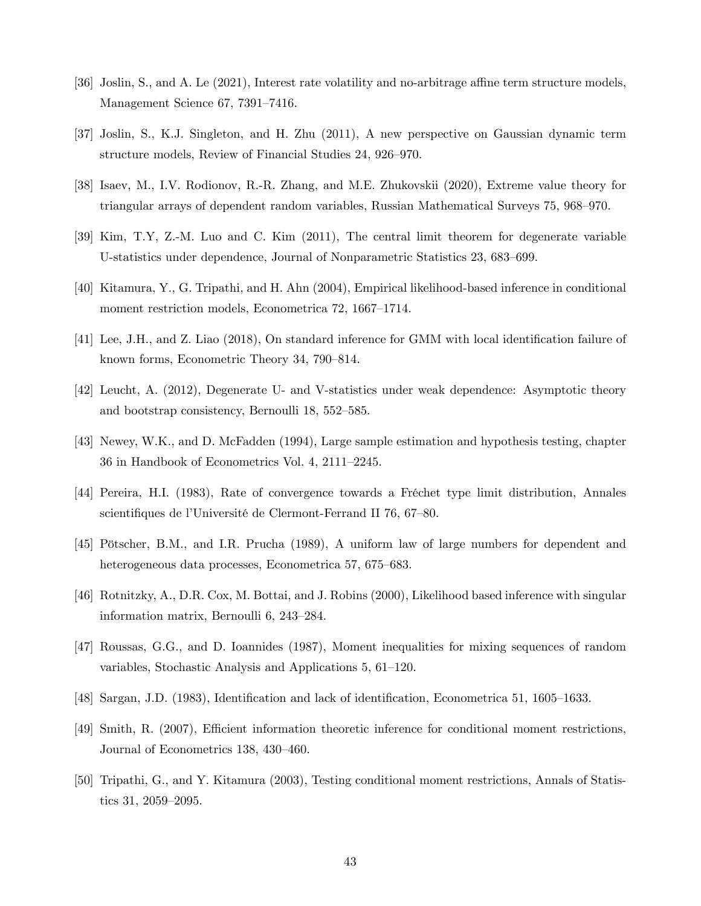- [36] Joslin, S., and A. Le (2021), Interest rate volatility and no-arbitrage affine term structure models, Management Science  $67,7391-7416$ .
- [37] Joslin, S., K.J. Singleton, and H. Zhu (2011), A new perspective on Gaussian dynamic term structure models, Review of Financial Studies 24, 926–970.
- [38] Isaev, M., I.V. Rodionov, R.-R. Zhang, and M.E. Zhukovskii (2020), Extreme value theory for triangular arrays of dependent random variables, Russian Mathematical Surveys 75, 968–970.
- [39] Kim, T.Y, Z.-M. Luo and C. Kim (2011), The central limit theorem for degenerate variable U-statistics under dependence, Journal of Nonparametric Statistics 23, 683–699.
- [40] Kitamura, Y., G. Tripathi, and H. Ahn (2004), Empirical likelihood-based inference in conditional moment restriction models, Econometrica 72, 1667-1714.
- [41] Lee, J.H., and Z. Liao (2018), On standard inference for GMM with local identification failure of known forms, Econometric Theory 34, 790–814.
- [42] Leucht, A. (2012), Degenerate U- and V-statistics under weak dependence: Asymptotic theory and bootstrap consistency, Bernoulli  $18, 552-585$ .
- [43] Newey, W.K., and D. McFadden (1994), Large sample estimation and hypothesis testing, chapter  $36$  in Handbook of Econometrics Vol. 4,  $2111-2245$ .
- [44] Pereira, H.I. (1983), Rate of convergence towards a Fréchet type limit distribution, Annales scientifiques de l'Université de Clermont-Ferrand II 76, 67–80.
- [45] Pötscher, B.M., and I.R. Prucha (1989), A uniform law of large numbers for dependent and heterogeneous data processes, Econometrica 57, 675–683.
- [46] Rotnitzky, A., D.R. Cox, M. Bottai, and J. Robins (2000), Likelihood based inference with singular information matrix, Bernoulli  $6, 243-284$ .
- [47] Roussas, G.G., and D. Ioannides (1987), Moment inequalities for mixing sequences of random variables, Stochastic Analysis and Applications  $5, 61-120$ .
- [48] Sargan, J.D. (1983), Identification and lack of identification, Econometrica 51, 1605–1633.
- [49] Smith, R. (2007), Efficient information theoretic inference for conditional moment restrictions, Journal of Econometrics 138, 430-460.
- [50] Tripathi, G., and Y. Kitamura (2003), Testing conditional moment restrictions, Annals of Statistics  $31, 2059 - 2095$ .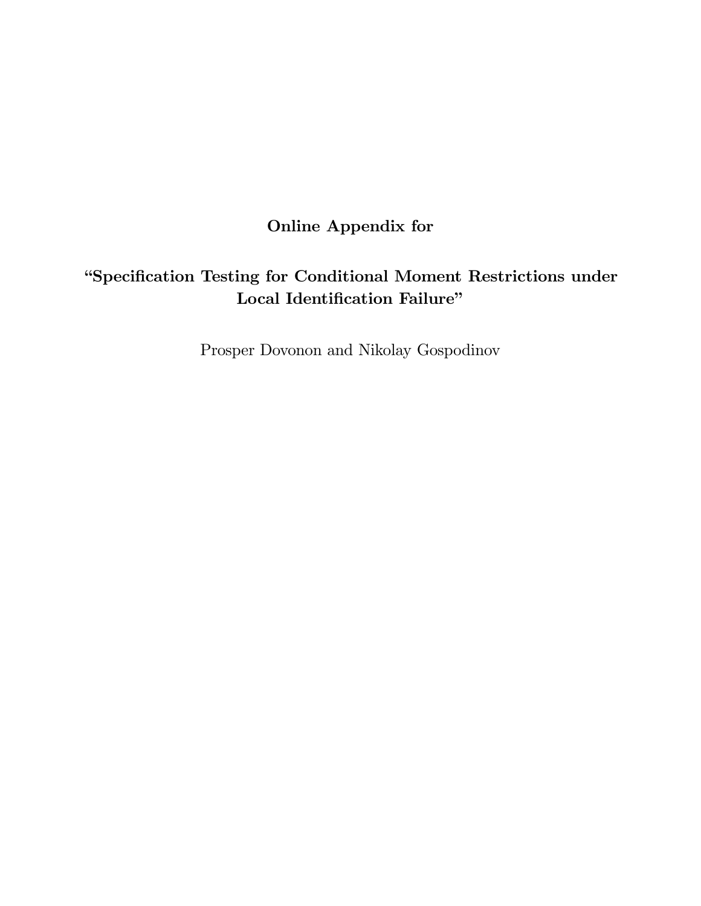Online Appendix for

# "Specification Testing for Conditional Moment Restrictions under Local Identification Failure"

Prosper Dovonon and Nikolay Gospodinov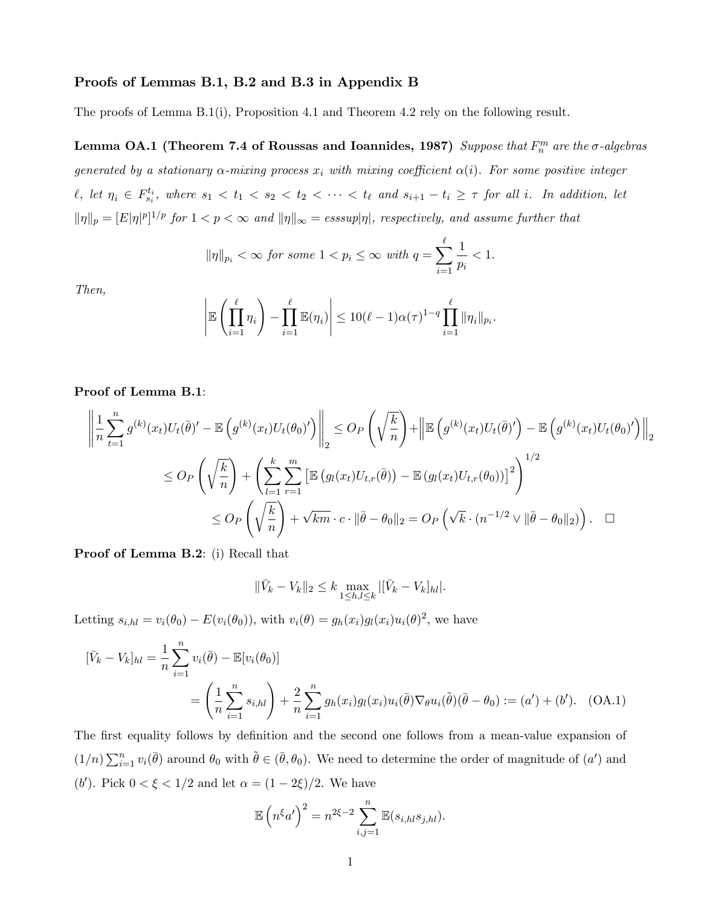### Proofs of Lemmas B.1, B.2 and B.3 in Appendix B

The proofs of Lemma B.1(i), Proposition 4.1 and Theorem 4.2 rely on the following result.

Lemma OA.1 (Theorem 7.4 of Roussas and Ioannides, 1987) Suppose that  $F_n^m$  are the  $\sigma$ -algebras generated by a stationary  $\alpha$ -mixing process  $x_i$  with mixing coefficient  $\alpha(i)$ . For some positive integer  $\ell, \text{ let } \eta_i \in F_{s_i}^{t_i}, \text{ where } s_1 < t_1 < s_2 < t_2 < \cdots < t_\ell \text{ and } s_{i+1} - t_i \geq \tau \text{ for all } i. \text{ In addition, let }$  $||\eta||_p = [E|\eta|^p]^{1/p}$  for  $1 < p < \infty$  and  $||\eta||_{\infty} =$  esssup $|\eta|$ , respectively, and assume further that

$$
\|\eta\|_{p_i} < \infty \text{ for some } 1 < p_i \le \infty \text{ with } q = \sum_{i=1}^{\ell} \frac{1}{p_i} < 1.
$$

Then,

$$
\left| \mathbb{E}\left(\prod_{i=1}^{\ell} \eta_i\right) - \prod_{i=1}^{\ell} \mathbb{E}(\eta_i) \right| \le 10(\ell - 1)\alpha(\tau)^{1-q} \prod_{i=1}^{\ell} \|\eta_i\|_{p_i}.
$$

Proof of Lemma B.1:

$$
\left\| \frac{1}{n} \sum_{t=1}^{n} g^{(k)}(x_t) U_t(\bar{\theta})' - \mathbb{E} \left( g^{(k)}(x_t) U_t(\theta_0)' \right) \right\|_2 \leq O_P\left( \sqrt{\frac{k}{n}} \right) + \left\| \mathbb{E} \left( g^{(k)}(x_t) U_t(\bar{\theta})' \right) - \mathbb{E} \left( g^{(k)}(x_t) U_t(\theta_0)' \right) \right\|_2
$$
  

$$
\leq O_P\left( \sqrt{\frac{k}{n}} \right) + \left( \sum_{l=1}^{k} \sum_{r=1}^{m} \left[ \mathbb{E} \left( g_l(x_t) U_{t,r}(\bar{\theta}) \right) - \mathbb{E} \left( g_l(x_t) U_{t,r}(\theta_0) \right) \right]^2 \right)^{1/2}
$$
  

$$
\leq O_P\left( \sqrt{\frac{k}{n}} \right) + \sqrt{km} \cdot c \cdot \|\bar{\theta} - \theta_0\|_2 = O_P\left( \sqrt{k} \cdot (n^{-1/2} \vee \|\bar{\theta} - \theta_0\|_2) \right). \quad \Box
$$

Proof of Lemma B.2: (i) Recall that

$$
\|\bar{V}_k - V_k\|_2 \le k \max_{1 \le h,l \le k} |[\bar{V}_k - V_k]_{hl}|.
$$

Letting  $s_{i,hl} = v_i(\theta_0) - E(v_i(\theta_0))$ , with  $v_i(\theta) = g_h(x_i)g_l(x_i)u_i(\theta)^2$ , we have

$$
[\bar{V}_k - V_k]_{hl} = \frac{1}{n} \sum_{i=1}^n v_i(\bar{\theta}) - \mathbb{E}[v_i(\theta_0)]
$$
  
=  $\left(\frac{1}{n} \sum_{i=1}^n s_{i,hl}\right) + \frac{2}{n} \sum_{i=1}^n g_h(x_i) g_l(x_i) u_i(\bar{\theta}) \nabla_{\theta} u_i(\tilde{\theta}) (\bar{\theta} - \theta_0) := (a') + (b').$  (OA.1)

The first equality follows by definition and the second one follows from a mean-value expansion of  $(1/n)\sum_{i=1}^n v_i(\bar{\theta})$  around  $\theta_0$  with  $\tilde{\theta} \in (\bar{\theta}, \theta_0)$ . We need to determine the order of magnitude of  $(a')$  and (*b'*). Pick  $0 < \xi < 1/2$  and let  $\alpha = (1 - 2\xi)/2$ . We have

$$
\mathbb{E}\left(n^{\xi}a'\right)^{2}=n^{2\xi-2}\sum_{i,j=1}^{n}\mathbb{E}(s_{i,hl}s_{j,hl}).
$$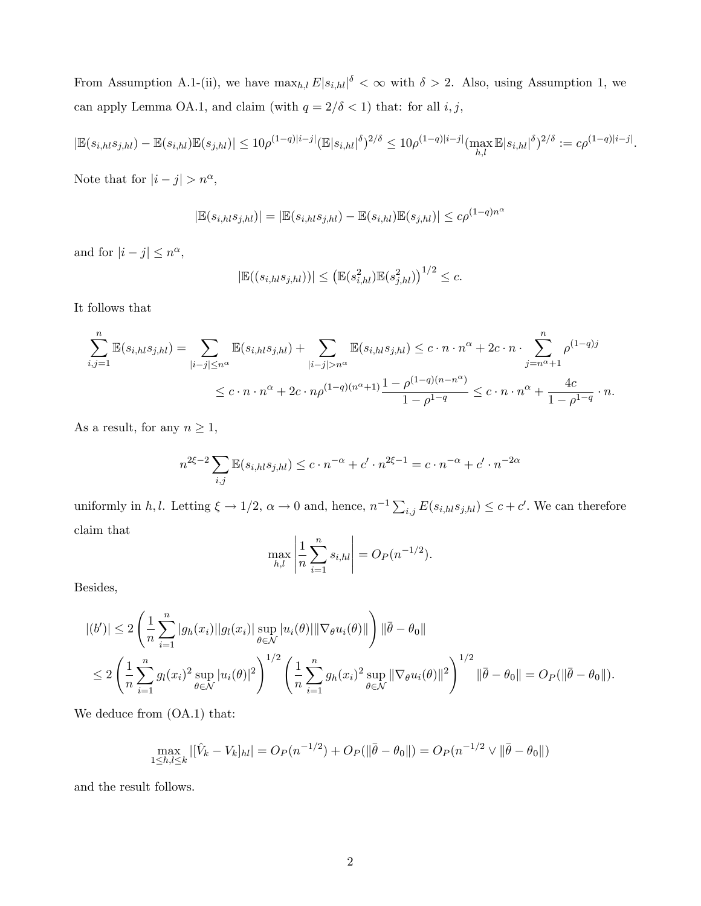From Assumption A.1-(ii), we have  $\max_{h,l} E|s_{i,hl}|^{\delta} < \infty$  with  $\delta > 2$ . Also, using Assumption 1, we can apply Lemma OA.1, and claim (with  $q = 2/\delta < 1)$  that: for all  $i,j,$ 

$$
|\mathbb{E}(s_{i,h} s_{j,hl}) - \mathbb{E}(s_{i,hl}) \mathbb{E}(s_{j,hl})| \leq 10\rho^{(1-q)|i-j|} (\mathbb{E}|s_{i,hl}|^{\delta})^{2/\delta} \leq 10\rho^{(1-q)|i-j|} (\max_{h,l} \mathbb{E}|s_{i,hl}|^{\delta})^{2/\delta} := c\rho^{(1-q)|i-j|}.
$$

Note that for  $|i - j| > n^{\alpha}$ ,

$$
|\mathbb{E}(s_{i,hl}s_{j,hl})| = |\mathbb{E}(s_{i,hl}s_{j,hl}) - \mathbb{E}(s_{i,hl})\mathbb{E}(s_{j,hl})| \le c\rho^{(1-q)n^{\alpha}}
$$

and for  $|i - j| \leq n^{\alpha}$ ,

$$
|\mathbb{E}((s_{i,h} s_{j,hl}))| \leq (\mathbb{E}(s_{i,hl}^2) \mathbb{E}(s_{j,hl}^2))^{1/2} \leq c.
$$

It follows that

$$
\sum_{i,j=1}^{n} \mathbb{E}(s_{i,hl} s_{j,hl}) = \sum_{|i-j| \le n^{\alpha}} \mathbb{E}(s_{i,hl} s_{j,hl}) + \sum_{|i-j| > n^{\alpha}} \mathbb{E}(s_{i,hl} s_{j,hl}) \le c \cdot n \cdot n^{\alpha} + 2c \cdot n \cdot \sum_{j=n^{\alpha}+1}^{n} \rho^{(1-q)j} \le c \cdot n \cdot n^{\alpha} + 2c \cdot n \rho^{(1-q)(n^{\alpha}+1)} \frac{1-\rho^{(1-q)(n-n^{\alpha})}}{1-\rho^{1-q}} \le c \cdot n \cdot n^{\alpha} + \frac{4c}{1-\rho^{1-q}} \cdot n.
$$

As a result, for any  $n\geq 1,$ 

$$
n^{2\xi - 2} \sum_{i,j} \mathbb{E}(s_{i,h} s_{j,h} ) \le c \cdot n^{-\alpha} + c' \cdot n^{2\xi - 1} = c \cdot n^{-\alpha} + c' \cdot n^{-2\alpha}
$$

uniformly in h, l. Letting  $\xi \to 1/2$ ,  $\alpha \to 0$  and, hence,  $n^{-1} \sum_{i,j} E(s_{i,h} s_{j,h} l) \leq c + c'$ . We can therefore claim that

$$
\max_{h,l} \left| \frac{1}{n} \sum_{i=1}^n s_{i,hl} \right| = O_P(n^{-1/2}).
$$

Besides,

$$
|(b')| \leq 2 \left( \frac{1}{n} \sum_{i=1}^{n} |g_h(x_i)||g_l(x_i)| \sup_{\theta \in \mathcal{N}} |u_i(\theta)||\nabla_{\theta} u_i(\theta)||) \right) \|\bar{\theta} - \theta_0\|
$$
  

$$
\leq 2 \left( \frac{1}{n} \sum_{i=1}^{n} g_l(x_i)^2 \sup_{\theta \in \mathcal{N}} |u_i(\theta)|^2 \right)^{1/2} \left( \frac{1}{n} \sum_{i=1}^{n} g_h(x_i)^2 \sup_{\theta \in \mathcal{N}} ||\nabla_{\theta} u_i(\theta)||^2 \right)^{1/2} \|\bar{\theta} - \theta_0\| = O_P(\|\bar{\theta} - \theta_0\|).
$$

We deduce from (OA.1) that:

$$
\max_{1 \leq h,l \leq k} |[\hat{V}_k - V_k]_{hl}| = O_P(n^{-1/2}) + O_P(\|\bar{\theta} - \theta_0\|) = O_P(n^{-1/2} \vee \|\bar{\theta} - \theta_0\|)
$$

and the result follows.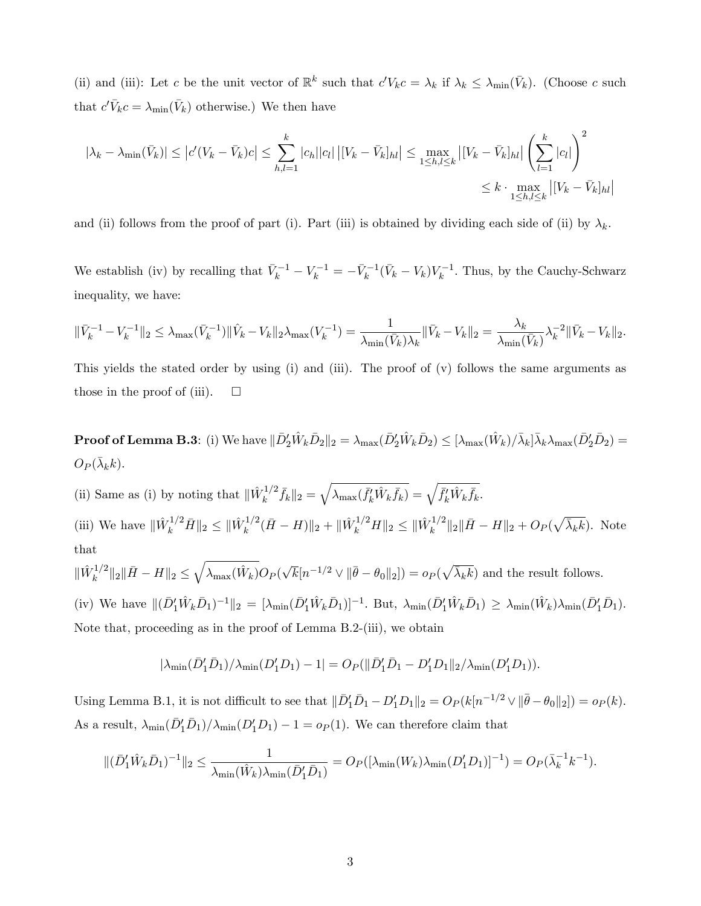(ii) and (iii): Let c be the unit vector of  $\mathbb{R}^k$  such that  $c'V_kc = \lambda_k$  if  $\lambda_k \leq \lambda_{\min}(\bar{V}_k)$ . (Choose c such that  $c'\bar{V}_k c = \lambda_{\min}(\bar{V}_k)$  otherwise.) We then have

$$
|\lambda_k - \lambda_{\min}(\bar{V}_k)| \le |c'(V_k - \bar{V}_k)c| \le \sum_{h,l=1}^k |c_h||c_l| \left| [V_k - \bar{V}_k]_{hl} \right| \le \max_{1 \le h,l \le k} |[V_k - \bar{V}_k]_{hl}| \left(\sum_{l=1}^k |c_l|\right)^2 \le k \cdot \max_{1 \le h,l \le k} |[V_k - \bar{V}_k]_{hl}|
$$

and (ii) follows from the proof of part (i). Part (iii) is obtained by dividing each side of (ii) by  $\lambda_k$ .

We establish (iv) by recalling that  $\bar{V}_k^{-1} - V_k^{-1} = -\bar{V}_k^{-1}(\bar{V}_k - V_k)V_k^{-1}$ . Thus, by the Cauchy-Schwarz inequality, we have:

$$
\|\bar{V}_k^{-1} - V_k^{-1}\|_2 \leq \lambda_{\max}(\bar{V}_k^{-1}) \|\hat{V}_k - V_k\|_2 \lambda_{\max}(V_k^{-1}) = \frac{1}{\lambda_{\min}(\bar{V}_k)\lambda_k} \|\bar{V}_k - V_k\|_2 = \frac{\lambda_k}{\lambda_{\min}(\bar{V}_k)} \lambda_k^{-2} \|\bar{V}_k - V_k\|_2.
$$

This yields the stated order by using (i) and (iii). The proof of (v) follows the same arguments as those in the proof of (iii).  $\Box$ 

**Proof of Lemma B.3**: (i) We have  $\|\bar{D}_2'\hat{W}_k\bar{D}_2\|_2 = \lambda_{\max}(\bar{D}_2'\hat{W}_k\bar{D}_2) \leq [\lambda_{\max}(\hat{W}_k)/\bar{\lambda}_k]\bar{\lambda}_k\lambda_{\max}(\bar{D}_2'\bar{D}_2) =$  $O_P(\bar{\lambda}_k k).$ 

(ii) Same as (i) by noting that  $\|\hat{W}_k^{1/2}\|$  $\bar{f}_k^{-1/2} \bar{f}_k \|_2 = \sqrt{\lambda_{\max}(\bar{f}_k'\hat{W}_k\bar{f}_k)} = \sqrt{\bar{f}_k'\hat{W}_k\bar{f}_k}.$ (iii) We have  $\|\hat{W}_k^{1/2}\bar{H}\|_2 \leq \|\hat{W}_k^{1/2}\|_2$  $\|\hat{W}_k^{1/2}(\bar{H}-H)\|_2 + \|\hat{W}_k^{1/2}H\|_2 \leq \|\hat{W}_k^{1/2}\|_2$  $\frac{1}{k}$ <sup>1/2</sup>||<sub>2</sub>|| $\bar{H} - H$ ||<sub>2</sub> +  $O_P(\sqrt{\bar{\lambda}_k k})$ . Note that  $\sqrt{ }$ 

$$
\|\hat{W}_k^{1/2}\|_2 \|\bar{H} - H\|_2 \le \sqrt{\lambda_{\max}(\hat{W}_k)} O_P(\sqrt{k} [n^{-1/2} \vee \|\bar{\theta} - \theta_0\|_2]) = o_P(\sqrt{\lambda_k k})
$$
 and the result follows.

(iv) We have  $\|(\bar{D}_1^{\prime}\hat{W}_k\bar{D}_1)^{-1}\|_2 = [\lambda_{\min}(\bar{D}_1^{\prime}\hat{W}_k\bar{D}_1)]^{-1}$ . But,  $\lambda_{\min}(\bar{D}_1^{\prime}\hat{W}_k\bar{D}_1) \geq \lambda_{\min}(\hat{W}_k)\lambda_{\min}(\bar{D}_1^{\prime}\bar{D}_1)$ . Note that, proceeding as in the proof of Lemma B.2-(iii), we obtain

$$
|\lambda_{\min}(\bar{D}'_1 \bar{D}_1)/\lambda_{\min}(D'_1 D_1) - 1| = O_P(||\bar{D}'_1 \bar{D}_1 - D'_1 D_1||_2/\lambda_{\min}(D'_1 D_1)).
$$

Using Lemma B.1, it is not difficult to see that  $\|\overline{D}'_1\overline{D}_1 - D'_1D_1\|_2 = O_P(k[n^{-1/2} \vee \|\overline{\theta} - \theta_0\|_2]) = o_P(k)$ . As a result,  $\lambda_{\min}(\bar{D}'_1 \bar{D}_1)/\lambda_{\min}(D'_1 D_1) - 1 = o_P(1)$ . We can therefore claim that

$$
\|(\bar{D}'_1 \hat{W}_k \bar{D}_1)^{-1}\|_2 \le \frac{1}{\lambda_{\min}(\hat{W}_k)\lambda_{\min}(\bar{D}'_1 \bar{D}_1)} = O_P([\lambda_{\min}(W_k)\lambda_{\min}(D'_1 D_1)]^{-1}) = O_P(\bar{\lambda}_k^{-1}k^{-1}).
$$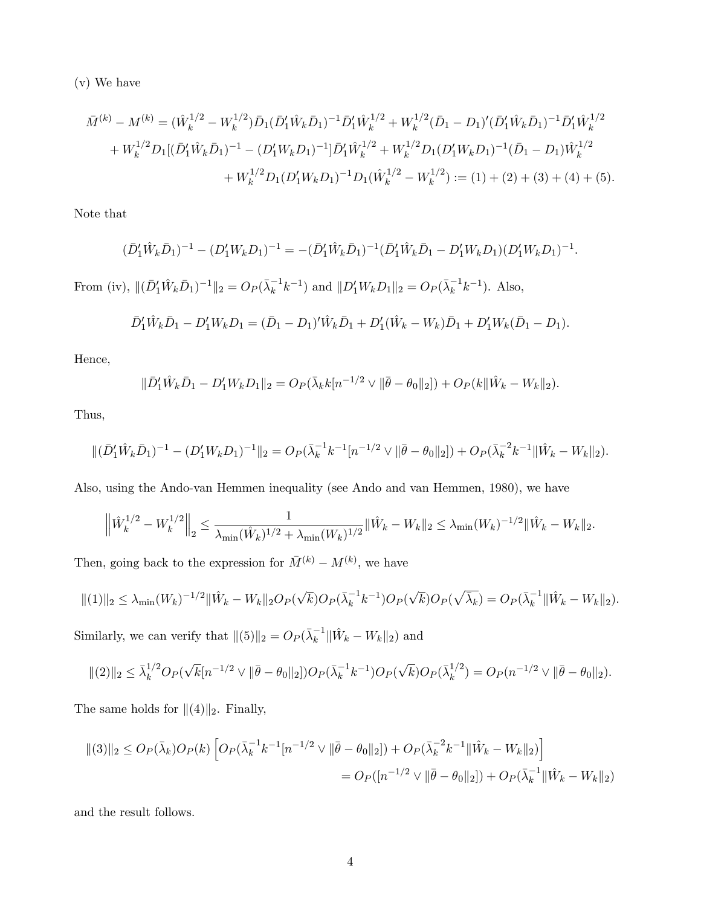(v) We have

$$
\bar{M}^{(k)} - M^{(k)} = (\hat{W}_k^{1/2} - W_k^{1/2}) \bar{D}_1 (\bar{D}_1' \hat{W}_k \bar{D}_1)^{-1} \bar{D}_1' \hat{W}_k^{1/2} + W_k^{1/2} (\bar{D}_1 - D_1)' (\bar{D}_1' \hat{W}_k \bar{D}_1)^{-1} \bar{D}_1' \hat{W}_k^{1/2} \n+ W_k^{1/2} D_1 [(\bar{D}_1' \hat{W}_k \bar{D}_1)^{-1} - (D_1' W_k D_1)^{-1}] \bar{D}_1' \hat{W}_k^{1/2} + W_k^{1/2} D_1 (D_1' W_k D_1)^{-1} (\bar{D}_1 - D_1) \hat{W}_k^{1/2} \n+ W_k^{1/2} D_1 (D_1' W_k D_1)^{-1} D_1 (\hat{W}_k^{1/2} - W_k^{1/2}) := (1) + (2) + (3) + (4) + (5).
$$

Note that

$$
(\bar{D}'_1 \hat{W}_k \bar{D}_1)^{-1} - (D'_1 W_k D_1)^{-1} = -(\bar{D}'_1 \hat{W}_k \bar{D}_1)^{-1} (\bar{D}'_1 \hat{W}_k \bar{D}_1 - D'_1 W_k D_1) (D'_1 W_k D_1)^{-1}.
$$
  
From (iv),  $||(\bar{D}'_1 \hat{W}_k \bar{D}_1)^{-1}||_2 = O_P(\bar{\lambda}_k^{-1} k^{-1})$  and  $||D'_1 W_k D_1||_2 = O_P(\bar{\lambda}_k^{-1} k^{-1})$ . Also,

$$
\bar{D}'_1 \hat{W}_k \bar{D}_1 - D'_1 W_k D_1 = (\bar{D}_1 - D_1)' \hat{W}_k \bar{D}_1 + D'_1 (\hat{W}_k - W_k) \bar{D}_1 + D'_1 W_k (\bar{D}_1 - D_1).
$$

Hence,

$$
\|\bar{D}'_1\hat{W}_k\bar{D}_1 - D'_1W_kD_1\|_2 = O_P(\bar{\lambda}_k k[n^{-1/2} \vee \|\bar{\theta} - \theta_0\|_2]) + O_P(k\|\hat{W}_k - W_k\|_2).
$$

Thus,

$$
\|(\bar{D}'_1\hat{W}_k\bar{D}_1)^{-1} - (D'_1W_kD_1)^{-1}\|_2 = O_P(\bar{\lambda}_k^{-1}k^{-1}[n^{-1/2}\vee\|\bar{\theta}-\theta_0\|_2]) + O_P(\bar{\lambda}_k^{-2}k^{-1}\|\hat{W}_k-W_k\|_2).
$$

Also, using the Ando-van Hemmen inequality (see Ando and van Hemmen, 1980), we have

$$
\left\|\hat{W}_k^{1/2} - W_k^{1/2}\right\|_2 \le \frac{1}{\lambda_{\min}(\hat{W}_k)^{1/2} + \lambda_{\min}(W_k)^{1/2}} \|\hat{W}_k - W_k\|_2 \le \lambda_{\min}(W_k)^{-1/2} \|\hat{W}_k - W_k\|_2.
$$

Then, going back to the expression for  $\bar{M}^{(k)} - M^{(k)}$ , we have

$$
\|(1)\|_2 \leq \lambda_{\min}(W_k)^{-1/2} \|\hat{W}_k - W_k\|_2 O_P(\sqrt{k}) O_P(\bar{\lambda}_k^{-1} k^{-1}) O_P(\sqrt{k}) O_P(\sqrt{\bar{\lambda}_k}) = O_P(\bar{\lambda}_k^{-1} \|\hat{W}_k - W_k\|_2).
$$

Similarly, we can verify that  $||(5)||_2 = O_P(\bar{\lambda}_k^{-1} || \hat{W}_k - W_k ||_2)$  and

$$
\|(2)\|_2 \leq \bar{\lambda}_k^{1/2} O_P(\sqrt{k} [n^{-1/2} \vee \|\bar{\theta} - \theta_0\|_2]) O_P(\bar{\lambda}_k^{-1} k^{-1}) O_P(\sqrt{k}) O_P(\bar{\lambda}_k^{1/2}) = O_P(n^{-1/2} \vee \|\bar{\theta} - \theta_0\|_2).
$$

The same holds for  $\|(4)\|_2$ . Finally,

$$
\begin{aligned} \|(3)\|_{2} &\le O_{P}(\bar{\lambda}_{k})O_{P}(k)\left[O_{P}(\bar{\lambda}_{k}^{-1}k^{-1}[n^{-1/2}\vee\|\bar{\theta}-\theta_{0}\|_{2}]) + O_{P}(\bar{\lambda}_{k}^{-2}k^{-1}\|\hat{W}_{k}-W_{k}\|_{2})\right] \\ &= O_{P}([n^{-1/2}\vee\|\bar{\theta}-\theta_{0}\|_{2}]) + O_{P}(\bar{\lambda}_{k}^{-1}\|\hat{W}_{k}-W_{k}\|_{2}) \end{aligned}
$$

and the result follows.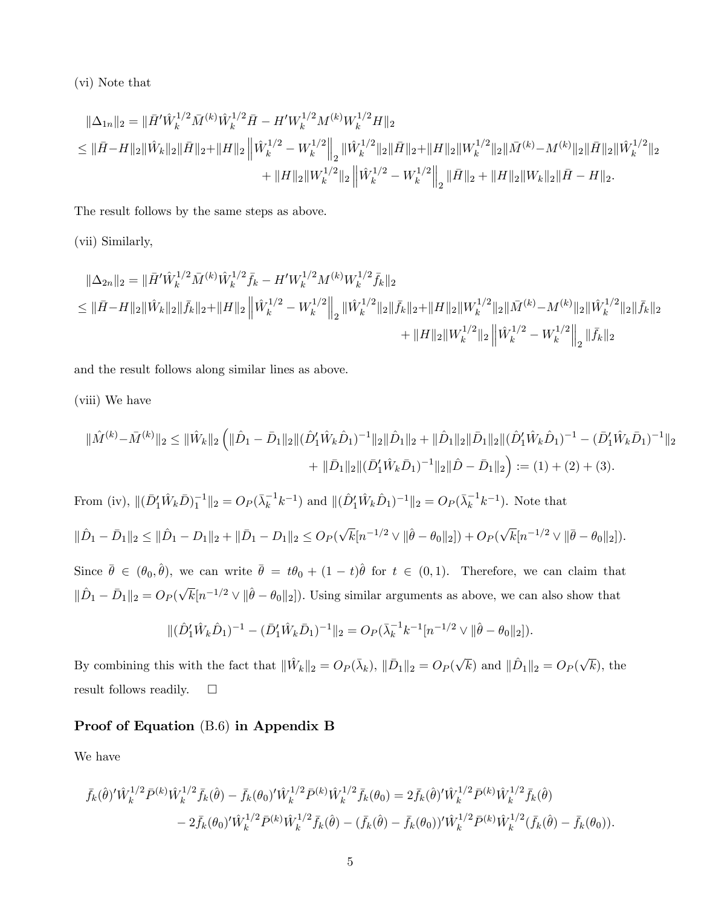(vi) Note that

$$
\begin{aligned} \|\Delta_{1n}\|_2 &= \|\bar H' \hat W_k^{1/2} \bar M^{(k)} \hat W_k^{1/2} \bar H - H' W_k^{1/2} M^{(k)} W_k^{1/2} H\|_2 \\ &\leq \|\bar H - H\|_2 \|\hat W_k\|_2 \|\bar H\|_2 + \|H\|_2 \left\| \hat W_k^{1/2} - W_k^{1/2} \right\|_2 \|\hat W_k^{1/2}\|_2 \|\bar H\|_2 + \|H\|_2 \|W_k^{1/2}\|_2 \|\bar M^{(k)} - M^{(k)}\|_2 \|\bar H\|_2 \|\hat W_k^{1/2}\|_2 \\ &\qquad \qquad + \|H\|_2 \|W_k^{1/2}\|_2 \left\| \hat W_k^{1/2} - W_k^{1/2} \right\|_2 \|\bar H\|_2 + \|H\|_2 \|W_k\|_2 \|\bar H - H\|_2. \end{aligned}
$$

The result follows by the same steps as above.

(vii) Similarly,

$$
\begin{aligned}\n\|\Delta_{2n}\|_{2} &= \|\bar{H}'\hat{W}_{k}^{1/2}\bar{M}^{(k)}\hat{W}_{k}^{1/2}\bar{f}_{k} - H'W_{k}^{1/2}M^{(k)}W_{k}^{1/2}\bar{f}_{k}\|_{2} \\
&\leq \|\bar{H}-H\|_{2}\|\hat{W}_{k}\|_{2}\|\bar{f}_{k}\|_{2} + \|H\|_{2}\left\|\hat{W}_{k}^{1/2} - W_{k}^{1/2}\right\|_{2}\|\hat{W}_{k}^{1/2}\|_{2}\|\bar{f}_{k}\|_{2} + \|H\|_{2}\|W_{k}^{1/2}\|_{2}\|\bar{M}^{(k)} - M^{(k)}\|_{2}\|\hat{W}_{k}^{1/2}\|_{2}\|\bar{f}_{k}\|_{2} \\
&\quad + \|H\|_{2}\|W_{k}^{1/2}\|_{2}\left\|\hat{W}_{k}^{1/2} - W_{k}^{1/2}\right\|_{2}\|\bar{f}_{k}\|_{2}\n\end{aligned}
$$

and the result follows along similar lines as above.

(viii) We have

$$
\|\hat{M}^{(k)} - \bar{M}^{(k)}\|_{2} \leq \|\hat{W}_{k}\|_{2} \left( \|\hat{D}_{1} - \bar{D}_{1}\|_{2} \|(\hat{D}_{1}^{\prime} \hat{W}_{k} \hat{D}_{1})^{-1} \|_{2} \|\hat{D}_{1}\|_{2} + \|\hat{D}_{1}\|_{2} \|\hat{D}_{1}\|_{2} \|(\hat{D}_{1}^{\prime} \hat{W}_{k} \hat{D}_{1})^{-1} - (\bar{D}_{1}^{\prime} \hat{W}_{k} \bar{D}_{1})^{-1} \|_{2} + \|\bar{D}_{1}\|_{2} \|(\bar{D}_{1}^{\prime} \hat{W}_{k} \bar{D}_{1})^{-1} \|_{2} \|\hat{D} - \bar{D}_{1}\|_{2} \right) := (1) + (2) + (3).
$$
  
From (iv), 
$$
\|(\bar{D}_{1}^{\prime} \hat{W}_{k} \bar{D})_{1}^{-1} \|_{2} = O_{P}(\bar{\lambda}_{k}^{-1} k^{-1}) \text{ and } \|(\hat{D}_{1}^{\prime} \hat{W}_{k} \hat{D}_{1})^{-1} \|_{2} = O_{P}(\bar{\lambda}_{k}^{-1} k^{-1}). \text{ Note that}
$$

$$
\|\hat{D}_{1} - \bar{D}_{1}\|_{2} \leq \|\hat{D}_{1} - D_{1}\|_{2} + \|\bar{D}_{1} - D_{1}\|_{2} \leq O_{P}(\sqrt{k}[n^{-1/2} \vee \|\hat{\theta} - \theta_{0}\|_{2}]) + O_{P}(\sqrt{k}[n^{-1/2} \vee \|\bar{\theta} - \theta_{0}\|_{2}]).
$$
Since  $\bar{\theta} \in (\theta_{0}, \hat{\theta})$ , we can write  $\bar{\theta} = t\theta_{0} + (1 - t)\hat{\theta}$  for  $t \in (0, 1)$ . Therefore, we can claim that 
$$
\|\hat{D}_{1} - \bar{D}_{1}\|_{2} = O_{P}(\sqrt{k}[n^{-1/2} \vee \|\hat{\theta} - \theta_{0}\|_{2}]).
$$
 Using similar arguments as above, we can also show that

$$
\|(\hat{D}'_1 \hat{W}_k \hat{D}_1)^{-1} - (\bar{D}'_1 \hat{W}_k \bar{D}_1)^{-1}\|_2 = O_P(\bar{\lambda}_k^{-1} k^{-1} [n^{-1/2} \vee \|\hat{\theta} - \theta_0\|_2]).
$$

By combining this with the fact that  $\|\hat{W}_k\|_2 = O_P(\bar{\lambda}_k)$ ,  $\|\bar{D}_1\|_2 = O_P(\sqrt{k})$  and  $\|\hat{D}_1\|_2 = O_P(\sqrt{k})$ , the result follows readily.  $\square$ 

# Proof of Equation (B.6) in Appendix B

We have

 $\overline{\phantom{a}}$ 

$$
\bar{f}_k(\hat{\theta})' \hat{W}_k^{1/2} \bar{P}^{(k)} \hat{W}_k^{1/2} \bar{f}_k(\hat{\theta}) - \bar{f}_k(\theta_0)' \hat{W}_k^{1/2} \bar{P}^{(k)} \hat{W}_k^{1/2} \bar{f}_k(\theta_0) = 2 \bar{f}_k(\hat{\theta})' \hat{W}_k^{1/2} \bar{P}^{(k)} \hat{W}_k^{1/2} \bar{f}_k(\hat{\theta}) \n- 2 \bar{f}_k(\theta_0)' \hat{W}_k^{1/2} \bar{P}^{(k)} \hat{W}_k^{1/2} \bar{f}_k(\hat{\theta}) - (\bar{f}_k(\hat{\theta}) - \bar{f}_k(\theta_0))' \hat{W}_k^{1/2} \bar{P}^{(k)} \hat{W}_k^{1/2} (\bar{f}_k(\hat{\theta}) - \bar{f}_k(\theta_0)).
$$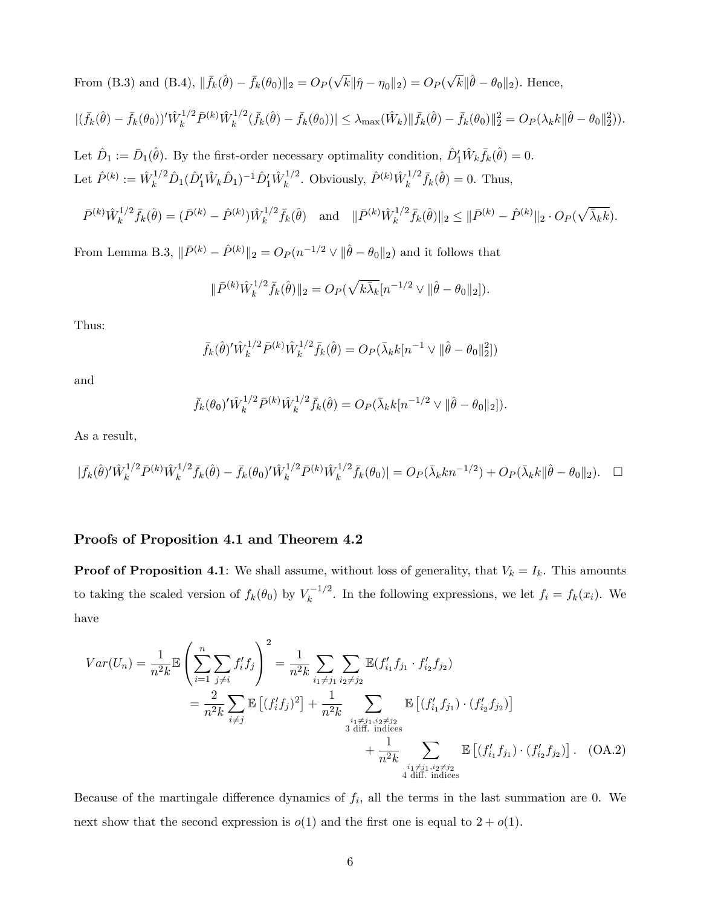From (B.3) and (B.4),  $\|\bar{f}_k(\hat{\theta}) - \bar{f}_k(\theta_0)\|_2 = O_P(\sqrt{k} \|\hat{\eta} - \eta_0\|_2) = O_P(\sqrt{k} \|\hat{\theta} - \theta_0\|_2)$ . Hence,

$$
|(\bar{f}_k(\hat{\theta}) - \bar{f}_k(\theta_0))'\hat{W}_k^{1/2} \bar{P}^{(k)} \hat{W}_k^{1/2} (\bar{f}_k(\hat{\theta}) - \bar{f}_k(\theta_0))| \leq \lambda_{\max}(\hat{W}_k) \|\bar{f}_k(\hat{\theta}) - \bar{f}_k(\theta_0)\|_2^2 = O_P(\lambda_k k \|\hat{\theta} - \theta_0\|_2^2).
$$

Let  $\hat{D}_1 := \bar{D}_1(\hat{\theta})$ . By the first-order necessary optimality condition,  $\hat{D}'_1 \hat{W}_k \bar{f}_k(\hat{\theta}) = 0$ . Let  $\hat{P}^{(k)} := \hat{W}_k^{1/2} \hat{D}_1 (\hat{D}_1^{\prime} \hat{W}_k \hat{D}_1)^{-1} \hat{D}_1^{\prime} \hat{W}_k^{1/2}$  $\hat{F}_k^{1/2}$ . Obviously,  $\hat{P}^{(k)}\hat{W}_k^{1/2}$  $f_k^{1/2} \bar{f}_k(\hat{\theta}) = 0$ . Thus,

$$
\bar{P}^{(k)}\hat{W}_k^{1/2}\bar{f}_k(\hat{\theta}) = (\bar{P}^{(k)} - \hat{P}^{(k)})\hat{W}_k^{1/2}\bar{f}_k(\hat{\theta}) \text{ and } \|\bar{P}^{(k)}\hat{W}_k^{1/2}\bar{f}_k(\hat{\theta})\|_2 \le \|\bar{P}^{(k)} - \hat{P}^{(k)}\|_2 \cdot O_P(\sqrt{\bar{\lambda}_k k}).
$$

From Lemma B.3,  $\|\bar{P}^{(k)} - \hat{P}^{(k)}\|_2 = O_P (n^{-1/2} \vee \|\hat{\theta} - \theta_0\|_2)$  and it follows that

$$
\|\bar{P}^{(k)}\hat{W}_k^{1/2}\bar{f}_k(\hat{\theta})\|_2 = O_P(\sqrt{k\bar{\lambda}_k}[n^{-1/2} \vee \|\hat{\theta} - \theta_0\|_2]).
$$

Thus:

$$
\bar{f}_k(\hat{\theta})' \hat{W}_k^{1/2} \bar{P}^{(k)} \hat{W}_k^{1/2} \bar{f}_k(\hat{\theta}) = O_P(\bar{\lambda}_k k [n^{-1} \vee ||\hat{\theta} - \theta_0||_2^2])
$$

and

$$
\bar{f}_k(\theta_0)' \hat{W}_k^{1/2} \bar{P}^{(k)} \hat{W}_k^{1/2} \bar{f}_k(\hat{\theta}) = O_P(\bar{\lambda}_k k[n^{-1/2} \vee ||\hat{\theta} - \theta_0||_2]).
$$

As a result,

$$
|\bar{f}_k(\hat{\theta})'\hat{W}_k^{1/2}\bar{P}^{(k)}\hat{W}_k^{1/2}\bar{f}_k(\hat{\theta}) - \bar{f}_k(\theta_0)'\hat{W}_k^{1/2}\bar{P}^{(k)}\hat{W}_k^{1/2}\bar{f}_k(\theta_0)| = O_P(\bar{\lambda}_k k n^{-1/2}) + O_P(\bar{\lambda}_k k \|\hat{\theta} - \theta_0\|_2). \quad \Box
$$

### Proofs of Proposition 4.1 and Theorem 4.2

**Proof of Proposition 4.1**: We shall assume, without loss of generality, that  $V_k = I_k$ . This amounts to taking the scaled version of  $f_k(\theta_0)$  by  $V_k^{-1/2}$ . In the following expressions, we let  $f_i = f_k(x_i)$ . We have

$$
Var(U_n) = \frac{1}{n^2 k} \mathbb{E} \left( \sum_{i=1}^n \sum_{j \neq i} f'_i f_j \right)^2 = \frac{1}{n^2 k} \sum_{i_1 \neq j_1} \sum_{i_2 \neq j_2} \mathbb{E} (f'_{i_1} f_{j_1} \cdot f'_{i_2} f_{j_2})
$$
  
\n
$$
= \frac{2}{n^2 k} \sum_{i \neq j} \mathbb{E} \left[ (f'_i f_j)^2 \right] + \frac{1}{n^2 k} \sum_{\substack{i_1 \neq j_1, i_2 \neq j_2 \\ \text{3 diff. indices}}} \mathbb{E} \left[ (f'_{i_1} f_{j_1}) \cdot (f'_{i_2} f_{j_2}) \right]
$$
  
\n
$$
+ \frac{1}{n^2 k} \sum_{\substack{i_1 \neq j_1, i_2 \neq j_2 \\ \text{4 diff. indices}}} \mathbb{E} \left[ (f'_{i_1} f_{j_1}) \cdot (f'_{i_2} f_{j_2}) \right].
$$
 (OA.2)

Because of the martingale difference dynamics of  $f_i$ , all the terms in the last summation are 0. We next show that the second expression is  $o(1)$  and the first one is equal to  $2 + o(1)$ .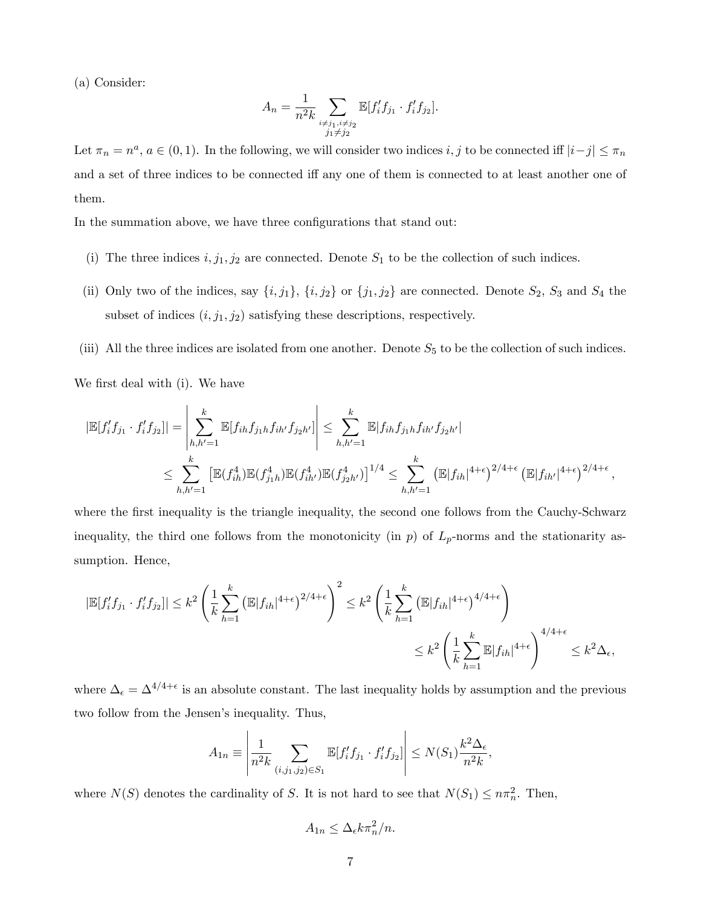(a) Consider:

$$
A_n = \frac{1}{n^2 k} \sum_{\substack{i \neq j_1, i \neq j_2 \\ j_1 \neq j_2}} \mathbb{E}[f'_i f_{j_1} \cdot f'_i f_{j_2}].
$$

Let  $\pi_n = n^a$ ,  $a \in (0, 1)$ . In the following, we will consider two indices  $i, j$  to be connected iff  $|i - j| \leq \pi_n$ and a set of three indices to be connected iff any one of them is connected to at least another one of them.

In the summation above, we have three configurations that stand out:

- (i) The three indices  $i, j_1, j_2$  are connected. Denote  $S_1$  to be the collection of such indices.
- (ii) Only two of the indices, say  $\{i, j_1\}$ ,  $\{i, j_2\}$  or  $\{j_1, j_2\}$  are connected. Denote  $S_2$ ,  $S_3$  and  $S_4$  the subset of indices  $(i, j_1, j_2)$  satisfying these descriptions, respectively.
- (iii) All the three indices are isolated from one another. Denote  $S_5$  to be the collection of such indices.

We first deal with (i). We have

$$
|\mathbb{E}[f'_{i}f_{j1} \cdot f'_{i}f_{j2}]| = \left| \sum_{h,h'=1}^{k} \mathbb{E}[f_{ih}f_{j1}h f_{ih'} f_{j2}h'] \right| \leq \sum_{h,h'=1}^{k} \mathbb{E}[f_{ih}f_{j1}h f_{ih'} f_{j2}h']
$$
  

$$
\leq \sum_{h,h'=1}^{k} \left[ \mathbb{E}(f_{ih}^{4}) \mathbb{E}(f_{j1}^{4}) \mathbb{E}(f_{ih'}^{4}) \mathbb{E}(f_{j2}^{4}h') \right]^{1/4} \leq \sum_{h,h'=1}^{k} \left( \mathbb{E}|f_{ih}|^{4+\epsilon} \right)^{2/4+\epsilon} \left( \mathbb{E}|f_{ih'}|^{4+\epsilon} \right)^{2/4+\epsilon},
$$

where the first inequality is the triangle inequality, the second one follows from the Cauchy-Schwarz inequality, the third one follows from the monotonicity (in  $p$ ) of  $L_p$ -norms and the stationarity assumption. Hence,

$$
|\mathbb{E}[f'_i f_{j_1} \cdot f'_i f_{j_2}]| \leq k^2 \left(\frac{1}{k} \sum_{h=1}^k \left(\mathbb{E}|f_{ih}|^{4+\epsilon}\right)^{2/4+\epsilon}\right)^2 \leq k^2 \left(\frac{1}{k} \sum_{h=1}^k \left(\mathbb{E}|f_{ih}|^{4+\epsilon}\right)^{4/4+\epsilon}\right)
$$
  

$$
\leq k^2 \left(\frac{1}{k} \sum_{h=1}^k \mathbb{E}|f_{ih}|^{4+\epsilon}\right)^{4/4+\epsilon} \leq k^2 \Delta_{\epsilon},
$$

where  $\Delta_{\epsilon} = \Delta^{4/4+\epsilon}$  is an absolute constant. The last inequality holds by assumption and the previous two follow from the Jensen's inequality. Thus,

$$
A_{1n} \equiv \left| \frac{1}{n^2 k} \sum_{(i,j_1,j_2) \in S_1} \mathbb{E}[f'_i f_{j_1} \cdot f'_i f_{j_2}] \right| \le N(S_1) \frac{k^2 \Delta_{\epsilon}}{n^2 k}
$$

;

where  $N(S)$  denotes the cardinality of S. It is not hard to see that  $N(S_1) \leq n\pi_n^2$ . Then,

$$
A_{1n} \le \Delta_{\epsilon} k \pi_n^2 / n.
$$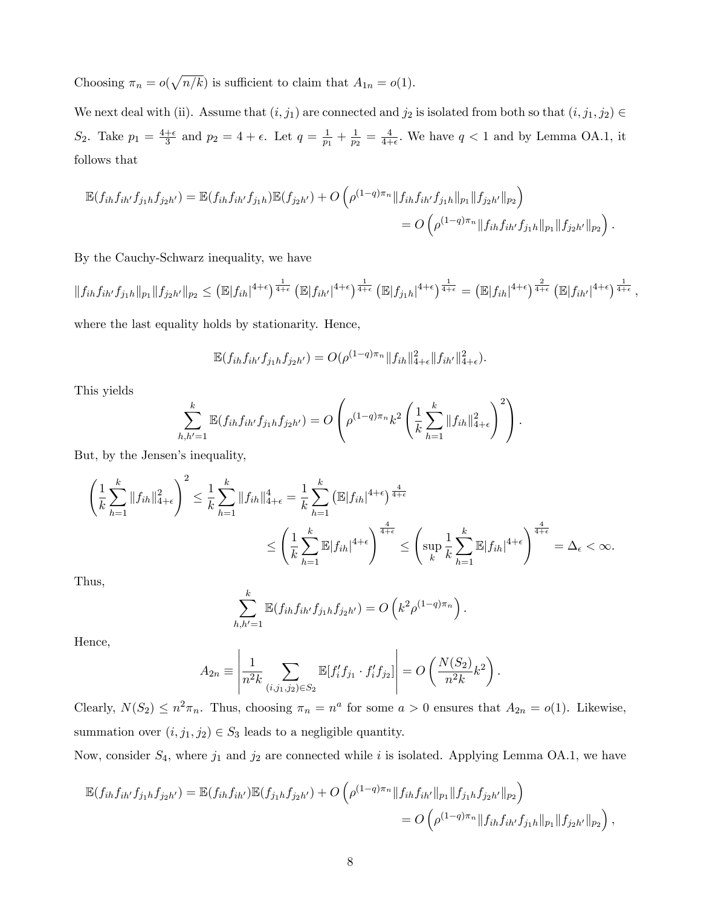Choosing  $\pi_n = o(\sqrt{n/k})$  is sufficient to claim that  $A_{1n} = o(1)$ .

We next deal with (ii). Assume that  $(i, j_1)$  are connected and  $j_2$  is isolated from both so that  $(i, j_1, j_2) \in$  $S_2$ . Take  $p_1 = \frac{4+\epsilon}{3}$  $\frac{+ \epsilon}{3}$  and  $p_2 = 4 + \epsilon$ . Let  $q = \frac{1}{p_1}$  $\frac{1}{p_1} + \frac{1}{p_2}$  $\frac{1}{p_2} = \frac{4}{4+}$  $\frac{4}{4+\epsilon}$ . We have  $q < 1$  and by Lemma OA.1, it follows that

$$
\mathbb{E}(f_{ih}f_{ih'}f_{j_1h}f_{j_2h'}) = \mathbb{E}(f_{ih}f_{ih'}f_{j_1h})\mathbb{E}(f_{j_2h'}) + O\left(\rho^{(1-q)\pi_n} \|f_{ih}f_{ih'}f_{j_1h}\|_{p_1} \|f_{j_2h'}\|_{p_2}\right)
$$
  
=  $O\left(\rho^{(1-q)\pi_n} \|f_{ih}f_{ih'}f_{j_1h}\|_{p_1} \|f_{j_2h'}\|_{p_2}\right).$ 

By the Cauchy-Schwarz inequality, we have

$$
||f_{ih}f_{ih'}f_{j_1h}||_{p_1}||f_{j_2h'}||_{p_2} \leq ( \mathbb{E}|f_{ih}|^{4+\epsilon})^{\frac{1}{4+\epsilon}} (\mathbb{E}|f_{ih'}|^{4+\epsilon})^{\frac{1}{4+\epsilon}} (\mathbb{E}|f_{j_1h}|^{4+\epsilon})^{\frac{1}{4+\epsilon}} = (\mathbb{E}|f_{ih}|^{4+\epsilon})^{\frac{2}{4+\epsilon}} (\mathbb{E}|f_{ih'}|^{4+\epsilon})^{\frac{1}{4+\epsilon}},
$$

where the last equality holds by stationarity. Hence,

$$
\mathbb{E}(f_{ih}f_{ih'}f_{j_1h}f_{j_2h'})=O(\rho^{(1-q)\pi_n}\|f_{ih}\|_{4+\epsilon}^2\|f_{ih'}\|_{4+\epsilon}^2).
$$

This yields

$$
\sum_{h,h'=1}^k \mathbb{E}(f_{ih}f_{ih'}f_{j_1h}f_{j_2h'}) = O\left(\rho^{(1-q)\pi_n}k^2\left(\frac{1}{k}\sum_{h=1}^k \|f_{ih}\|_{4+\epsilon}^2\right)^2\right).
$$

But, by the Jensen's inequality,

$$
\left(\frac{1}{k}\sum_{h=1}^{k}||f_{ih}||_{4+\epsilon}^{2}\right)^{2} \leq \frac{1}{k}\sum_{h=1}^{k}||f_{ih}||_{4+\epsilon}^{4} = \frac{1}{k}\sum_{h=1}^{k} \left(\mathbb{E}|f_{ih}|^{4+\epsilon}\right)^{\frac{4}{4+\epsilon}} \leq \left(\sup_{k} \frac{1}{k}\sum_{h=1}^{k} \mathbb{E}|f_{ih}|^{4+\epsilon}\right)^{\frac{4}{4+\epsilon}} = \Delta_{\epsilon} < \infty.
$$

Thus,

$$
\sum_{h,h'=1}^k \mathbb{E}(f_{ih}f_{ih'}f_{j_1h}f_{j_2h'}) = O\left(k^2\rho^{(1-q)\pi_n}\right).
$$

Hence,

$$
A_{2n} \equiv \left| \frac{1}{n^2 k} \sum_{(i,j_1,j_2) \in S_2} \mathbb{E}[f'_i f_{j_1} \cdot f'_i f_{j_2}] \right| = O\left(\frac{N(S_2)}{n^2 k} k^2\right).
$$

Clearly,  $N(S_2) \leq n^2 \pi_n$ . Thus, choosing  $\pi_n = n^a$  for some  $a > 0$  ensures that  $A_{2n} = o(1)$ . Likewise, summation over  $(i, j_1, j_2) \in S_3$  leads to a negligible quantity.

Now, consider  $S_4$ , where  $j_1$  and  $j_2$  are connected while i is isolated. Applying Lemma OA.1, we have

$$
\mathbb{E}(f_{ih}f_{ih'}f_{j_1h}f_{j_2h'}) = \mathbb{E}(f_{ih}f_{ih'})\mathbb{E}(f_{j_1h}f_{j_2h'}) + O\left(\rho^{(1-q)\pi_n} \|f_{ih}f_{ih'}\|_{p_1} \|f_{j_1h}f_{j_2h'}\|_{p_2}\right)
$$
  
=  $O\left(\rho^{(1-q)\pi_n} \|f_{ih}f_{ih'}f_{j_1h}\|_{p_1} \|f_{j_2h'}\|_{p_2}\right),$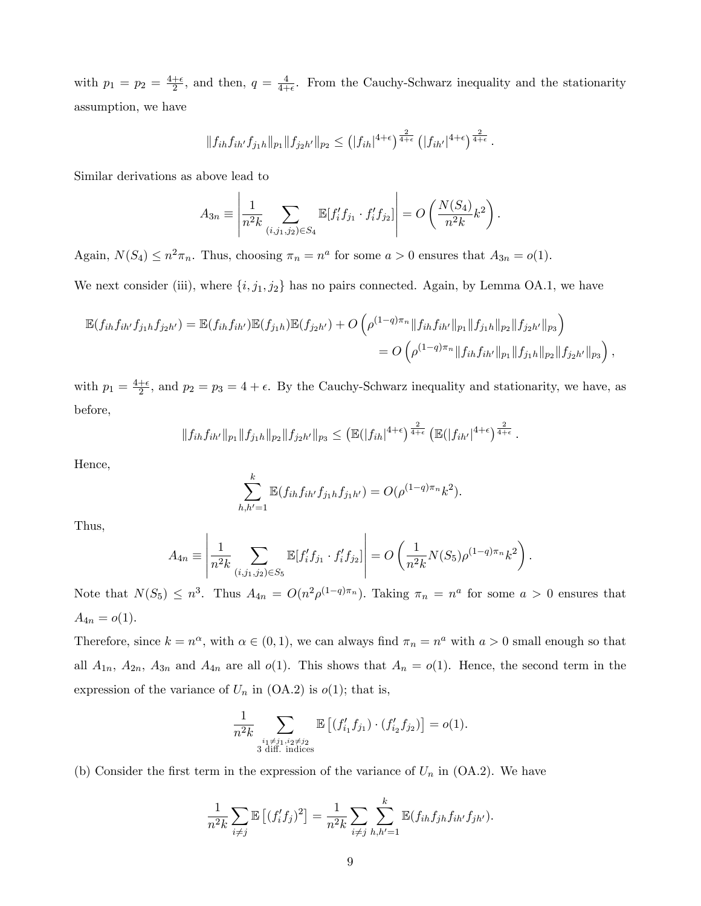with  $p_1 = p_2 = \frac{4+\epsilon}{2}$  $\frac{+ \epsilon}{2}$ , and then,  $q = \frac{4}{4+ }$  $\frac{4}{4+\epsilon}$ . From the Cauchy-Schwarz inequality and the stationarity assumption, we have

$$
||f_{ih}f_{ih'}f_{j_1h}||_{p_1}||f_{j_2h'}||_{p_2} \le (|f_{ih}|^{4+\epsilon})^{\frac{2}{4+\epsilon}} (|f_{ih'}|^{4+\epsilon})^{\frac{2}{4+\epsilon}}.
$$

Similar derivations as above lead to

$$
A_{3n} \equiv \left| \frac{1}{n^2 k} \sum_{(i,j_1,j_2) \in S_4} \mathbb{E}[f'_i f_{j_1} \cdot f'_i f_{j_2}] \right| = O\left(\frac{N(S_4)}{n^2 k} k^2\right).
$$

Again,  $N(S_4) \le n^2 \pi_n$ . Thus, choosing  $\pi_n = n^a$  for some  $a > 0$  ensures that  $A_{3n} = o(1)$ .

We next consider (iii), where  $\{i, j_1, j_2\}$  has no pairs connected. Again, by Lemma OA.1, we have

$$
\mathbb{E}(f_{ih}f_{ih'}f_{j_1h}f_{j_2h'}) = \mathbb{E}(f_{ih}f_{ih'})\mathbb{E}(f_{j_1h})\mathbb{E}(f_{j_2h'}) + O\left(\rho^{(1-q)\pi_n}||f_{ih}f_{ih'}||_{p_1}||f_{j_1h}||_{p_2}||f_{j_2h'}||_{p_3}\right)
$$
  
=  $O\left(\rho^{(1-q)\pi_n}||f_{ih}f_{ih'}||_{p_1}||f_{j_1h}||_{p_2}||f_{j_2h'}||_{p_3}\right),$ 

with  $p_1 = \frac{4+\epsilon}{2}$  $\frac{1+\epsilon}{2}$ , and  $p_2 = p_3 = 4 + \epsilon$ . By the Cauchy-Schwarz inequality and stationarity, we have, as before,

$$
||f_{ih}f_{ih'}||_{p_1}||f_{j_1h}||_{p_2}||f_{j_2h'}||_{p_3} \leq (\mathbb{E}(|f_{ih}|^{4+\epsilon})^{\frac{2}{4+\epsilon}} (\mathbb{E}(|f_{ih'}|^{4+\epsilon})^{\frac{2}{4+\epsilon}}).
$$

Hence,

$$
\sum_{h,h'=1}^k \mathbb{E}(f_{ih}f_{ih'}f_{j_1h}f_{j_1h'}) = O(\rho^{(1-q)\pi_n}k^2).
$$

Thus,

$$
A_{4n} \equiv \left| \frac{1}{n^2 k} \sum_{(i,j_1,j_2) \in S_5} \mathbb{E}[f'_i f_{j_1} \cdot f'_i f_{j_2}] \right| = O\left(\frac{1}{n^2 k} N(S_5) \rho^{(1-q)\pi_n} k^2\right).
$$

Note that  $N(S_5) \leq n^3$ . Thus  $A_{4n} = O(n^2 \rho^{(1-q)\pi_n})$ . Taking  $\pi_n = n^a$  for some  $a > 0$  ensures that  $A_{4n} = o(1)$ .

Therefore, since  $k = n^{\alpha}$ , with  $\alpha \in (0, 1)$ , we can always find  $\pi_n = n^{\alpha}$  with  $\alpha > 0$  small enough so that all  $A_{1n}$ ,  $A_{2n}$ ,  $A_{3n}$  and  $A_{4n}$  are all  $o(1)$ . This shows that  $A_n = o(1)$ . Hence, the second term in the expression of the variance of  $U_n$  in (OA.2) is  $o(1)$ ; that is,

$$
\frac{1}{n^2k} \sum_{\substack{i_1 \neq j_1, i_2 \neq j_2 \\ 3 \text{ diff. indices}}} \mathbb{E}\left[ (f'_{i_1} f_{j_1}) \cdot (f'_{i_2} f_{j_2}) \right] = o(1).
$$

(b) Consider the first term in the expression of the variance of  $U_n$  in (OA.2). We have

$$
\frac{1}{n^2k} \sum_{i \neq j} \mathbb{E} \left[ (f'_i f_j)^2 \right] = \frac{1}{n^2k} \sum_{i \neq j} \sum_{h,h'=1}^k \mathbb{E} (f_{ih} f_{jh} f_{ih'} f_{jh'}).
$$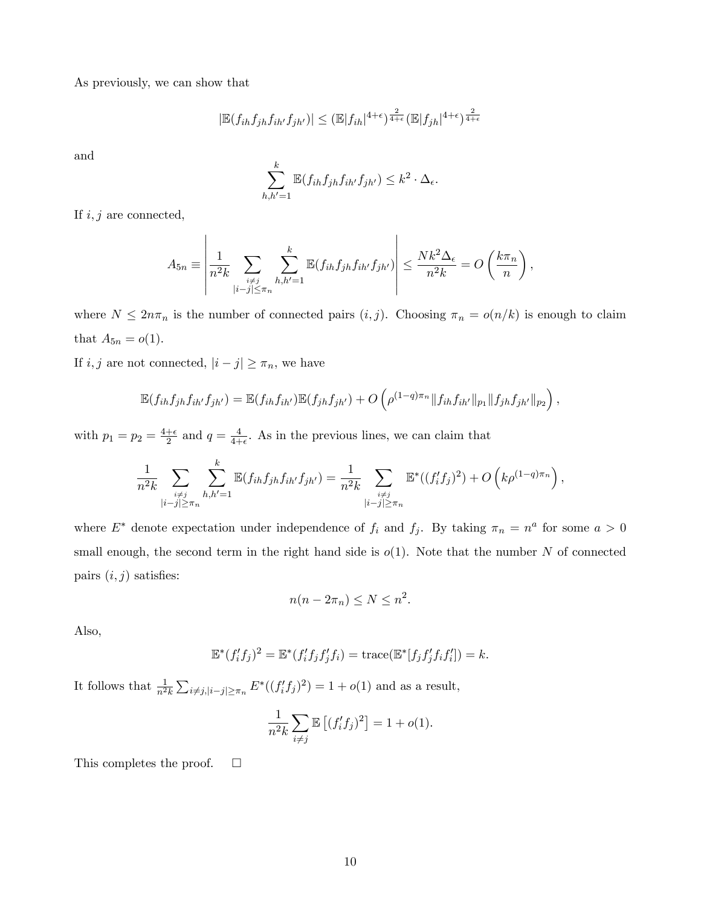As previously, we can show that

$$
|\mathbb{E}(f_{ih}f_{jh}f_{ih'}f_{jh'})| \leq (\mathbb{E}|f_{ih}|^{4+\epsilon})^{\frac{2}{4+\epsilon}} (\mathbb{E}|f_{jh}|^{4+\epsilon})^{\frac{2}{4+\epsilon}}
$$

and

$$
\sum_{h,h'=1}^k \mathbb{E}(f_{ih}f_{jh}f_{ih'}f_{jh'}) \leq k^2 \cdot \Delta_{\epsilon}.
$$

If  $i, j$  are connected,

$$
A_{5n} \equiv \left| \frac{1}{n^2 k} \sum_{\substack{i \neq j \\ |i-j| \leq \pi_n}} \sum_{h,h'=1}^k \mathbb{E}(f_{ih} f_{jh} f_{ih'} f_{jh'}) \right| \leq \frac{N k^2 \Delta_{\epsilon}}{n^2 k} = O\left(\frac{k \pi_n}{n}\right),
$$

where  $N \leq 2n\pi_n$  is the number of connected pairs  $(i, j)$ . Choosing  $\pi_n = o(n/k)$  is enough to claim that  $A_{5n} = o(1)$ .

If  $i, j$  are not connected,  $|i - j| \geq \pi_n$ , we have

 $\overline{1}$ 

$$
\mathbb{E}(f_{ih}f_{jh}f_{ih'}f_{jh'}) = \mathbb{E}(f_{ih}f_{ih'})\mathbb{E}(f_{jh}f_{jh'}) + O\left(\rho^{(1-q)\pi_n} \|f_{ih}f_{ih'}\|_{p_1} \|f_{jh}f_{jh'}\|_{p_2}\right),
$$

with  $p_1 = p_2 = \frac{4+\epsilon}{2}$  $\frac{+ \epsilon}{2}$  and  $q = \frac{4}{4+ }$  $\frac{4}{4+\epsilon}$ . As in the previous lines, we can claim that

$$
\frac{1}{n^2k} \sum_{\substack{i \neq j \\ |i-j| \geq \pi_n}} \sum_{h,h'=1}^k \mathbb{E}(f_{ih}f_{jh}f_{ih'}f_{jh'}) = \frac{1}{n^2k} \sum_{\substack{i \neq j \\ |i-j| \geq \pi_n}} \mathbb{E}^*((f_i'f_j)^2) + O\left(k\rho^{(1-q)\pi_n}\right),
$$

where  $E^*$  denote expectation under independence of  $f_i$  and  $f_j$ . By taking  $\pi_n = n^a$  for some  $a > 0$ small enough, the second term in the right hand side is  $o(1)$ . Note that the number N of connected pairs  $(i, j)$  satisfies:

$$
n(n - 2\pi_n) \le N \le n^2.
$$

Also,

$$
\mathbb{E}^*(f'_i f_j)^2 = \mathbb{E}^*(f'_i f_j f'_j f_i) = \text{trace}(\mathbb{E}^*[f_j f'_j f_i f'_i]) = k.
$$

It follows that  $\frac{1}{n^2k} \sum_{i \neq j, |i-j| \geq \pi_n} E^*((f'_i f_j)^2) = 1 + o(1)$  and as a result,

$$
\frac{1}{n^2k} \sum_{i \neq j} \mathbb{E}\left[ (f_i' f_j)^2 \right] = 1 + o(1).
$$

This completes the proof.  $\square$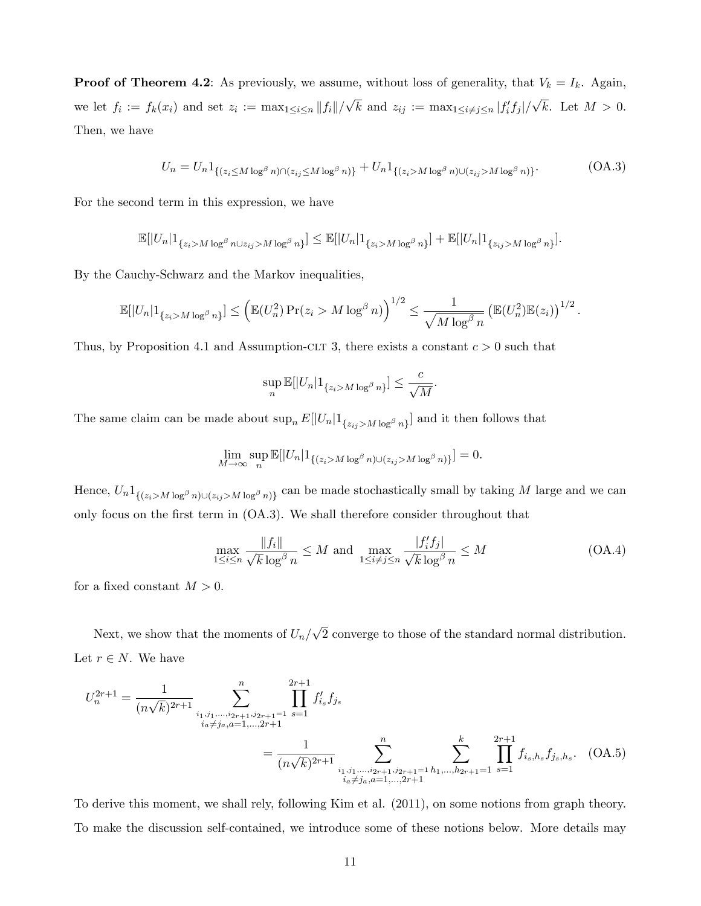**Proof of Theorem 4.2:** As previously, we assume, without loss of generality, that  $V_k = I_k$ . Again, we let  $f_i := f_k(x_i)$  and set  $z_i := \max_{1 \leq i \leq n} ||f_i||/\sqrt{k}$  and  $z_{ij} := \max_{1 \leq i \neq j \leq n} |f'_i f_j|/\sqrt{k}$ . Let  $M > 0$ . Then, we have

$$
U_n = U_n \mathbb{1}_{\left\{ (z_i \le M \log^\beta n) \cap (z_{ij} \le M \log^\beta n) \right\}} + U_n \mathbb{1}_{\left\{ (z_i > M \log^\beta n) \cup (z_{ij} > M \log^\beta n) \right\}}.
$$
 (OA.3)

For the second term in this expression, we have

$$
\mathbb{E}[|U_n|1_{\{z_i > M\log^{\beta} n \cup z_{ij} > M\log^{\beta} n\}}] \leq \mathbb{E}[|U_n|1_{\{z_i > M\log^{\beta} n\}}] + \mathbb{E}[|U_n|1_{\{z_{ij} > M\log^{\beta} n\}}].
$$

By the Cauchy-Schwarz and the Markov inequalities,

$$
\mathbb{E}[|U_n|1_{\{z_i > M\log^{\beta} n\}}] \leq \left(\mathbb{E}(U_n^2) \Pr(z_i > M\log^{\beta} n)\right)^{1/2} \leq \frac{1}{\sqrt{M\log^{\beta} n}} \left(\mathbb{E}(U_n^2) \mathbb{E}(z_i)\right)^{1/2}.
$$

Thus, by Proposition 4.1 and Assumption-CLT 3, there exists a constant  $c > 0$  such that

$$
\sup_n \mathbb{E}[|U_n| \mathbb{1}_{\{z_i > M \log^{\beta} n\}}] \le \frac{c}{\sqrt{M}}
$$

The same claim can be made about  $\sup_n E[|U_n|1_{\{z_{ij} > M \log^{\beta} n\}}]$  and it then follows that

$$
\lim_{M \to \infty} \sup_n \mathbb{E}[|U_n| \mathbb{1}_{\{(z_i > M \log^{\beta} n) \cup (z_{ij} > M \log^{\beta} n)\}}] = 0.
$$

Hence,  $U_n 1_{\{(z_i > M \log^\beta n) \cup (z_{ij} > M \log^\beta n)\}}$  can be made stochastically small by taking M large and we can only focus on the first term in (OA.3). We shall therefore consider throughout that

$$
\max_{1 \le i \le n} \frac{\|f_i\|}{\sqrt{k} \log^{\beta} n} \le M \text{ and } \max_{1 \le i \ne j \le n} \frac{|f'_i f_j|}{\sqrt{k} \log^{\beta} n} \le M \tag{OA.4}
$$

:

for a fixed constant  $M > 0$ .

Next, we show that the moments of  $U_n/\sqrt{2}$  converge to those of the standard normal distribution. Let  $r \in N$ . We have

$$
U_n^{2r+1} = \frac{1}{(n\sqrt{k})^{2r+1}} \sum_{\substack{i_1, j_1, \dots, i_{2r+1}, j_{2r+1}=1 \\ i_a \neq j_a, a=1, \dots, 2r+1}} \prod_{s=1}^{n} f'_{i_s} f_{j_s}
$$
  
= 
$$
\frac{1}{(n\sqrt{k})^{2r+1}} \sum_{\substack{i_1, j_1, \dots, i_{2r+1}, j_{2r+1}=1 \\ i_a \neq j_a, a=1, \dots, 2r+1}} \sum_{\substack{k=1 \\ i_a \neq j_a, a=1, \dots, 2r+1}}^{n} \prod_{s=1}^{k} f_{i_s, h_s} f_{j_s, h_s}.
$$
 (OA.5)

To derive this moment, we shall rely, following Kim et al. (2011), on some notions from graph theory. To make the discussion self-contained, we introduce some of these notions below. More details may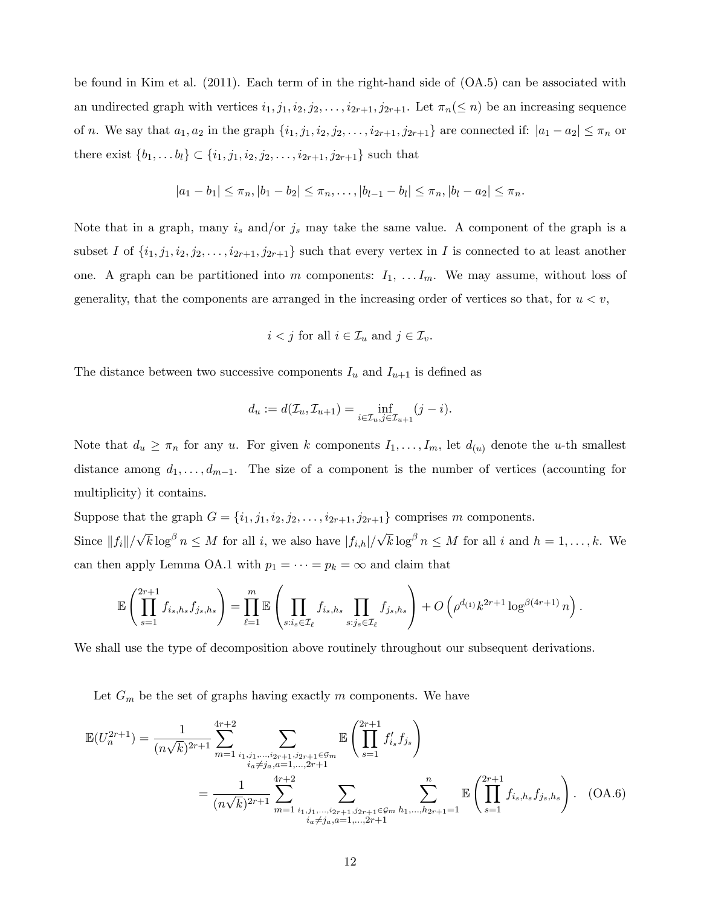be found in Kim et al. (2011). Each term of in the right-hand side of (OA.5) can be associated with an undirected graph with vertices  $i_1, j_1, i_2, j_2, \ldots, i_{2r+1}, j_{2r+1}$ . Let  $\pi_n(\leq n)$  be an increasing sequence of n. We say that  $a_1, a_2$  in the graph  $\{i_1, j_1, i_2, j_2, \ldots, i_{2r+1}, j_{2r+1}\}$  are connected if:  $|a_1 - a_2| \leq \pi_n$  or there exist  $\{b_1, \ldots, b_l\} \subset \{i_1, j_1, i_2, j_2, \ldots, i_{2r+1}, j_{2r+1}\}$  such that

$$
|a_1 - b_1| \leq \pi_n, |b_1 - b_2| \leq \pi_n, \dots, |b_{l-1} - b_l| \leq \pi_n, |b_l - a_2| \leq \pi_n.
$$

Note that in a graph, many  $i_s$  and/or  $j_s$  may take the same value. A component of the graph is a subset I of  $\{i_1, j_1, i_2, j_2, \ldots, i_{2r+1}, j_{2r+1}\}$  such that every vertex in I is connected to at least another one. A graph can be partitioned into m components:  $I_1, \ldots, I_m$ . We may assume, without loss of generality, that the components are arranged in the increasing order of vertices so that, for  $u < v$ ,

$$
i < j
$$
 for all  $i \in \mathcal{I}_u$  and  $j \in \mathcal{I}_v$ .

The distance between two successive components  $I_u$  and  $I_{u+1}$  is defined as

$$
d_u := d(\mathcal{I}_u, \mathcal{I}_{u+1}) = \inf_{i \in \mathcal{I}_u, j \in \mathcal{I}_{u+1}} (j - i).
$$

Note that  $d_u \geq \pi_n$  for any u. For given k components  $I_1, \ldots, I_m$ , let  $d_{(u)}$  denote the u-th smallest distance among  $d_1, \ldots, d_{m-1}$ . The size of a component is the number of vertices (accounting for multiplicity) it contains.

Suppose that the graph  $G = \{i_1, j_1, i_2, j_2, \ldots, i_{2r+1}, j_{2r+1}\}$  comprises m components. Since  $||f_i||/\sqrt{k} \log^{\beta} n \leq M$  for all i, we also have  $|f_{i,h}|/\sqrt{k} \log^{\beta} n \leq M$  for all i and  $h = 1, \ldots, k$ . We can then apply Lemma OA.1 with  $p_1 = \cdots = p_k = \infty$  and claim that

$$
\mathbb{E}\left(\prod_{s=1}^{2r+1}f_{i_s,h_s}f_{j_s,h_s}\right) = \prod_{\ell=1}^m \mathbb{E}\left(\prod_{s:i_s \in \mathcal{I}_{\ell}}f_{i_s,h_s}\prod_{s:j_s \in \mathcal{I}_{\ell}}f_{j_s,h_s}\right) + O\left(\rho^{d_{(1)}}k^{2r+1}\log^{\beta(4r+1)}n\right).
$$

We shall use the type of decomposition above routinely throughout our subsequent derivations.

Let  $G_m$  be the set of graphs having exactly m components. We have

$$
\mathbb{E}(U_n^{2r+1}) = \frac{1}{(n\sqrt{k})^{2r+1}} \sum_{m=1}^{4r+2} \sum_{\substack{i_1, j_1, \dots, i_{2r+1}, j_{2r+1} \in \mathcal{G}_m \\ i_a \neq j_a, a=1, \dots, 2r+1}} \mathbb{E}\left(\prod_{s=1}^{2r+1} f'_{i_s} f_{j_s}\right)
$$
\n
$$
= \frac{1}{(n\sqrt{k})^{2r+1}} \sum_{m=1}^{4r+2} \sum_{\substack{i_1, j_1, \dots, i_{2r+1}, j_{2r+1} \in \mathcal{G}_m \\ i_a \neq j_a, a=1, \dots, 2r+1}} \sum_{\substack{k=1 \text{even } k_1, \dots, k_{2r+1} = 1}}^{n} \mathbb{E}\left(\prod_{s=1}^{2r+1} f_{i_s, h_s} f_{j_s, h_s}\right). \quad \text{(OA.6)}
$$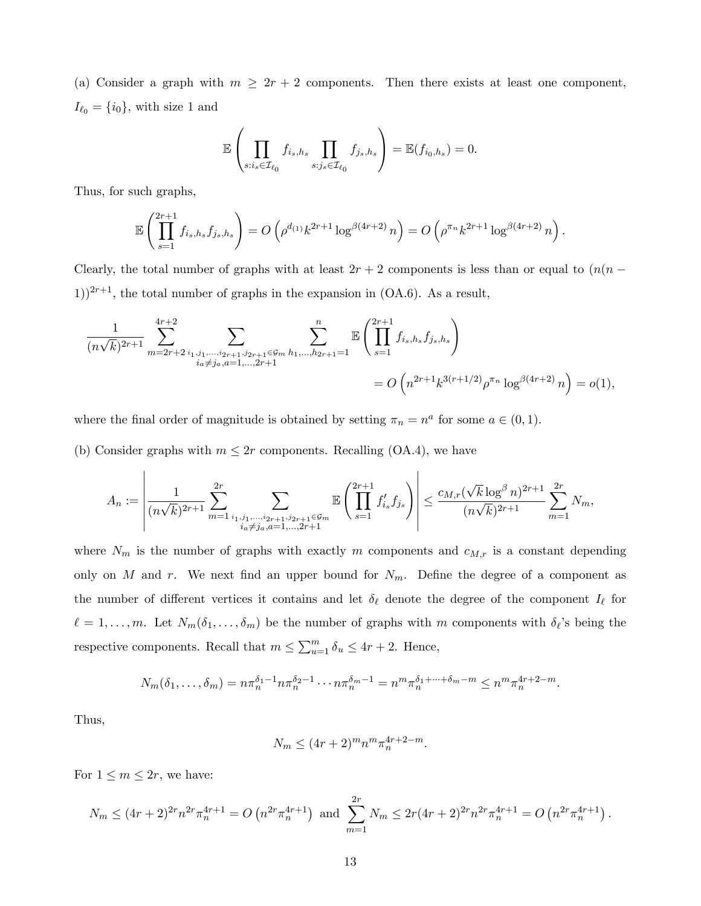(a) Consider a graph with  $m \geq 2r + 2$  components. Then there exists at least one component,  $I_{\ell_0} = \{i_0\}$ , with size 1 and

$$
\mathbb{E}\left(\prod_{s:i_s\in\mathcal{I}_{\ell_0}}f_{i_s,h_s}\prod_{s:j_s\in\mathcal{I}_{\ell_0}}f_{j_s,h_s}\right)=\mathbb{E}(f_{i_0,h_s})=0.
$$

Thus, for such graphs,

$$
\mathbb{E}\left(\prod_{s=1}^{2r+1}f_{i_s,h_s}f_{j_s,h_s}\right) = O\left(\rho^{d_{(1)}}k^{2r+1}\log^{\beta(4r+2)}n\right) = O\left(\rho^{\pi_n}k^{2r+1}\log^{\beta(4r+2)}n\right).
$$

Clearly, the total number of graphs with at least  $2r + 2$  components is less than or equal to  $(n(n - 1))$ 1))<sup>2r+1</sup>, the total number of graphs in the expansion in (OA.6). As a result,

$$
\frac{1}{(n\sqrt{k})^{2r+1}} \sum_{m=2r+2}^{4r+2} \sum_{\substack{i_1, j_1, \dots, i_{2r+1}, j_{2r+1} \in \mathcal{G}_m \\ i_a \neq j_a, a=1, \dots, 2r+1}} \sum_{j_1, j_2, \dots, j_{2r+1} \in \mathcal{G}_m} \sum_{h_1, \dots, h_{2r+1}=1}^{n} \mathbb{E}\left(\prod_{s=1}^{2r+1} f_{i_s, h_s} f_{j_s, h_s}\right)
$$
\n
$$
= O\left(n^{2r+1} k^{3(r+1/2)} \rho^{\pi_n} \log^{\beta(4r+2)} n\right) = o(1),
$$

where the final order of magnitude is obtained by setting  $\pi_n = n^a$  for some  $a \in (0, 1)$ .

(b) Consider graphs with  $m \leq 2r$  components. Recalling (OA.4), we have

$$
A_n := \left| \frac{1}{(n\sqrt{k})^{2r+1}} \sum_{m=1}^{2r} \sum_{\substack{i_1, j_1, \dots, i_{2r+1}, j_{2r+1} \in \mathcal{G}_m \\ i_a \neq j_a, a=1, \dots, 2r+1}} \mathbb{E}\left(\prod_{s=1}^{2r+1} f'_{i_s} f_{j_s}\right)\right| \leq \frac{c_{M,r}(\sqrt{k} \log^{\beta} n)^{2r+1}}{(n\sqrt{k})^{2r+1}} \sum_{m=1}^{2r} N_m,
$$

where  $N_m$  is the number of graphs with exactly m components and  $c_{M,r}$  is a constant depending only on M and r. We next find an upper bound for  $N_m$ . Define the degree of a component as the number of different vertices it contains and let  $\delta_{\ell}$  denote the degree of the component  $I_{\ell}$  for  $\ell = 1, \ldots, m$ . Let  $N_m(\delta_1, \ldots, \delta_m)$  be the number of graphs with m components with  $\delta_{\ell}$ 's being the respective components. Recall that  $m \le \sum_{u=1}^{m} \delta_u \le 4r + 2$ . Hence,

$$
N_m(\delta_1,\ldots,\delta_m)=n\pi_n^{\delta_1-1}n\pi_n^{\delta_2-1}\cdots n\pi_n^{\delta_m-1}=n^m\pi_n^{\delta_1+\cdots+\delta_m-m}\leq n^m\pi_n^{4r+2-m}.
$$

Thus,

$$
N_m \le (4r+2)^m n^m \pi_n^{4r+2-m}.
$$

For  $1 \leq m \leq 2r$ , we have:

$$
N_m \le (4r+2)^{2r} n^{2r} \pi_n^{4r+1} = O\left(n^{2r} \pi_n^{4r+1}\right) \text{ and } \sum_{m=1}^{2r} N_m \le 2r(4r+2)^{2r} n^{2r} \pi_n^{4r+1} = O\left(n^{2r} \pi_n^{4r+1}\right).
$$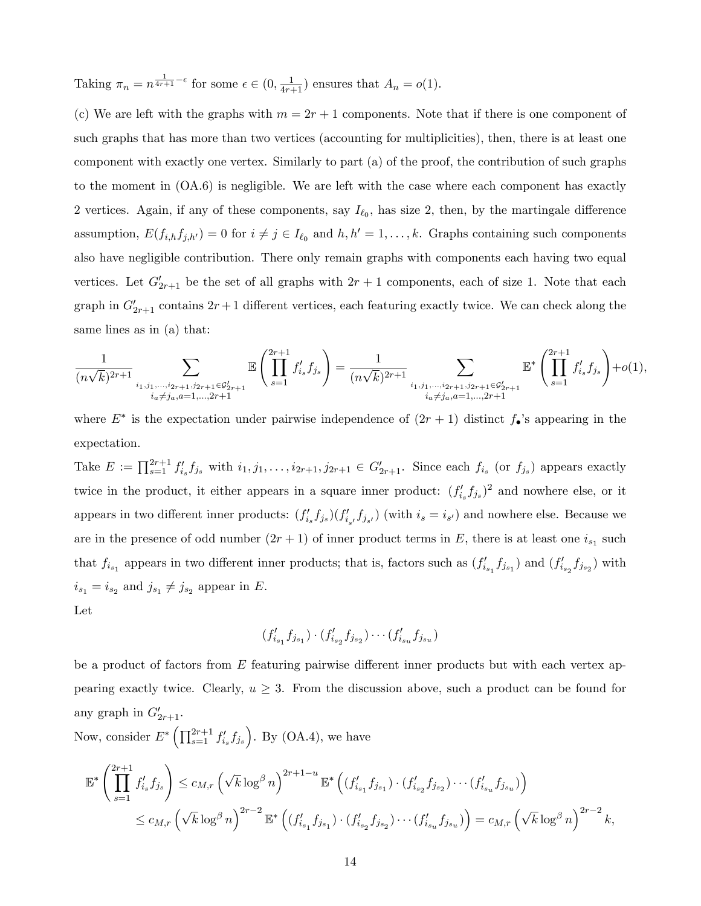Taking  $\pi_n = n^{\frac{1}{4r+1} - \epsilon}$  for some  $\epsilon \in (0, \frac{1}{4r+1})$  ensures that  $A_n = o(1)$ .

(c) We are left with the graphs with  $m = 2r + 1$  components. Note that if there is one component of such graphs that has more than two vertices (accounting for multiplicities), then, there is at least one component with exactly one vertex. Similarly to part (a) of the proof, the contribution of such graphs to the moment in (OA.6) is negligible. We are left with the case where each component has exactly 2 vertices. Again, if any of these components, say  $I_{\ell_0}$ , has size 2, then, by the martingale difference assumption,  $E(f_{i,h}f_{j,h'}) = 0$  for  $i \neq j \in I_{\ell_0}$  and  $h, h' = 1, \ldots, k$ . Graphs containing such components also have negligible contribution. There only remain graphs with components each having two equal vertices. Let  $G'_{2r+1}$  be the set of all graphs with  $2r+1$  components, each of size 1. Note that each graph in  $G'_{2r+1}$  contains  $2r+1$  different vertices, each featuring exactly twice. We can check along the same lines as in (a) that:

$$
\frac{1}{(n\sqrt{k})^{2r+1}}\sum_{\substack{i_1,i_1,\ldots,i_{2r+1},j_{2r+1}\in\mathcal{G}_{2r+1}^{\prime} \\ i_a\neq j_a,a=1,\ldots,2r+1}}\mathbb{E}\left(\prod_{s=1}^{2r+1}f'_{i_s}f_{j_s}\right)=\frac{1}{(n\sqrt{k})^{2r+1}}\sum_{\substack{i_1,i_1,\ldots,i_{2r+1},j_{2r+1}\in\mathcal{G}_{2r+1}^{\prime} \\ i_a\neq j_a,a=1,\ldots,2r+1}}\mathbb{E}^*\left(\prod_{s=1}^{2r+1}f'_{i_s}f_{j_s}\right)+o(1),
$$

where  $E^*$  is the expectation under pairwise independence of  $(2r + 1)$  distinct  $f_{\bullet}$ 's appearing in the expectation.

Take  $E := \prod_{s=1}^{2r+1} f'_{i_s} f_{j_s}$  with  $i_1, j_1, \ldots, i_{2r+1}, j_{2r+1} \in G'_{2r+1}$ . Since each  $f_{i_s}$  (or  $f_{j_s}$ ) appears exactly twice in the product, it either appears in a square inner product:  $(f'_{i_s} f_{j_s})^2$  and nowhere else, or it appears in two different inner products:  $(f'_{i_s} f_{j_s}) (f'_{i_{s'}} f_{j_{s'}})$  (with  $i_s = i_{s'}$ ) and nowhere else. Because we are in the presence of odd number  $(2r + 1)$  of inner product terms in E, there is at least one  $i_{s_1}$  such that  $f_{i_{s_1}}$  appears in two different inner products; that is, factors such as  $(f'_{i_{s_1}}f_{j_{s_1}})$  and  $(f'_{i_{s_2}}f_{j_{s_2}})$  with  $i_{s_1} = i_{s_2}$  and  $j_{s_1} \neq j_{s_2}$  appear in E.

Let

$$
(f'_{i_{s_1}}f_{j_{s_1}}) \cdot (f'_{i_{s_2}}f_{j_{s_2}}) \cdots (f'_{i_{s_u}}f_{j_{s_u}})
$$

be a product of factors from  $E$  featuring pairwise different inner products but with each vertex appearing exactly twice. Clearly,  $u \geq 3$ . From the discussion above, such a product can be found for any graph in  $G'_{2r+1}$ .

Now, consider  $E^* \left( \prod_{s=1}^{2r+1} f'_{i_s} f_{j_s} \right)$ . By (OA.4), we have

$$
\mathbb{E}^* \left( \prod_{s=1}^{2r+1} f'_{i_s} f_{j_s} \right) \leq c_{M,r} \left( \sqrt{k} \log^{\beta} n \right)^{2r+1-u} \mathbb{E}^* \left( (f'_{i_{s_1}} f_{j_{s_1}}) \cdot (f'_{i_{s_2}} f_{j_{s_2}}) \cdots (f'_{i_{s_u}} f_{j_{s_u}}) \right)
$$
  

$$
\leq c_{M,r} \left( \sqrt{k} \log^{\beta} n \right)^{2r-2} \mathbb{E}^* \left( (f'_{i_{s_1}} f_{j_{s_1}}) \cdot (f'_{i_{s_2}} f_{j_{s_2}}) \cdots (f'_{i_{s_u}} f_{j_{s_u}}) \right) = c_{M,r} \left( \sqrt{k} \log^{\beta} n \right)^{2r-2} k,
$$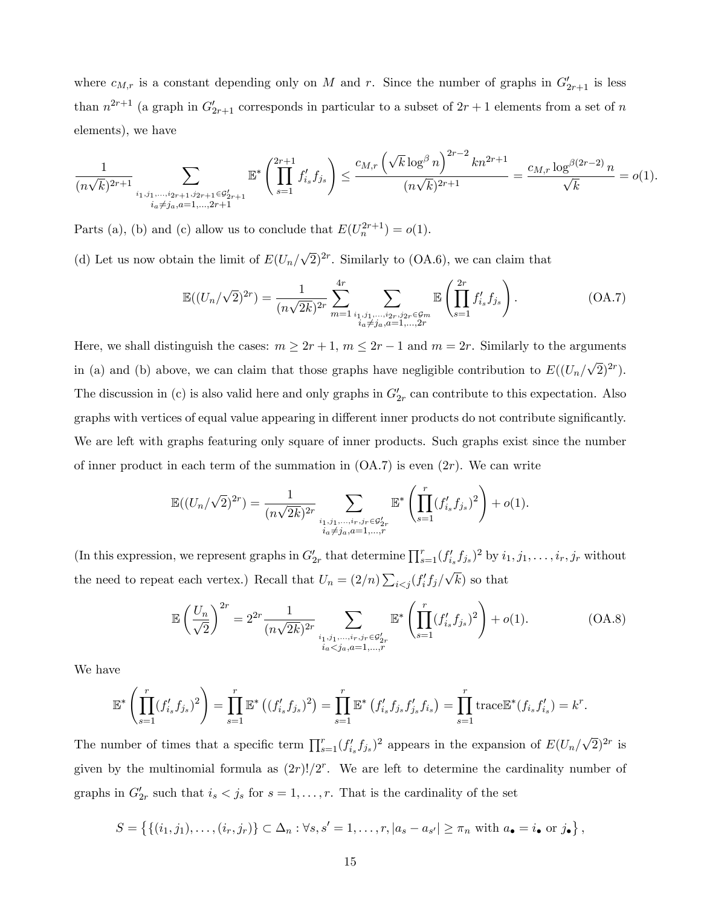where  $c_{M,r}$  is a constant depending only on M and r. Since the number of graphs in  $G'_{2r+1}$  is less than  $n^{2r+1}$  (a graph in  $G'_{2r+1}$  corresponds in particular to a subset of  $2r+1$  elements from a set of n elements), we have

$$
\frac{1}{(n\sqrt{k})^{2r+1}}\sum_{\substack{i_1, j_1, \dots, i_{2r+1}, j_{2r+1} \in \mathcal{G}_{2r+1}^{\prime} \\ i_a \neq j_a, a=1, \dots, 2r+1}} \mathbb{E}^* \left( \prod_{s=1}^{2r+1} f'_{i_s} f_{j_s} \right) \le \frac{c_{M,r} \left( \sqrt{k} \log^{\beta} n \right)^{2r-2} kn^{2r+1}}{(n\sqrt{k})^{2r+1}} = \frac{c_{M,r} \log^{\beta(2r-2)} n}{\sqrt{k}} = o(1).
$$

Parts (a), (b) and (c) allow us to conclude that  $E(U_n^{2r+1}) = o(1)$ .

(d) Let us now obtain the limit of  $E(U_n/\sqrt{2})^{2r}$ . Similarly to (OA.6), we can claim that

$$
\mathbb{E}((U_n/\sqrt{2})^{2r}) = \frac{1}{(n\sqrt{2k})^{2r}} \sum_{m=1}^{4r} \sum_{\substack{i_1, j_1, \dots, i_{2r}, j_{2r} \in \mathcal{G}_m \\ i_a \neq j_a, a=1, \dots, 2r}} \mathbb{E}\left(\prod_{s=1}^{2r} f'_{i_s} f_{j_s}\right).
$$
\n(A.7)

Here, we shall distinguish the cases:  $m \ge 2r + 1$ ,  $m \le 2r - 1$  and  $m = 2r$ . Similarly to the arguments in (a) and (b) above, we can claim that those graphs have negligible contribution to  $E((U_n/\sqrt{2})^{2r})$ . The discussion in (c) is also valid here and only graphs in  $G'_{2r}$  can contribute to this expectation. Also graphs with vertices of equal value appearing in different inner products do not contribute significantly. We are left with graphs featuring only square of inner products. Such graphs exist since the number of inner product in each term of the summation in  $(OA.7)$  is even  $(2r)$ . We can write

$$
\mathbb{E}((U_n/\sqrt{2})^{2r}) = \frac{1}{(n\sqrt{2k})^{2r}} \sum_{\substack{i_1, j_1, \dots, i_r, j_r \in \mathcal{G}'_{2r} \\ i_a \neq j_a, a=1, \dots, r}} \mathbb{E}^* \left( \prod_{s=1}^r (f'_{i_s} f_{j_s})^2 \right) + o(1).
$$

(In this expression, we represent graphs in  $G'_{2r}$  that determine  $\prod_{s=1}^r (f'_{i_s}f_{j_s})^2$  by  $i_1, j_1, \ldots, i_r, j_r$  without the need to repeat each vertex.) Recall that  $U_n = (2/n) \sum_{i < j} (f'_i f_j / \sqrt{k})$  so that

$$
\mathbb{E}\left(\frac{U_n}{\sqrt{2}}\right)^{2r} = 2^{2r} \frac{1}{(n\sqrt{2k})^{2r}} \sum_{\substack{i_1, j_1, \dots, i_r, j_r \in \mathcal{G}'_{2r} \\ i_a < j_a, a = 1, \dots, r}} \mathbb{E}^*\left(\prod_{s=1}^r (f'_{i_s} f_{j_s})^2\right) + o(1). \tag{OA.8}
$$

We have

$$
\mathbb{E}^* \left( \prod_{s=1}^r (f'_{i_s} f_{j_s})^2 \right) = \prod_{s=1}^r \mathbb{E}^* \left( (f'_{i_s} f_{j_s})^2 \right) = \prod_{s=1}^r \mathbb{E}^* \left( f'_{i_s} f_{j_s} f'_{j_s} f_{i_s} \right) = \prod_{s=1}^r \text{trace} \mathbb{E}^* (f_{i_s} f'_{i_s}) = k^r.
$$

The number of times that a specific term  $\prod_{s=1}^r (f'_{i_s}f_{j_s})^2$  appears in the expansion of  $E(U_n/\sqrt{2})^{2r}$  is given by the multinomial formula as  $(2r)!/2^r$ . We are left to determine the cardinality number of graphs in  $G'_{2r}$  such that  $i_s < j_s$  for  $s = 1, \ldots, r$ . That is the cardinality of the set

$$
S = \left\{ \{ (i_1, j_1), \ldots, (i_r, j_r) \} \subset \Delta_n : \forall s, s' = 1, \ldots, r, |a_s - a_{s'}| \ge \pi_n \text{ with } a_{\bullet} = i_{\bullet} \text{ or } j_{\bullet} \right\},\
$$